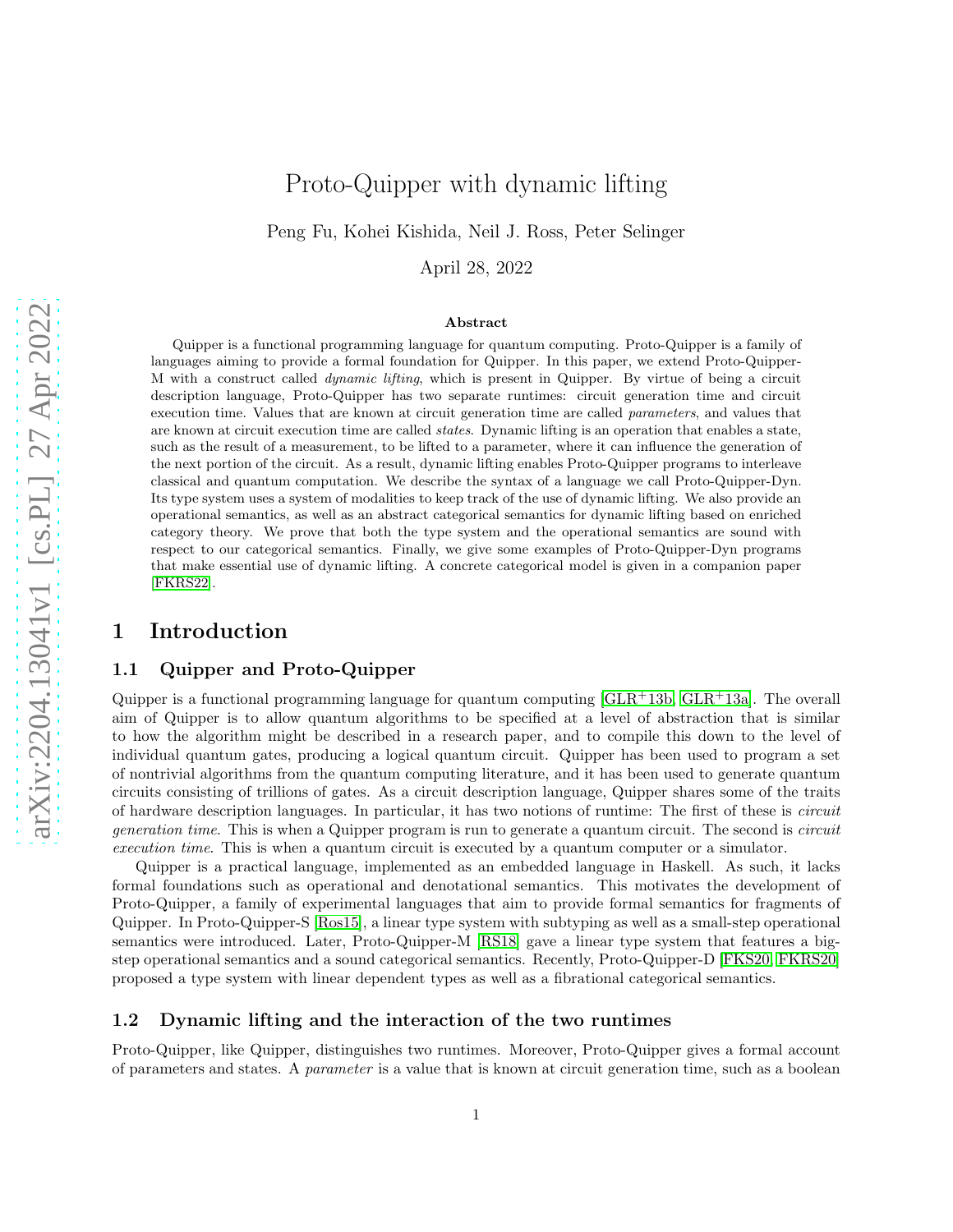# Proto-Quipper with dynamic lifting

Peng Fu, Kohei Kishida, Neil J. Ross, Peter Selinger

April 28, 2022

#### Abstract

Quipper is a functional programming language for quantum computing. Proto-Quipper is a family of languages aiming to provide a formal foundation for Quipper. In this paper, we extend Proto-Quipper-M with a construct called dynamic lifting, which is present in Quipper. By virtue of being a circuit description language, Proto-Quipper has two separate runtimes: circuit generation time and circuit execution time. Values that are known at circuit generation time are called parameters, and values that are known at circuit execution time are called states. Dynamic lifting is an operation that enables a state, such as the result of a measurement, to be lifted to a parameter, where it can influence the generation of the next portion of the circuit. As a result, dynamic lifting enables Proto-Quipper programs to interleave classical and quantum computation. We describe the syntax of a language we call Proto-Quipper-Dyn. Its type system uses a system of modalities to keep track of the use of dynamic lifting. We also provide an operational semantics, as well as an abstract categorical semantics for dynamic lifting based on enriched category theory. We prove that both the type system and the operational semantics are sound with respect to our categorical semantics. Finally, we give some examples of Proto-Quipper-Dyn programs that make essential use of dynamic lifting. A concrete categorical model is given in a companion paper [\[FKRS22\]](#page-21-0).

### 1 Introduction

#### 1.1 Quipper and Proto-Quipper

Quipper is a functional programming language for quantum computing  $\lbrack GLR+13b, GLR+13a]$  $\lbrack GLR+13b, GLR+13a]$  $\lbrack GLR+13b, GLR+13a]$ . The overall aim of Quipper is to allow quantum algorithms to be specified at a level of abstraction that is similar to how the algorithm might be described in a research paper, and to compile this down to the level of individual quantum gates, producing a logical quantum circuit. Quipper has been used to program a set of nontrivial algorithms from the quantum computing literature, and it has been used to generate quantum circuits consisting of trillions of gates. As a circuit description language, Quipper shares some of the traits of hardware description languages. In particular, it has two notions of runtime: The first of these is *circuit generation time*. This is when a Quipper program is run to generate a quantum circuit. The second is *circuit execution time*. This is when a quantum circuit is executed by a quantum computer or a simulator.

Quipper is a practical language, implemented as an embedded language in Haskell. As such, it lacks formal foundations such as operational and denotational semantics. This motivates the development of Proto-Quipper, a family of experimental languages that aim to provide formal semantics for fragments of Quipper. In Proto-Quipper-S [\[Ros15\]](#page-22-0), a linear type system with subtyping as well as a small-step operational semantics were introduced. Later, Proto-Quipper-M [\[RS18\]](#page-22-1) gave a linear type system that features a bigstep operational semantics and a sound categorical semantics. Recently, Proto-Quipper-D [\[FKS20,](#page-21-3) [FKRS20\]](#page-21-4) proposed a type system with linear dependent types as well as a fibrational categorical semantics.

#### 1.2 Dynamic lifting and the interaction of the two runtimes

Proto-Quipper, like Quipper, distinguishes two runtimes. Moreover, Proto-Quipper gives a formal account of parameters and states. A *parameter* is a value that is known at circuit generation time, such as a boolean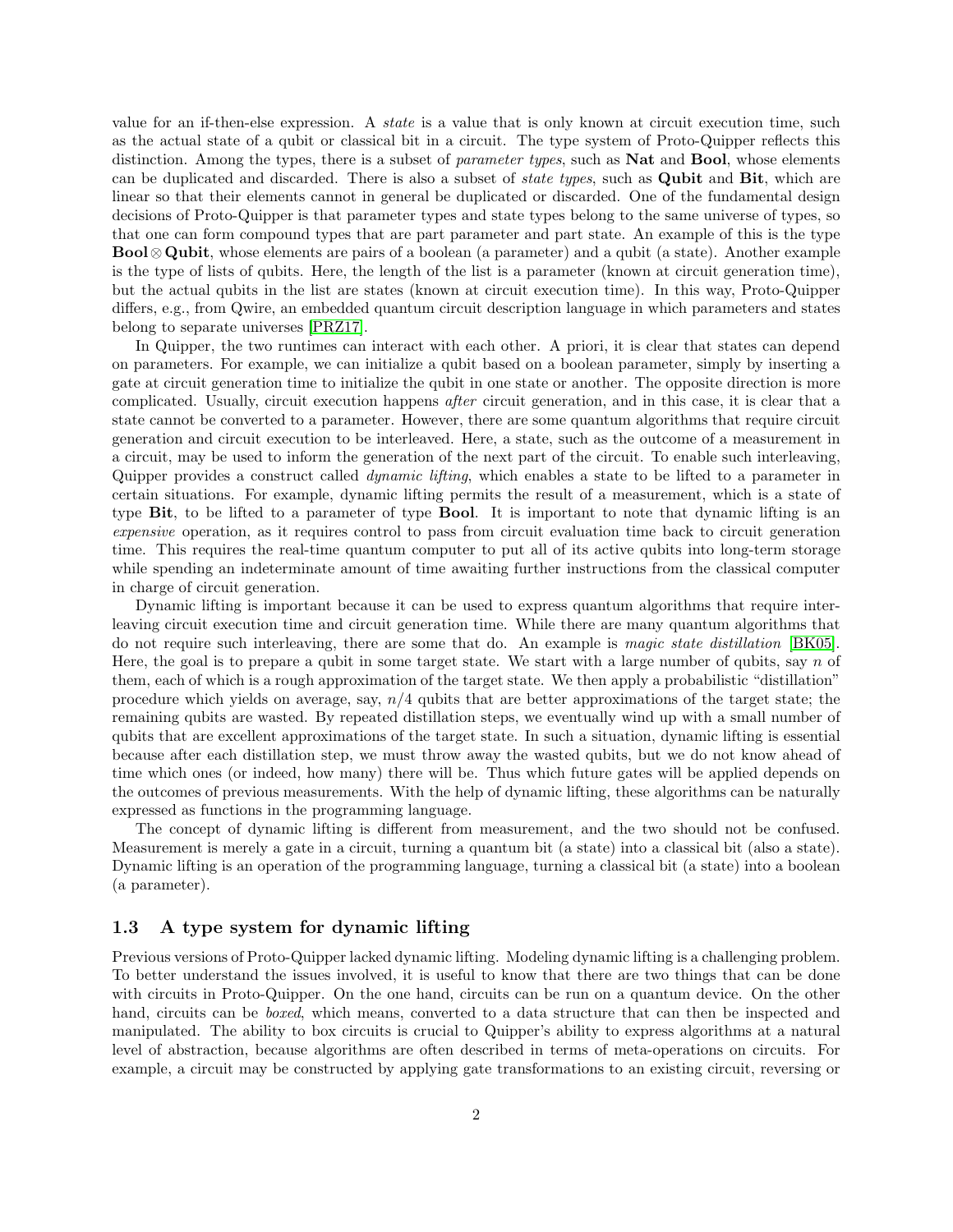value for an if-then-else expression. A *state* is a value that is only known at circuit execution time, such as the actual state of a qubit or classical bit in a circuit. The type system of Proto-Quipper reflects this distinction. Among the types, there is a subset of *parameter types*, such as Nat and Bool, whose elements can be duplicated and discarded. There is also a subset of *state types*, such as Qubit and Bit, which are linear so that their elements cannot in general be duplicated or discarded. One of the fundamental design decisions of Proto-Quipper is that parameter types and state types belong to the same universe of types, so that one can form compound types that are part parameter and part state. An example of this is the type Bool⊗ Qubit, whose elements are pairs of a boolean (a parameter) and a qubit (a state). Another example is the type of lists of qubits. Here, the length of the list is a parameter (known at circuit generation time), but the actual qubits in the list are states (known at circuit execution time). In this way, Proto-Quipper differs, e.g., from Qwire, an embedded quantum circuit description language in which parameters and states belong to separate universes [\[PRZ17\]](#page-21-5).

In Quipper, the two runtimes can interact with each other. A priori, it is clear that states can depend on parameters. For example, we can initialize a qubit based on a boolean parameter, simply by inserting a gate at circuit generation time to initialize the qubit in one state or another. The opposite direction is more complicated. Usually, circuit execution happens *after* circuit generation, and in this case, it is clear that a state cannot be converted to a parameter. However, there are some quantum algorithms that require circuit generation and circuit execution to be interleaved. Here, a state, such as the outcome of a measurement in a circuit, may be used to inform the generation of the next part of the circuit. To enable such interleaving, Quipper provides a construct called *dynamic lifting*, which enables a state to be lifted to a parameter in certain situations. For example, dynamic lifting permits the result of a measurement, which is a state of type Bit, to be lifted to a parameter of type Bool. It is important to note that dynamic lifting is an *expensive* operation, as it requires control to pass from circuit evaluation time back to circuit generation time. This requires the real-time quantum computer to put all of its active qubits into long-term storage while spending an indeterminate amount of time awaiting further instructions from the classical computer in charge of circuit generation.

Dynamic lifting is important because it can be used to express quantum algorithms that require interleaving circuit execution time and circuit generation time. While there are many quantum algorithms that do not require such interleaving, there are some that do. An example is *magic state distillation* [\[BK05\]](#page-20-0). Here, the goal is to prepare a qubit in some target state. We start with a large number of qubits, say n of them, each of which is a rough approximation of the target state. We then apply a probabilistic "distillation" procedure which yields on average, say,  $n/4$  qubits that are better approximations of the target state; the remaining qubits are wasted. By repeated distillation steps, we eventually wind up with a small number of qubits that are excellent approximations of the target state. In such a situation, dynamic lifting is essential because after each distillation step, we must throw away the wasted qubits, but we do not know ahead of time which ones (or indeed, how many) there will be. Thus which future gates will be applied depends on the outcomes of previous measurements. With the help of dynamic lifting, these algorithms can be naturally expressed as functions in the programming language.

The concept of dynamic lifting is different from measurement, and the two should not be confused. Measurement is merely a gate in a circuit, turning a quantum bit (a state) into a classical bit (also a state). Dynamic lifting is an operation of the programming language, turning a classical bit (a state) into a boolean (a parameter).

#### 1.3 A type system for dynamic lifting

Previous versions of Proto-Quipper lacked dynamic lifting. Modeling dynamic lifting is a challenging problem. To better understand the issues involved, it is useful to know that there are two things that can be done with circuits in Proto-Quipper. On the one hand, circuits can be run on a quantum device. On the other hand, circuits can be *boxed*, which means, converted to a data structure that can then be inspected and manipulated. The ability to box circuits is crucial to Quipper's ability to express algorithms at a natural level of abstraction, because algorithms are often described in terms of meta-operations on circuits. For example, a circuit may be constructed by applying gate transformations to an existing circuit, reversing or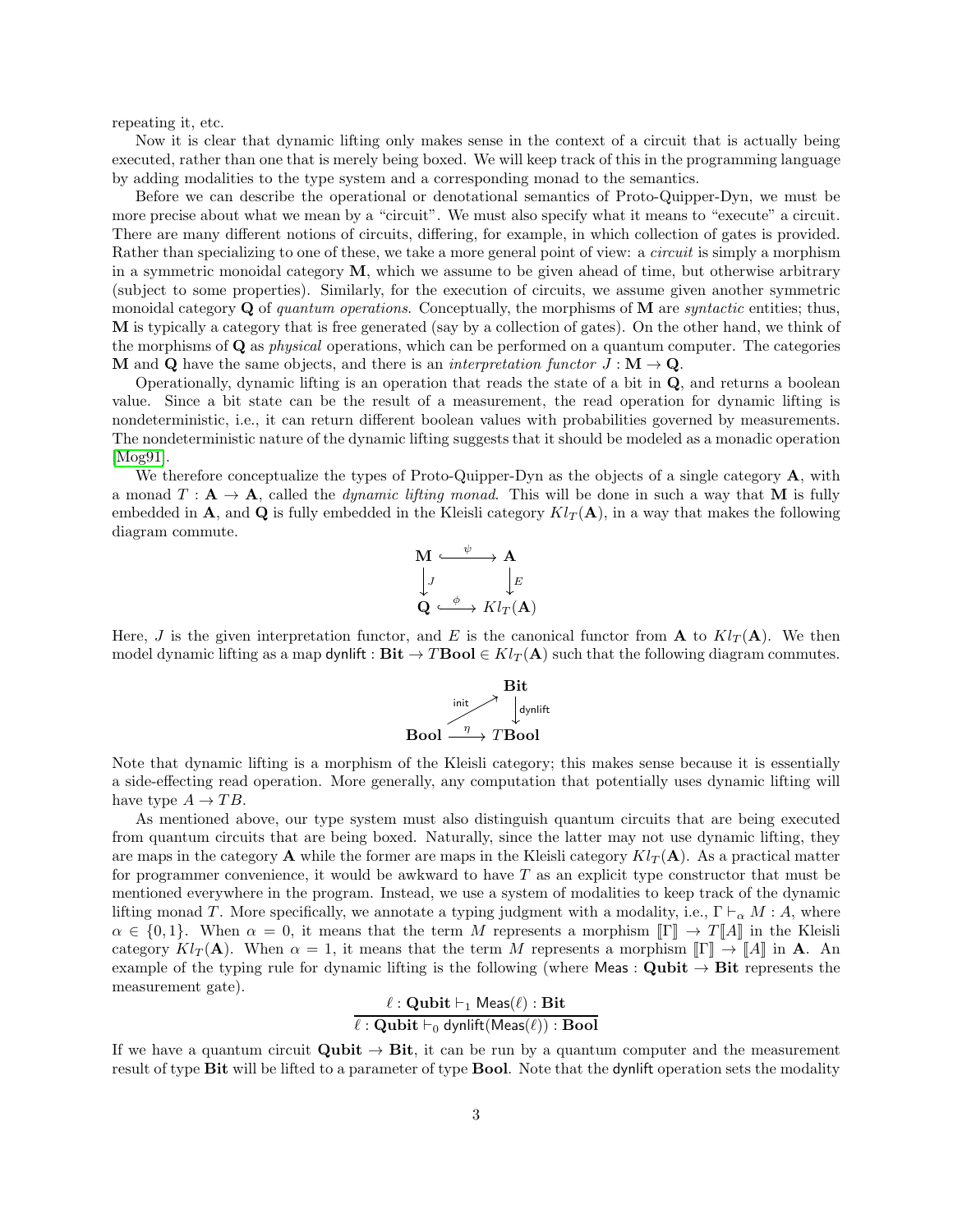repeating it, etc.

Now it is clear that dynamic lifting only makes sense in the context of a circuit that is actually being executed, rather than one that is merely being boxed. We will keep track of this in the programming language by adding modalities to the type system and a corresponding monad to the semantics.

Before we can describe the operational or denotational semantics of Proto-Quipper-Dyn, we must be more precise about what we mean by a "circuit". We must also specify what it means to "execute" a circuit. There are many different notions of circuits, differing, for example, in which collection of gates is provided. Rather than specializing to one of these, we take a more general point of view: a *circuit* is simply a morphism in a symmetric monoidal category M, which we assume to be given ahead of time, but otherwise arbitrary (subject to some properties). Similarly, for the execution of circuits, we assume given another symmetric monoidal category Q of *quantum operations*. Conceptually, the morphisms of M are *syntactic* entities; thus, M is typically a category that is free generated (say by a collection of gates). On the other hand, we think of the morphisms of Q as *physical* operations, which can be performed on a quantum computer. The categories **M** and **Q** have the same objects, and there is an *interpretation functor*  $J : M \to \mathbf{Q}$ .

Operationally, dynamic lifting is an operation that reads the state of a bit in Q, and returns a boolean value. Since a bit state can be the result of a measurement, the read operation for dynamic lifting is nondeterministic, i.e., it can return different boolean values with probabilities governed by measurements. The nondeterministic nature of the dynamic lifting suggests that it should be modeled as a monadic operation [\[Mog91\]](#page-21-6).

We therefore conceptualize the types of Proto-Quipper-Dyn as the objects of a single category  $\mathbf{A}$ , with a monad  $T: \mathbf{A} \to \mathbf{A}$ , called the *dynamic lifting monad*. This will be done in such a way that M is fully embedded in A, and Q is fully embedded in the Kleisli category  $Kl_T(\mathbf{A})$ , in a way that makes the following diagram commute.



Here, J is the given interpretation functor, and E is the canonical functor from **A** to  $Kl_T(\mathbf{A})$ . We then model dynamic lifting as a map dynlift :  $\textbf{Bit} \rightarrow T \textbf{Bool} \in Kl_T(\textbf{A})$  such that the following diagram commutes.

$$
\begin{array}{c}\n\text{Bit} \\
\text{limit} \\
\text{dynlift} \\
\text{Bool} \xrightarrow{\eta} T \text{Bool}\n\end{array}
$$

Note that dynamic lifting is a morphism of the Kleisli category; this makes sense because it is essentially a side-effecting read operation. More generally, any computation that potentially uses dynamic lifting will have type  $A \to TB$ .

As mentioned above, our type system must also distinguish quantum circuits that are being executed from quantum circuits that are being boxed. Naturally, since the latter may not use dynamic lifting, they are maps in the category **A** while the former are maps in the Kleisli category  $Kl_T(\mathbf{A})$ . As a practical matter for programmer convenience, it would be awkward to have  $T$  as an explicit type constructor that must be mentioned everywhere in the program. Instead, we use a system of modalities to keep track of the dynamic lifting monad T. More specifically, we annotate a typing judgment with a modality, i.e.,  $\Gamma \vdash_{\alpha} M : A$ , where  $\alpha \in \{0,1\}$ . When  $\alpha = 0$ , it means that the term M represents a morphism  $\llbracket \Gamma \rrbracket \to T \llbracket A \rrbracket$  in the Kleisli category  $Kl_T(\mathbf{A})$ . When  $\alpha = 1$ , it means that the term M represents a morphism  $[\![\Gamma]\!] \to [\![A]\!]$  in **A**. An example of the typing rule for dynamic lifting is the following (where Meas : Qubit  $\rightarrow$  Bit represents the measurement gate).

# $\ell$  : Qubit  $\vdash_1$  Meas $(\ell)$  : Bit  $\ell$  :  $\mathbf{Qubit}\vdash_0\mathsf{dynlift}(\mathsf{Meas}(\ell))$  :  $\mathbf{Bool}$

If we have a quantum circuit  $\textbf{Qubit} \rightarrow \textbf{Bit}$ , it can be run by a quantum computer and the measurement result of type Bit will be lifted to a parameter of type Bool. Note that the dynlift operation sets the modality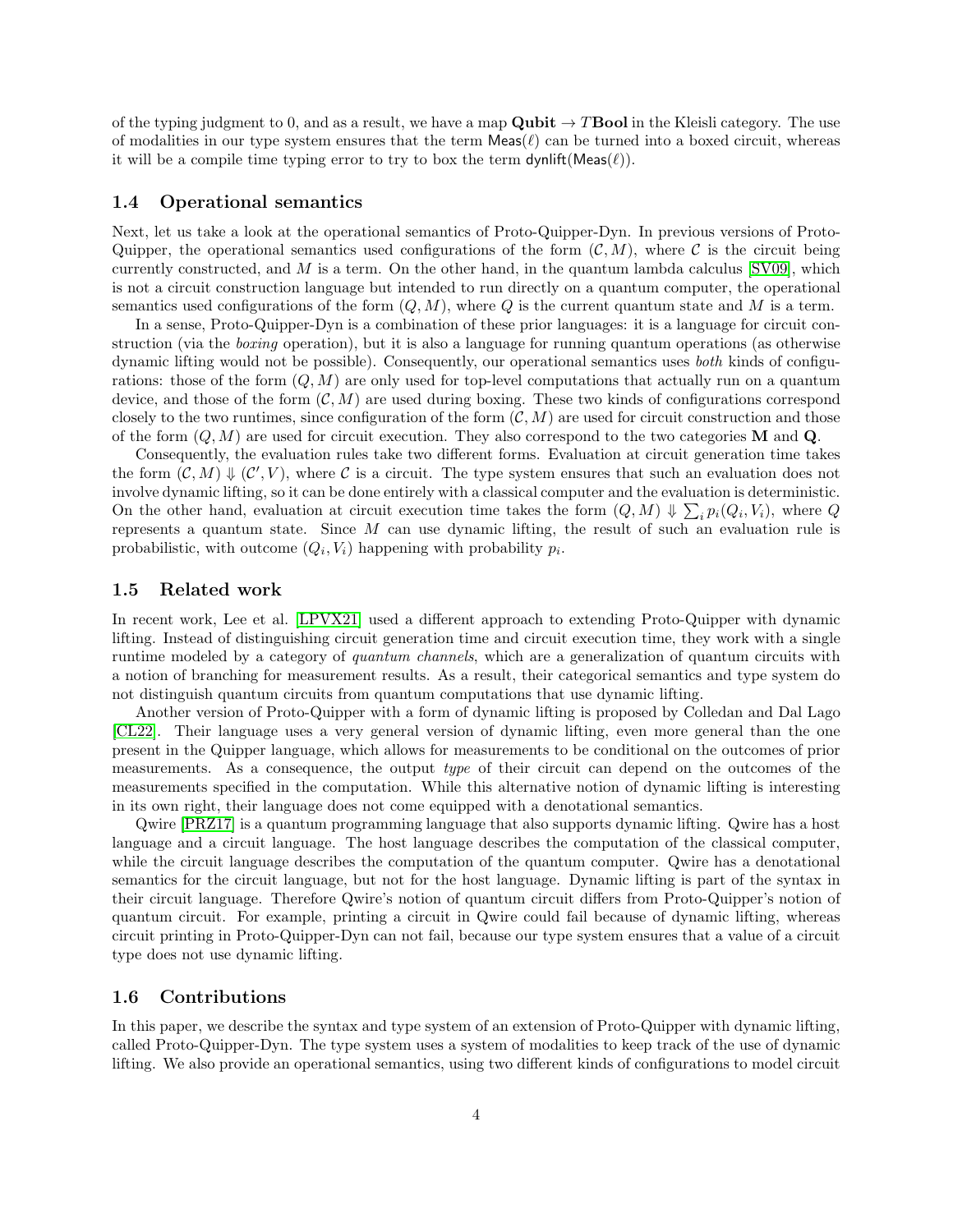of the typing judgment to 0, and as a result, we have a map **Qubit**  $\rightarrow$  **TBool** in the Kleisli category. The use of modalities in our type system ensures that the term  $\textsf{Meas}(\ell)$  can be turned into a boxed circuit, whereas it will be a compile time typing error to try to box the term  $\mathsf{dynlift}(\mathsf{Meas}(\ell)).$ 

#### 1.4 Operational semantics

Next, let us take a look at the operational semantics of Proto-Quipper-Dyn. In previous versions of Proto-Quipper, the operational semantics used configurations of the form  $(C, M)$ , where C is the circuit being currently constructed, and  $M$  is a term. On the other hand, in the quantum lambda calculus  $|SVO9|$ , which is not a circuit construction language but intended to run directly on a quantum computer, the operational semantics used configurations of the form  $(Q, M)$ , where Q is the current quantum state and M is a term.

In a sense, Proto-Quipper-Dyn is a combination of these prior languages: it is a language for circuit construction (via the *boxing* operation), but it is also a language for running quantum operations (as otherwise dynamic lifting would not be possible). Consequently, our operational semantics uses *both* kinds of configurations: those of the form  $(Q, M)$  are only used for top-level computations that actually run on a quantum device, and those of the form  $(C, M)$  are used during boxing. These two kinds of configurations correspond closely to the two runtimes, since configuration of the form  $(C, M)$  are used for circuit construction and those of the form  $(Q, M)$  are used for circuit execution. They also correspond to the two categories **M** and **Q**.

Consequently, the evaluation rules take two different forms. Evaluation at circuit generation time takes the form  $(C, M) \Downarrow (C', V)$ , where C is a circuit. The type system ensures that such an evaluation does not involve dynamic lifting, so it can be done entirely with a classical computer and the evaluation is deterministic. On the other hand, evaluation at circuit execution time takes the form  $(Q, M) \Downarrow \sum_i p_i(Q_i, V_i)$ , where Q represents a quantum state. Since  $M$  can use dynamic lifting, the result of such an evaluation rule is probabilistic, with outcome  $(Q_i, V_i)$  happening with probability  $p_i$ .

### 1.5 Related work

In recent work, Lee et al. [\[LPVX21\]](#page-21-7) used a different approach to extending Proto-Quipper with dynamic lifting. Instead of distinguishing circuit generation time and circuit execution time, they work with a single runtime modeled by a category of *quantum channels*, which are a generalization of quantum circuits with a notion of branching for measurement results. As a result, their categorical semantics and type system do not distinguish quantum circuits from quantum computations that use dynamic lifting.

Another version of Proto-Quipper with a form of dynamic lifting is proposed by Colledan and Dal Lago [\[CL22\]](#page-21-8). Their language uses a very general version of dynamic lifting, even more general than the one present in the Quipper language, which allows for measurements to be conditional on the outcomes of prior measurements. As a consequence, the output *type* of their circuit can depend on the outcomes of the measurements specified in the computation. While this alternative notion of dynamic lifting is interesting in its own right, their language does not come equipped with a denotational semantics.

Qwire [\[PRZ17\]](#page-21-5) is a quantum programming language that also supports dynamic lifting. Qwire has a host language and a circuit language. The host language describes the computation of the classical computer, while the circuit language describes the computation of the quantum computer. Qwire has a denotational semantics for the circuit language, but not for the host language. Dynamic lifting is part of the syntax in their circuit language. Therefore Qwire's notion of quantum circuit differs from Proto-Quipper's notion of quantum circuit. For example, printing a circuit in Qwire could fail because of dynamic lifting, whereas circuit printing in Proto-Quipper-Dyn can not fail, because our type system ensures that a value of a circuit type does not use dynamic lifting.

### 1.6 Contributions

In this paper, we describe the syntax and type system of an extension of Proto-Quipper with dynamic lifting, called Proto-Quipper-Dyn. The type system uses a system of modalities to keep track of the use of dynamic lifting. We also provide an operational semantics, using two different kinds of configurations to model circuit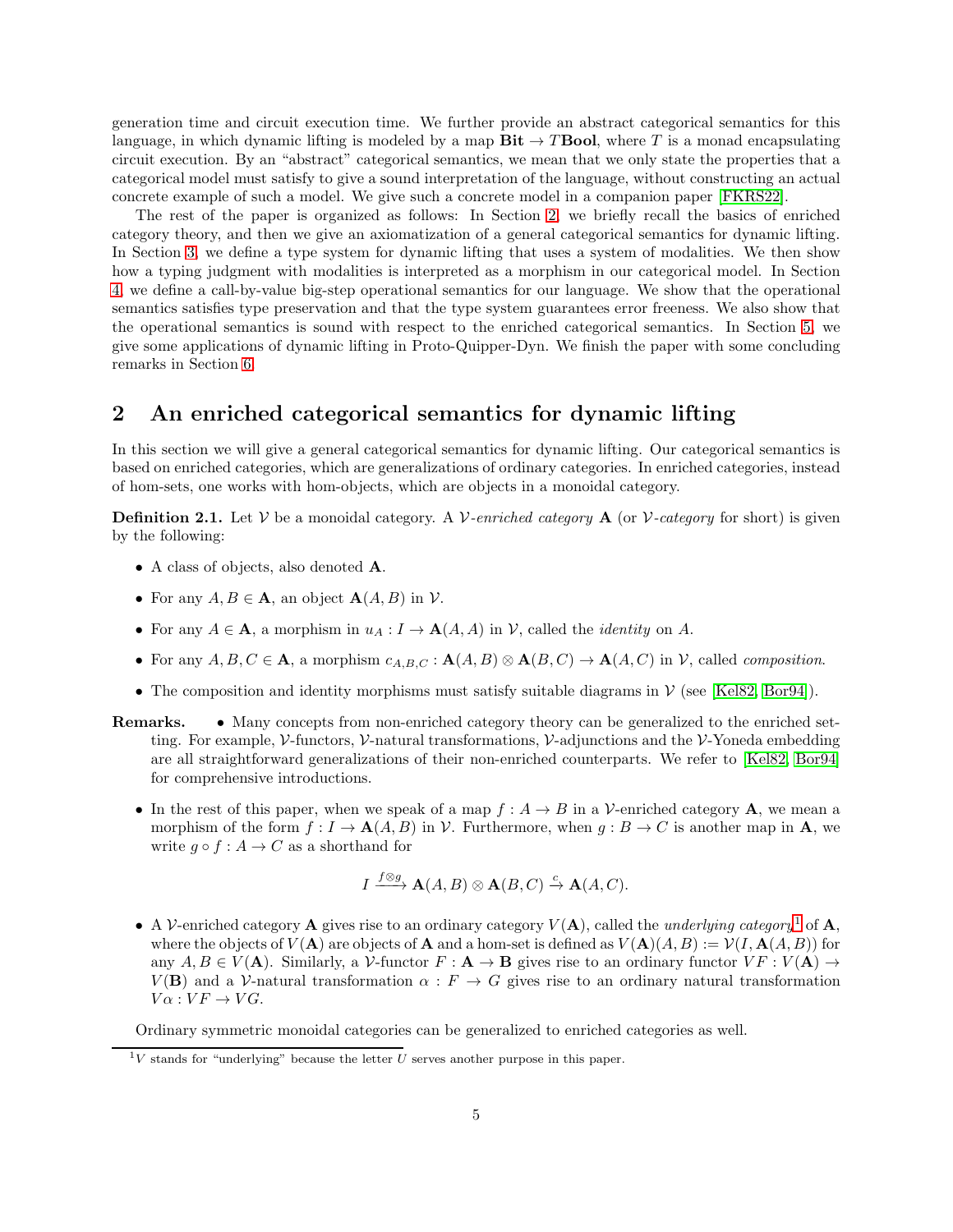generation time and circuit execution time. We further provide an abstract categorical semantics for this language, in which dynamic lifting is modeled by a map  $\text{Bit} \rightarrow T \text{Bool}$ , where T is a monad encapsulating circuit execution. By an "abstract" categorical semantics, we mean that we only state the properties that a categorical model must satisfy to give a sound interpretation of the language, without constructing an actual concrete example of such a model. We give such a concrete model in a companion paper [\[FKRS22\]](#page-21-0).

The rest of the paper is organized as follows: In Section [2,](#page-4-0) we briefly recall the basics of enriched category theory, and then we give an axiomatization of a general categorical semantics for dynamic lifting. In Section [3,](#page-8-0) we define a type system for dynamic lifting that uses a system of modalities. We then show how a typing judgment with modalities is interpreted as a morphism in our categorical model. In Section [4,](#page-12-0) we define a call-by-value big-step operational semantics for our language. We show that the operational semantics satisfies type preservation and that the type system guarantees error freeness. We also show that the operational semantics is sound with respect to the enriched categorical semantics. In Section [5,](#page-17-0) we give some applications of dynamic lifting in Proto-Quipper-Dyn. We finish the paper with some concluding remarks in Section [6.](#page-20-1)

### <span id="page-4-0"></span>2 An enriched categorical semantics for dynamic lifting

In this section we will give a general categorical semantics for dynamic lifting. Our categorical semantics is based on enriched categories, which are generalizations of ordinary categories. In enriched categories, instead of hom-sets, one works with hom-objects, which are objects in a monoidal category.

**Definition 2.1.** Let V be a monoidal category. A V-enriched category **A** (or V-category for short) is given by the following:

- A class of objects, also denoted A.
- For any  $A, B \in \mathbf{A}$ , an object  $\mathbf{A}(A, B)$  in  $\mathcal{V}$ .
- For any  $A \in \mathbf{A}$ , a morphism in  $u_A : I \to \mathbf{A}(A, A)$  in  $\mathcal{V}$ , called the *identity* on A.
- For any  $A, B, C \in \mathbf{A}$ , a morphism  $c_{A,B,C} : \mathbf{A}(A,B) \otimes \mathbf{A}(B,C) \to \mathbf{A}(A,C)$  in  $\mathcal{V}$ , called *composition*.
- The composition and identity morphisms must satisfy suitable diagrams in  $V$  (see [\[Kel82,](#page-21-9) [Bor94\]](#page-21-10)).
- Remarks. Many concepts from non-enriched category theory can be generalized to the enriched setting. For example, V-functors, V-natural transformations, V-adjunctions and the V-Yoneda embedding are all straightforward generalizations of their non-enriched counterparts. We refer to [\[Kel82,](#page-21-9) [Bor94\]](#page-21-10) for comprehensive introductions.
	- In the rest of this paper, when we speak of a map  $f : A \to B$  in a V-enriched category **A**, we mean a morphism of the form  $f: I \to \mathbf{A}(A, B)$  in V. Furthermore, when  $g: B \to C$  is another map in  $\mathbf{A}$ , we write  $g \circ f : A \to C$  as a shorthand for

$$
I \xrightarrow{f \otimes g} \mathbf{A}(A, B) \otimes \mathbf{A}(B, C) \xrightarrow{c} \mathbf{A}(A, C).
$$

• A V-enriched category **A** gives rise to an ordinary category  $V(A)$ , called the *underlying category*<sup>[1](#page-4-1)</sup> of **A**, where the objects of  $V(A)$  are objects of A and a hom-set is defined as  $V(A)(A, B) := V(I, A(A, B))$  for any  $A, B \in V(\mathbf{A})$ . Similarly, a V-functor  $F : \mathbf{A} \to \mathbf{B}$  gives rise to an ordinary functor  $VF : V(\mathbf{A}) \to$  $V(\mathbf{B})$  and a V-natural transformation  $\alpha : F \to G$  gives rise to an ordinary natural transformation  $V\alpha : VF \rightarrow VG.$ 

Ordinary symmetric monoidal categories can be generalized to enriched categories as well.

<span id="page-4-1"></span> $1_V$  stands for "underlying" because the letter U serves another purpose in this paper.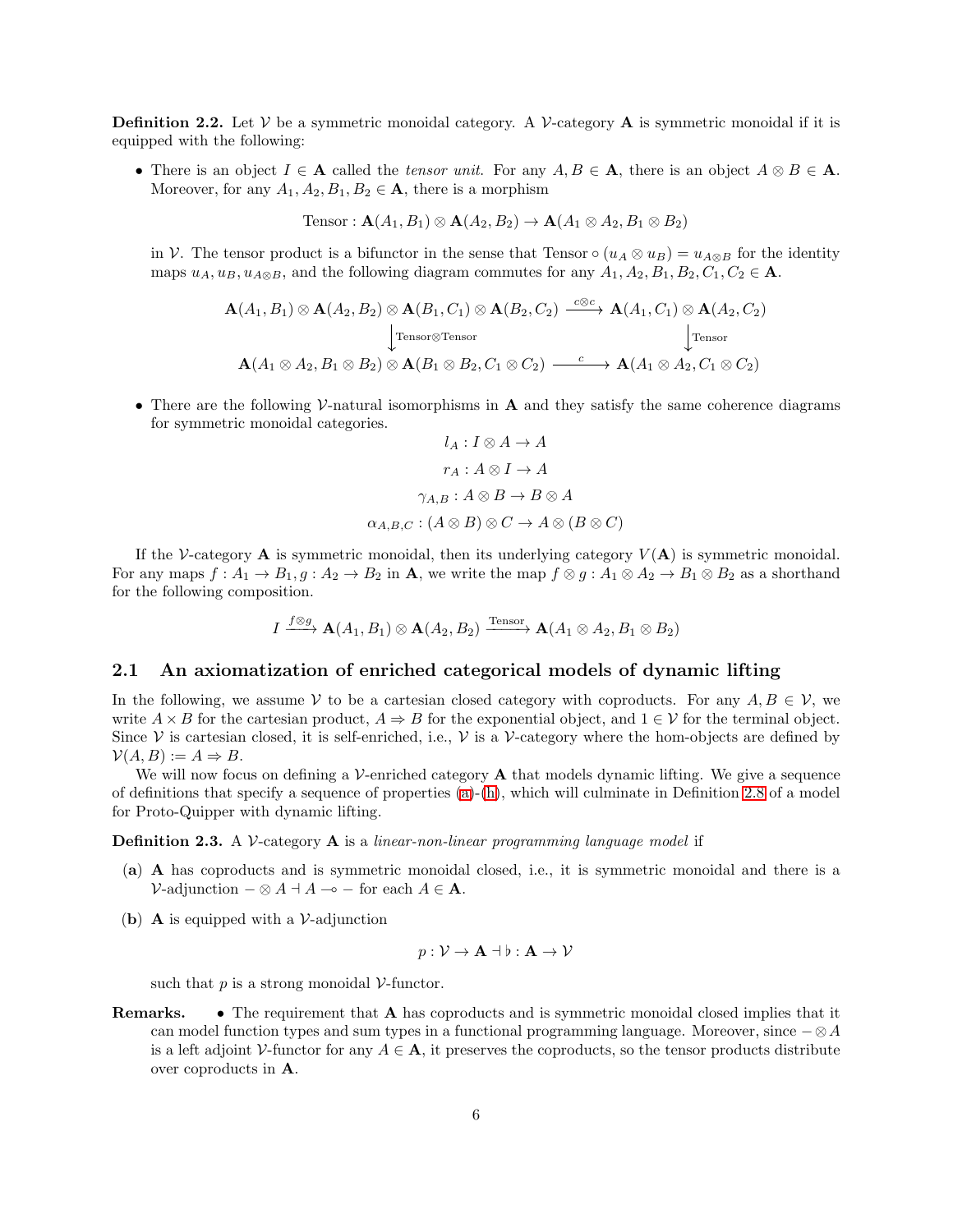**Definition 2.2.** Let V be a symmetric monoidal category. A V-category **A** is symmetric monoidal if it is equipped with the following:

• There is an object  $I \in \mathbf{A}$  called the *tensor unit*. For any  $A, B \in \mathbf{A}$ , there is an object  $A \otimes B \in \mathbf{A}$ . Moreover, for any  $A_1, A_2, B_1, B_2 \in \mathbf{A}$ , there is a morphism

Tensor :  $\mathbf{A}(A_1, B_1) \otimes \mathbf{A}(A_2, B_2) \rightarrow \mathbf{A}(A_1 \otimes A_2, B_1 \otimes B_2)$ 

in V. The tensor product is a bifunctor in the sense that Tensor  $\circ (u_A \otimes u_B) = u_{A \otimes B}$  for the identity maps  $u_A, u_B, u_{A\otimes B}$ , and the following diagram commutes for any  $A_1, A_2, B_1, B_2, C_1, C_2 \in \mathbf{A}$ .

$$
\mathbf{A}(A_1, B_1) \otimes \mathbf{A}(A_2, B_2) \otimes \mathbf{A}(B_1, C_1) \otimes \mathbf{A}(B_2, C_2) \xrightarrow{c \otimes c} \mathbf{A}(A_1, C_1) \otimes \mathbf{A}(A_2, C_2)
$$
\n
$$
\downarrow \text{Tensor}
$$
\n
$$
\mathbf{A}(A_1 \otimes A_2, B_1 \otimes B_2) \otimes \mathbf{A}(B_1 \otimes B_2, C_1 \otimes C_2) \xrightarrow{c} \mathbf{A}(A_1 \otimes A_2, C_1 \otimes C_2)
$$

• There are the following V-natural isomorphisms in  $A$  and they satisfy the same coherence diagrams for symmetric monoidal categories.

$$
l_A: I \otimes A \to A
$$

$$
r_A: A \otimes I \to A
$$

$$
\gamma_{A,B}: A \otimes B \to B \otimes A
$$

$$
\alpha_{A,B,C}: (A \otimes B) \otimes C \to A \otimes (B \otimes C)
$$

If the V-category  $\bf{A}$  is symmetric monoidal, then its underlying category  $V(\bf{A})$  is symmetric monoidal. For any maps  $f: A_1 \to B_1, g: A_2 \to B_2$  in **A**, we write the map  $f \otimes g: A_1 \otimes A_2 \to B_1 \otimes B_2$  as a shorthand for the following composition.

$$
I \xrightarrow{f \otimes g} \mathbf{A}(A_1, B_1) \otimes \mathbf{A}(A_2, B_2) \xrightarrow{\text{Tensor}} \mathbf{A}(A_1 \otimes A_2, B_1 \otimes B_2)
$$

### 2.1 An axiomatization of enriched categorical models of dynamic lifting

In the following, we assume V to be a cartesian closed category with coproducts. For any  $A, B \in V$ , we write  $A \times B$  for the cartesian product,  $A \Rightarrow B$  for the exponential object, and  $1 \in \mathcal{V}$  for the terminal object. Since  $\mathcal V$  is cartesian closed, it is self-enriched, i.e.,  $\mathcal V$  is a  $\mathcal V$ -category where the hom-objects are defined by  $\mathcal{V}(A, B) := A \Rightarrow B.$ 

We will now focus on defining a V-enriched category **A** that models dynamic lifting. We give a sequence of definitions that specify a sequence of properties [\(a\)](#page-5-0)-[\(h\)](#page-7-0), which will culminate in Definition [2.8](#page-8-1) of a model for Proto-Quipper with dynamic lifting.

<span id="page-5-0"></span>Definition 2.3. A V-category A is a *linear-non-linear programming language model* if

- (a) A has coproducts and is symmetric monoidal closed, i.e., it is symmetric monoidal and there is a  $\mathcal{V}\text{-adjunction } - \otimes A \dashv A \multimap - \text{ for each } A \in \mathbf{A}.$
- <span id="page-5-1"></span>(b) **A** is equipped with a  $V$ -adjunction

$$
p: \mathcal{V} \to \mathbf{A} \dashv \flat : \mathbf{A} \to \mathcal{V}
$$

such that  $p$  is a strong monoidal  $V$ -functor.

Remarks. • The requirement that A has coproducts and is symmetric monoidal closed implies that it can model function types and sum types in a functional programming language. Moreover, since  $-\otimes A$ is a left adjoint V-functor for any  $A \in \mathbf{A}$ , it preserves the coproducts, so the tensor products distribute over coproducts in A.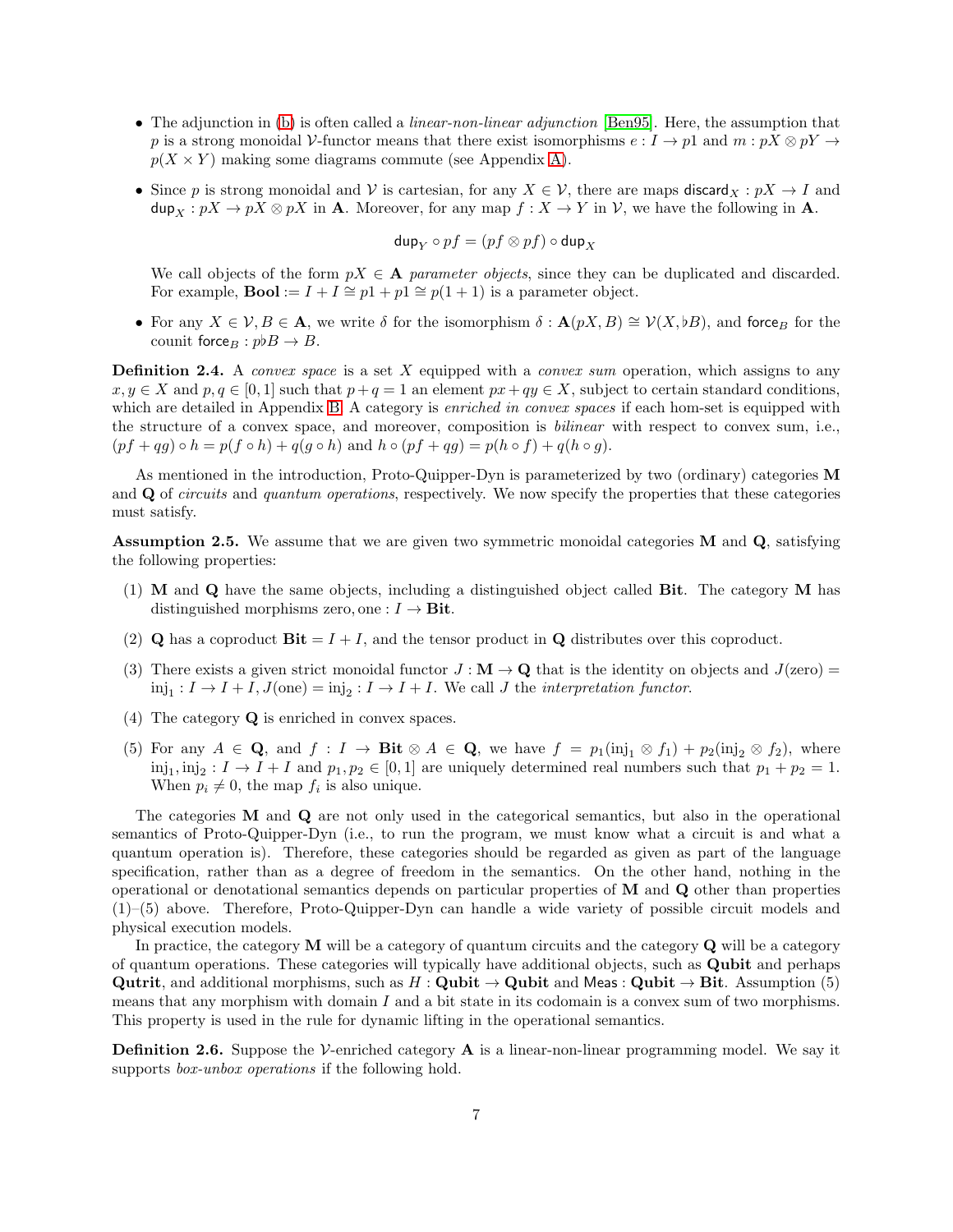- The adjunction in [\(b\)](#page-5-1) is often called a *linear-non-linear adjunction* [\[Ben95\]](#page-20-2). Here, the assumption that p is a strong monoidal V-functor means that there exist isomorphisms  $e: I \to p1$  and  $m: pX \otimes pY \to pY$  $p(X \times Y)$  making some diagrams commute (see Appendix [A\)](#page-22-3).
- Since p is strong monoidal and V is cartesian, for any  $X \in V$ , there are maps discard $_X : pX \to I$  and  $\textsf{dup}_X : pX \to pX \otimes pX$  in **A**. Moreover, for any map  $f : X \to Y$  in  $\mathcal{V}$ , we have the following in **A**.

$$
\mathsf{dup}_Y \circ pf = (pf \otimes pf) \circ \mathsf{dup}_X
$$

We call objects of the form  $pX \in A$  *parameter objects*, since they can be duplicated and discarded. For example, **Bool** :=  $I + I \cong p1 + p1 \cong p(1 + 1)$  is a parameter object.

• For any  $X \in \mathcal{V}, B \in \mathbf{A}$ , we write  $\delta$  for the isomorphism  $\delta : \mathbf{A}(pX, B) \cong \mathcal{V}(X, \flat B)$ , and force for the counit force<sub>B</sub> :  $p \flat B \to B$ .

Definition 2.4. A *convex space* is a set X equipped with a *convex sum* operation, which assigns to any  $x, y \in X$  and  $p, q \in [0, 1]$  such that  $p + q = 1$  an element  $px + qy \in X$ , subject to certain standard conditions, which are detailed in Appendix [B.](#page-22-4) A category is *enriched in convex spaces* if each hom-set is equipped with the structure of a convex space, and moreover, composition is *bilinear* with respect to convex sum, i.e.,  $(pf+qg) \circ h = p(f \circ h) + q(g \circ h)$  and  $h \circ (pf+qg) = p(h \circ f) + q(h \circ g)$ .

As mentioned in the introduction, Proto-Quipper-Dyn is parameterized by two (ordinary) categories M and Q of *circuits* and *quantum operations*, respectively. We now specify the properties that these categories must satisfy.

<span id="page-6-0"></span>Assumption 2.5. We assume that we are given two symmetric monoidal categories M and Q, satisfying the following properties:

- (1) M and Q have the same objects, including a distinguished object called Bit. The category M has distinguished morphisms zero, one :  $I \rightarrow$  Bit.
- (2) **Q** has a coproduct  $\textbf{Bit} = I + I$ , and the tensor product in **Q** distributes over this coproduct.
- (3) There exists a given strict monoidal functor  $J : \mathbf{M} \to \mathbf{Q}$  that is the identity on objects and  $J(\text{zero}) =$  $\text{inj}_1: I \to I + I, J(\text{one}) = \text{inj}_2: I \to I + I$ . We call *J* the *interpretation functor*.
- (4) The category Q is enriched in convex spaces.
- (5) For any  $A \in \mathbf{Q}$ , and  $f : I \to \mathbf{Bit} \otimes A \in \mathbf{Q}$ , we have  $f = p_1(i) \cup \{i\} + p_2(i) \cup \{j\} \otimes f_2$ , where  $\text{inj}_1, \text{inj}_2: I \to I + I$  and  $p_1, p_2 \in [0, 1]$  are uniquely determined real numbers such that  $p_1 + p_2 = 1$ . When  $p_i \neq 0$ , the map  $f_i$  is also unique.

The categories  **and**  $**Q**$  **are not only used in the categorical semantics, but also in the operational** semantics of Proto-Quipper-Dyn (i.e., to run the program, we must know what a circuit is and what a quantum operation is). Therefore, these categories should be regarded as given as part of the language specification, rather than as a degree of freedom in the semantics. On the other hand, nothing in the operational or denotational semantics depends on particular properties of M and Q other than properties (1)–(5) above. Therefore, Proto-Quipper-Dyn can handle a wide variety of possible circuit models and physical execution models.

In practice, the category  $M$  will be a category of quantum circuits and the category  $Q$  will be a category of quantum operations. These categories will typically have additional objects, such as Qubit and perhaps Qutrit, and additional morphisms, such as  $H : \mathbf{Qubit} \to \mathbf{Qubit}$  and Meas :  $\mathbf{Qubit} \to \mathbf{Bit}$ . Assumption (5) means that any morphism with domain I and a bit state in its codomain is a convex sum of two morphisms. This property is used in the rule for dynamic lifting in the operational semantics.

**Definition 2.6.** Suppose the V-enriched category  $\bf{A}$  is a linear-non-linear programming model. We say it supports *box-unbox operations* if the following hold.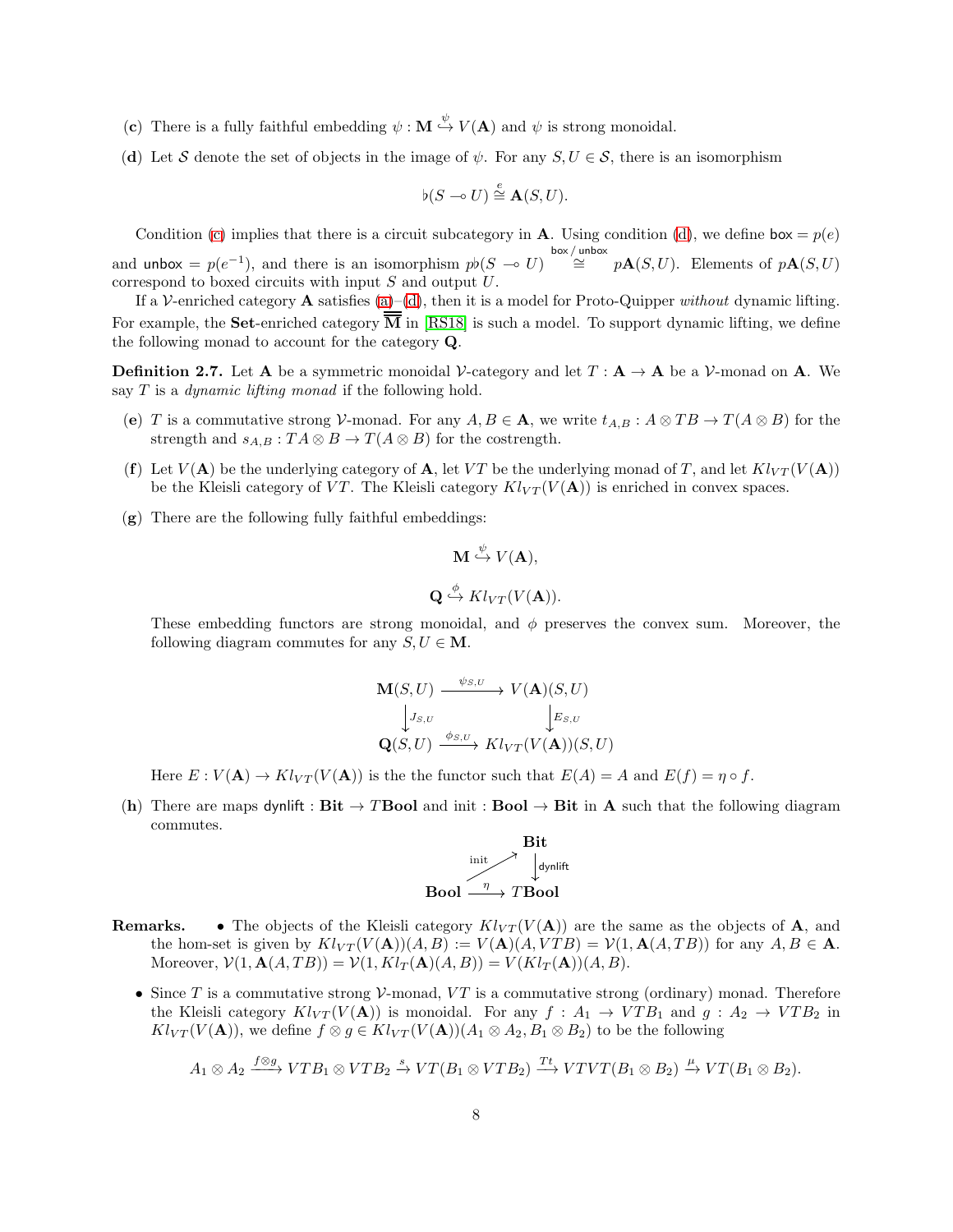- <span id="page-7-2"></span><span id="page-7-1"></span>(c) There is a fully faithful embedding  $\psi : \mathbf{M} \stackrel{\psi}{\hookrightarrow} V(\mathbf{A})$  and  $\psi$  is strong monoidal.
- (d) Let S denote the set of objects in the image of  $\psi$ . For any  $S, U \in S$ , there is an isomorphism

$$
\flat(S \multimap U) \stackrel{e}{\cong} \mathbf{A}(S, U).
$$

Condition [\(c\)](#page-7-1) implies that there is a circuit subcategory in **A**. Using condition [\(d\)](#page-7-2), we define  $\mathbf{box} = p(e)$ and unbox =  $p(e^{-1})$ , and there is an isomorphism  $p\nmid (S \multimap U) \stackrel{\text{box/unbox}}{\cong} p\mathbf{A}(S, U)$ . Elements of  $p\mathbf{A}(S, U)$ correspond to boxed circuits with input S and output U.

If a V-enriched category A satisfies [\(a\)](#page-5-0)–[\(d\)](#page-7-2), then it is a model for Proto-Quipper *without* dynamic lifting. For example, the **Set-**enriched category  $\overline{M}$  in [\[RS18\]](#page-22-1) is such a model. To support dynamic lifting, we define the following monad to account for the category Q.

**Definition 2.7.** Let **A** be a symmetric monoidal V-category and let  $T : A \rightarrow A$  be a V-monad on **A**. We say T is a *dynamic lifting monad* if the following hold.

- (e) T is a commutative strong V-monad. For any  $A, B \in \mathbf{A}$ , we write  $t_{A,B} : A \otimes TB \to T(A \otimes B)$  for the strength and  $s_{A,B} : TA \otimes B \to T(A \otimes B)$  for the costrength.
- (f) Let  $V(A)$  be the underlying category of A, let VT be the underlying monad of T, and let  $Kl_{VT}(V(A))$ be the Kleisli category of VT. The Kleisli category  $Kl_{VT}(V(\mathbf{A}))$  is enriched in convex spaces.
- <span id="page-7-3"></span>(g) There are the following fully faithful embeddings:

$$
\mathbf{M} \stackrel{\psi}{\hookrightarrow} V(\mathbf{A}),
$$
  

$$
\mathbf{Q} \stackrel{\phi}{\hookrightarrow} Kl_{VT}(V(\mathbf{A})).
$$

These embedding functors are strong monoidal, and  $\phi$  preserves the convex sum. Moreover, the following diagram commutes for any  $S, U \in \mathbf{M}$ .

$$
\begin{array}{ccc}\n\mathbf{M}(S, U) & \xrightarrow{\psi_{S,U}} & V(\mathbf{A})(S, U) \\
\downarrow J_{S,U} & & \downarrow E_{S,U} \\
\mathbf{Q}(S, U) & \xrightarrow{\phi_{S,U}} & Kl_{VT}(V(\mathbf{A}))(S, U)\n\end{array}
$$

Here  $E: V(\mathbf{A}) \to Kl_{VT}(V(\mathbf{A}))$  is the functor such that  $E(A) = A$  and  $E(f) = \eta \circ f$ .

<span id="page-7-0"></span>(h) There are maps dynlift :  $Bit \rightarrow TBool$  and init :  $Bool \rightarrow Bit$  in A such that the following diagram commutes.

$$
\begin{array}{c}\n\text{Bit} \\
\text{limit} \\
\downarrow \text{dynlift} \\
\text{Bool} \xrightarrow{\eta} T \text{Bool}\n\end{array}
$$

- **Remarks.** The objects of the Kleisli category  $Kl_{VT}(V(A))$  are the same as the objects of A, and the hom-set is given by  $Kl_{VT}(V(A))(A, B) := V(A)(A, VTB) = V(1, A(A, TB))$  for any  $A, B \in \mathbf{A}$ . Moreover,  $V(1, \mathbf{A}(A, TB)) = V(1, Kl_T(\mathbf{A})(A, B)) = V(Kl_T(\mathbf{A}))(A, B).$ 
	- Since T is a commutative strong  $V$ -monad, VT is a commutative strong (ordinary) monad. Therefore the Kleisli category  $Kl_{VT}(V(\mathbf{A}))$  is monoidal. For any  $f : A_1 \to VTB_1$  and  $g : A_2 \to VTB_2$  in  $Kl_{VT}(V(\mathbf{A})),$  we define  $f \otimes g \in Kl_{VT}(V(\mathbf{A}))(A_1 \otimes A_2, B_1 \otimes B_2)$  to be the following

$$
A_1 \otimes A_2 \xrightarrow{f \otimes g} VTB_1 \otimes VTB_2 \xrightarrow{s} V T(B_1 \otimes VTB_2) \xrightarrow{Tt} VTVT(B_1 \otimes B_2) \xrightarrow{\mu} V T(B_1 \otimes B_2).
$$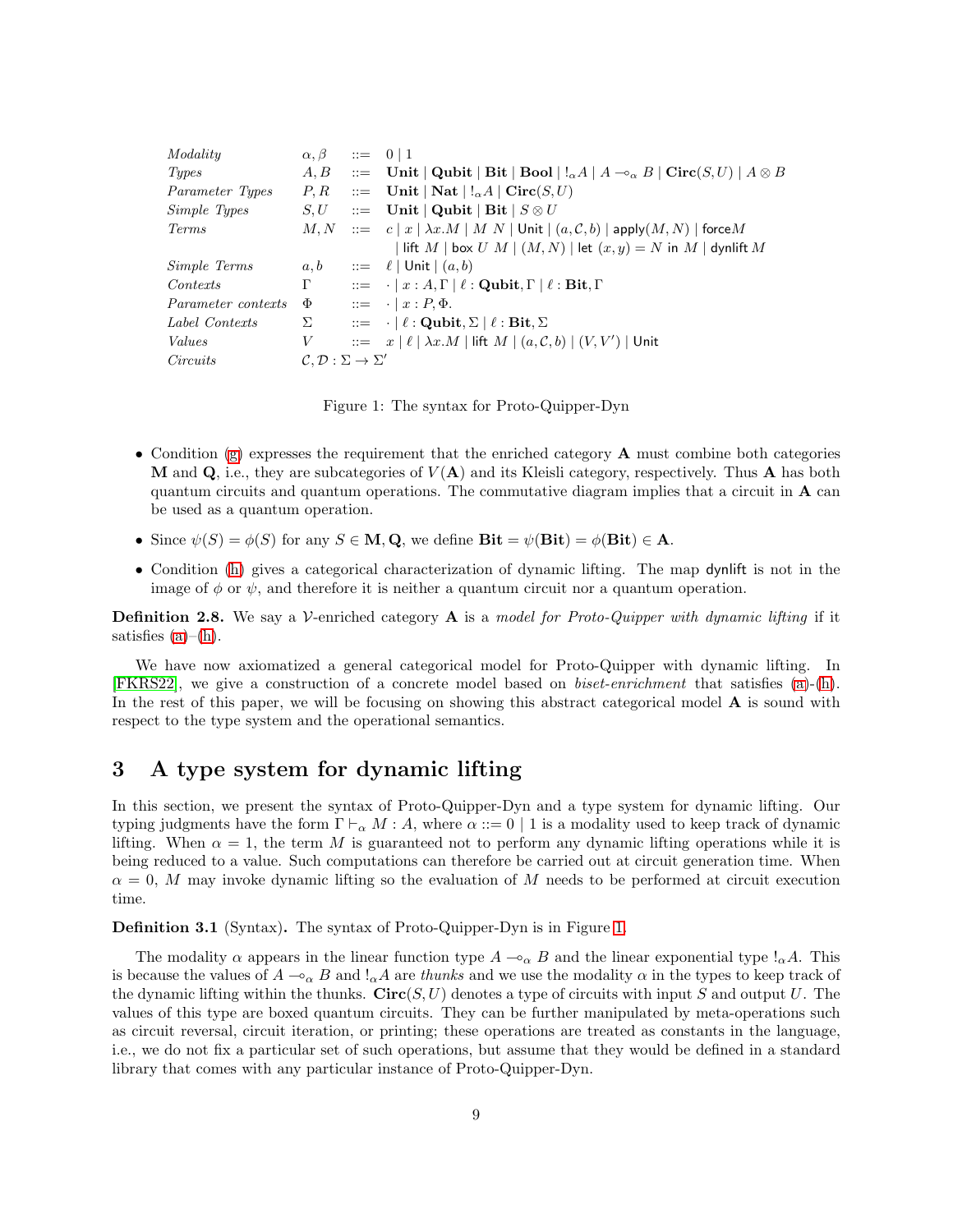|          | $A, B$ ::= Unit   Qubit   Bit   Bool   $!_{\alpha}A \mid A \rightarrow_{\alpha} B$   Circ $(S, U) \mid A \otimes B$ |
|----------|---------------------------------------------------------------------------------------------------------------------|
|          | $P, R$ ::= Unit   Nat   ! $_{\alpha}A$   Circ $(S, U)$                                                              |
|          | $S, U$ ::= Unit   Qubit   Bit   $S \otimes U$                                                                       |
|          | $M, N$ ::= $c  x   \lambda x.M   M N$ Unit $ (a, \mathcal{C}, b) $ apply $(M, N)$   force M                         |
|          | lift $M$   box $U M$   $(M, N)$   let $(x, y) = N$ in $M$   dynlift $M$                                             |
| a, b     | $\equiv$ $\ell$   Unit   $(a, b)$                                                                                   |
| $\Gamma$ | $\therefore = \cdot   x : A, \Gamma   \ell : \text{Qubit}, \Gamma   \ell : \text{Bit}, \Gamma$                      |
| $\Phi$   | $\therefore = \cdot   x : P, \Phi.$                                                                                 |
| Σ        | $\therefore = \cdot   \ell : \text{Qubit}, \Sigma   \ell : \text{Bit}, \Sigma$                                      |
| V        | $\therefore$ $x \mid \ell \mid \lambda x.M \mid$ lift $M \mid (a, \mathcal{C}, b) \mid (V, V') \mid$ Unit           |
|          |                                                                                                                     |
|          | $\alpha, \beta$ ::= 0   1<br>$\mathcal{C}, \mathcal{D}: \Sigma \to \Sigma'$                                         |

<span id="page-8-2"></span>Figure 1: The syntax for Proto-Quipper-Dyn

- Condition [\(g\)](#page-7-3) expresses the requirement that the enriched category **A** must combine both categories **M** and **Q**, i.e., they are subcategories of  $V(A)$  and its Kleisli category, respectively. Thus **A** has both quantum circuits and quantum operations. The commutative diagram implies that a circuit in A can be used as a quantum operation.
- Since  $\psi(S) = \phi(S)$  for any  $S \in \mathbf{M}, \mathbf{Q}$ , we define  $\mathbf{Bit} = \psi(\mathbf{Bit}) = \phi(\mathbf{Bit}) \in \mathbf{A}$ .
- Condition [\(h\)](#page-7-0) gives a categorical characterization of dynamic lifting. The map dynlift is not in the image of  $\phi$  or  $\psi$ , and therefore it is neither a quantum circuit nor a quantum operation.

<span id="page-8-1"></span>Definition 2.8. We say a V-enriched category A is a *model for Proto-Quipper with dynamic lifting* if it satisfies  $(a)$ – $(h)$ .

We have now axiomatized a general categorical model for Proto-Quipper with dynamic lifting. In [\[FKRS22\]](#page-21-0), we give a construction of a concrete model based on *biset-enrichment* that satisfies [\(a\)](#page-5-0)-[\(h\)](#page-7-0). In the rest of this paper, we will be focusing on showing this abstract categorical model **A** is sound with respect to the type system and the operational semantics.

# <span id="page-8-0"></span>3 A type system for dynamic lifting

In this section, we present the syntax of Proto-Quipper-Dyn and a type system for dynamic lifting. Our typing judgments have the form  $\Gamma \vdash_{\alpha} M : A$ , where  $\alpha ::= 0 \mid 1$  is a modality used to keep track of dynamic lifting. When  $\alpha = 1$ , the term M is guaranteed not to perform any dynamic lifting operations while it is being reduced to a value. Such computations can therefore be carried out at circuit generation time. When  $\alpha = 0$ , M may invoke dynamic lifting so the evaluation of M needs to be performed at circuit execution time.

Definition 3.1 (Syntax). The syntax of Proto-Quipper-Dyn is in Figure [1.](#page-8-2)

The modality  $\alpha$  appears in the linear function type  $A \rightarrow_{\alpha} B$  and the linear exponential type  $\alpha A$ . This is because the values of  $A \rightharpoonup_{\alpha} B$  and  $\vert_{\alpha} A$  are *thunks* and we use the modality  $\alpha$  in the types to keep track of the dynamic lifting within the thunks.  $Circ(S, U)$  denotes a type of circuits with input S and output U. The values of this type are boxed quantum circuits. They can be further manipulated by meta-operations such as circuit reversal, circuit iteration, or printing; these operations are treated as constants in the language, i.e., we do not fix a particular set of such operations, but assume that they would be defined in a standard library that comes with any particular instance of Proto-Quipper-Dyn.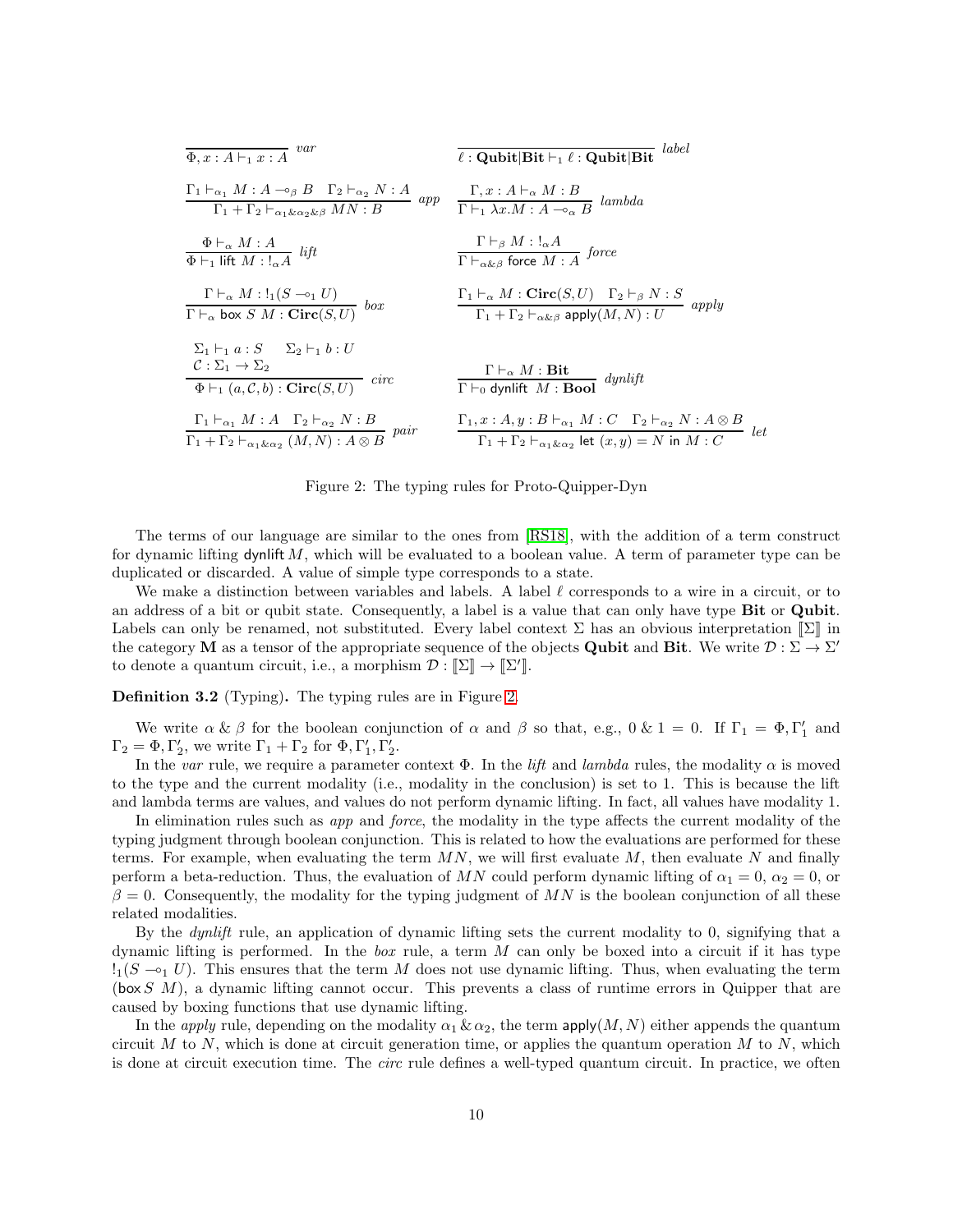| $\overline{\Phi, x : A \vdash_1 x : A}$ var                                                                                                                                            | label<br>$\ell$ : Qubit Bit $\vdash_1 \ell$ : Qubit Bit                                                                                                                                      |
|----------------------------------------------------------------------------------------------------------------------------------------------------------------------------------------|----------------------------------------------------------------------------------------------------------------------------------------------------------------------------------------------|
| $\frac{\Gamma_1 \vdash_{\alpha_1} M : A \multimap_{\beta} B \quad \Gamma_2 \vdash_{\alpha_2} N : A}{\Gamma_1 + \Gamma_2 \vdash_{\alpha_1 \& \alpha_2 \& \beta} MN : B} \quad app$      | $\frac{\Gamma, x:A\vdash_{\alpha} M:B}{\Gamma\vdash_{1}\lambda x.M:A\multimap_{\alpha} B} \quad lambda$                                                                                      |
| $\frac{\Phi \vdash_{\alpha} M : A}{\Phi \vdash_1 \text{ lift } M : !_{\alpha} A}$ lift                                                                                                 | $\frac{\Gamma\vdash_{\beta} M\colon !_{\alpha}A}{\Gamma\vdash_{\alpha\&\beta} \text{ force }M:A} \; \text{force}$                                                                            |
| $\frac{\Gamma\vdash_{\alpha} M:!_1(S\multimap_1 U)}{\Gamma\vdash_{\alpha} \text{ box } S M: \text{Circ}(S, U)} \text{ box}$                                                            | $\frac{\Gamma_1 \vdash_{\alpha} M : \mathbf{Circ}(S, U) \quad \Gamma_2 \vdash_{\beta} N : S}{\Gamma_1 + \Gamma_2 \vdash_{\alpha \& \beta} \mathsf{apply}(M, N) : U} \text{ apply}$           |
| $\Sigma_1 \vdash_1 a : S \quad \Sigma_2 \vdash_1 b : U$<br>$\mathcal{C}: \Sigma_1 \to \Sigma_2$<br>$\overline{\Phi \vdash_1 (a, \mathcal{C}, b) : \text{Circ}(S, U)}$<br>$\emph{circ}$ | $\frac{\Gamma\vdash_{\alpha} M:\mathbf{Bit}}{\Gamma\vdash_{0} \text{dynlift }M:\mathbf{Bool}} \text{dynlift}$                                                                                |
| $\frac{\Gamma_1 \vdash_{\alpha_1} M : A \quad \Gamma_2 \vdash_{\alpha_2} N : B}{\Gamma_1 + \Gamma_2 \vdash_{\alpha_1} \&_{\alpha_2} (M, N) : A \otimes B} \ \text{pair}$               | $\frac{\Gamma_1, x:A, y:B\vdash_{\alpha_1} M:C \quad \Gamma_2 \vdash_{\alpha_2} N:A\otimes B}{\Gamma_1+\Gamma_2 \vdash_{\alpha_1 \& \alpha_2} \mathsf{let}(x,y)=N \mathsf{ in } M:C}$<br>let |

<span id="page-9-0"></span>Figure 2: The typing rules for Proto-Quipper-Dyn

The terms of our language are similar to the ones from [\[RS18\]](#page-22-1), with the addition of a term construct for dynamic lifting dynlift  $M$ , which will be evaluated to a boolean value. A term of parameter type can be duplicated or discarded. A value of simple type corresponds to a state.

We make a distinction between variables and labels. A label  $\ell$  corresponds to a wire in a circuit, or to an address of a bit or qubit state. Consequently, a label is a value that can only have type Bit or Qubit. Labels can only be renamed, not substituted. Every label context  $\Sigma$  has an obvious interpretation  $[\Sigma]$  in the category **M** as a tensor of the appropriate sequence of the objects **Qubit** and **Bit**. We write  $\mathcal{D}: \Sigma \to \Sigma'$ to denote a quantum circuit, i.e., a morphism  $\mathcal{D} : [\![\Sigma]\!] \to [\![\Sigma']\!]$ .

Definition 3.2 (Typing). The typing rules are in Figure [2.](#page-9-0)

We write  $\alpha \& \beta$  for the boolean conjunction of  $\alpha$  and  $\beta$  so that, e.g.,  $0 \& 1 = 0$ . If  $\Gamma_1 = \Phi, \Gamma'_1$  and  $\Gamma_2 = \Phi, \Gamma'_2$ , we write  $\Gamma_1 + \Gamma_2$  for  $\Phi, \Gamma'_1, \Gamma'_2$ .

In the *var* rule, we require a parameter context  $\Phi$ . In the *lift* and *lambda* rules, the modality  $\alpha$  is moved to the type and the current modality (i.e., modality in the conclusion) is set to 1. This is because the lift and lambda terms are values, and values do not perform dynamic lifting. In fact, all values have modality 1.

In elimination rules such as *app* and *force*, the modality in the type affects the current modality of the typing judgment through boolean conjunction. This is related to how the evaluations are performed for these terms. For example, when evaluating the term  $MN$ , we will first evaluate  $M$ , then evaluate N and finally perform a beta-reduction. Thus, the evaluation of MN could perform dynamic lifting of  $\alpha_1 = 0$ ,  $\alpha_2 = 0$ , or  $\beta = 0$ . Consequently, the modality for the typing judgment of MN is the boolean conjunction of all these related modalities.

By the *dynlift* rule, an application of dynamic lifting sets the current modality to 0, signifying that a dynamic lifting is performed. In the *box* rule, a term M can only be boxed into a circuit if it has type  $!_1(S \multimap_1 U)$ . This ensures that the term M does not use dynamic lifting. Thus, when evaluating the term  $(\text{box } S \ M)$ , a dynamic lifting cannot occur. This prevents a class of runtime errors in Quipper that are caused by boxing functions that use dynamic lifting.

In the *apply* rule, depending on the modality  $\alpha_1 \& \alpha_2$ , the term apply $(M, N)$  either appends the quantum circuit M to N, which is done at circuit generation time, or applies the quantum operation  $M$  to  $N$ , which is done at circuit execution time. The *circ* rule defines a well-typed quantum circuit. In practice, we often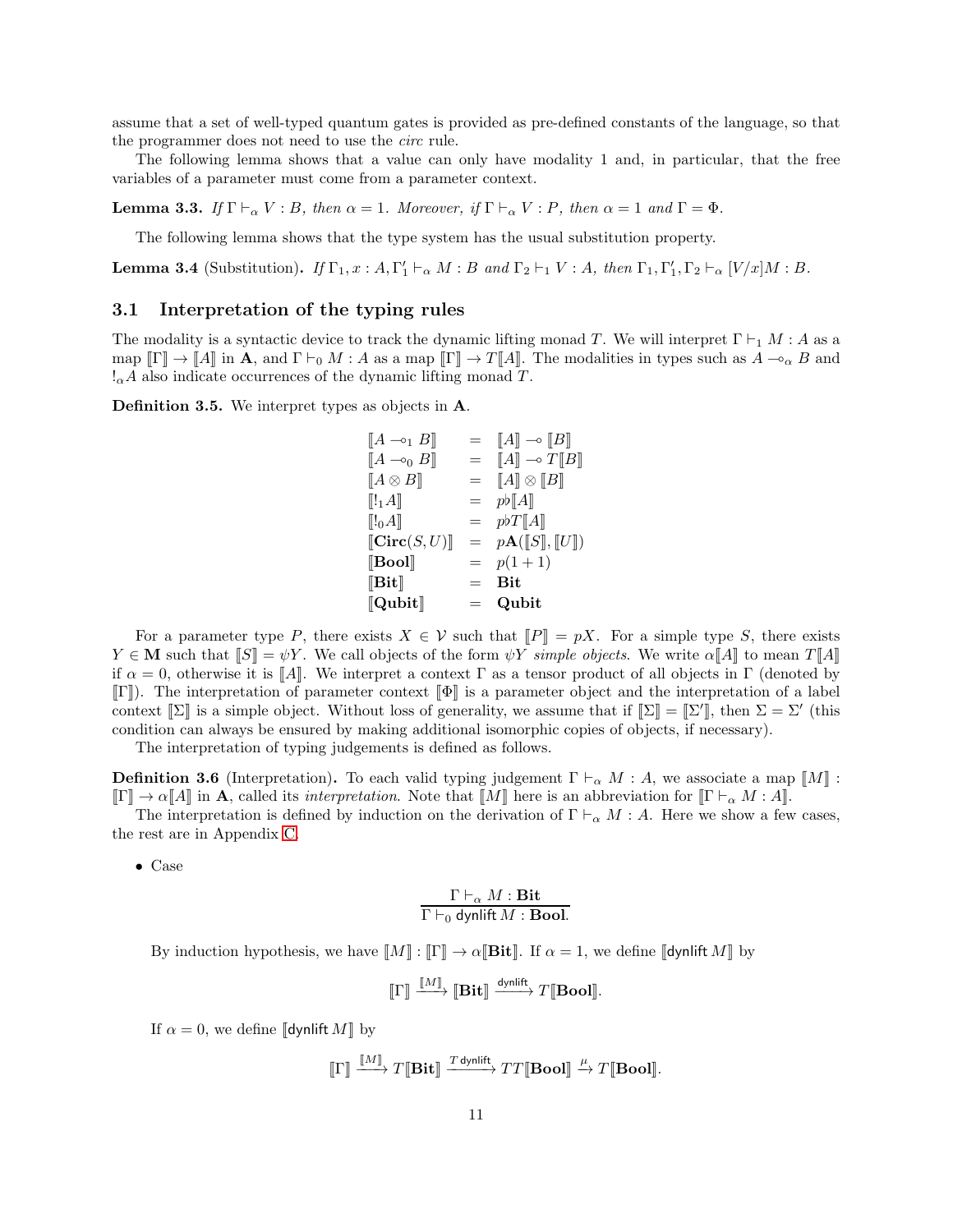assume that a set of well-typed quantum gates is provided as pre-defined constants of the language, so that the programmer does not need to use the *circ* rule.

The following lemma shows that a value can only have modality 1 and, in particular, that the free variables of a parameter must come from a parameter context.

<span id="page-10-1"></span>**Lemma 3.3.** *If*  $\Gamma \vdash_{\alpha} V : B$ *, then*  $\alpha = 1$ *. Moreover, if*  $\Gamma \vdash_{\alpha} V : P$ *, then*  $\alpha = 1$  *and*  $\Gamma = \Phi$ *.* 

The following lemma shows that the type system has the usual substitution property.

**Lemma 3.4** (Substitution). *If*  $\Gamma_1, x : A, \Gamma'_1 \vdash_{\alpha} M : B$  *and*  $\Gamma_2 \vdash_1 V : A$ *, then*  $\Gamma_1, \Gamma'_1, \Gamma_2 \vdash_{\alpha} [V/x]M : B$ *.* 

### 3.1 Interpretation of the typing rules

The modality is a syntactic device to track the dynamic lifting monad T. We will interpret  $\Gamma \vdash_1 M : A$  as a map  $\llbracket \Gamma \rrbracket \to \llbracket A \rrbracket$  in **A**, and  $\Gamma \vdash_0 M : A$  as a map  $\llbracket \Gamma \rrbracket \to T \llbracket A \rrbracket$ . The modalities in types such as  $A \multimap_{\alpha} B$  and  $\alpha A$  also indicate occurrences of the dynamic lifting monad T.

Definition 3.5. We interpret types as objects in A.

$$
\begin{array}{rcl}\n[A \neg_1 B] & = & [A] \neg_0 [B] \\
[A \neg_0 B] & = & [A] \neg_0 T [B] \\
[A \otimes B] & = & [A] \otimes [B] \\
[[1A] & = & pb[A] \\
[[0A] & = & pbT[A] \\
[\text{Circ}(S, U)] & = & pA([S], [U]) \\
[\text{Bool}] & = & p(1+1) \\
[\text{Bit}] & = & \text{Bit} \\
[\text{Qubit}] & = & \text{Qubit}\n\end{array}
$$

For a parameter type P, there exists  $X \in \mathcal{V}$  such that  $\llbracket P \rrbracket = pX$ . For a simple type S, there exists  $Y \in \mathbf{M}$  such that  $\|S\| = \psi Y$ . We call objects of the form  $\psi Y$  *simple objects*. We write  $\alpha \|A\|$  to mean  $T \|A\|$ if  $\alpha = 0$ , otherwise it is  $\llbracket A \rrbracket$ . We interpret a context  $\Gamma$  as a tensor product of all objects in  $\Gamma$  (denoted by  $\llbracket \Gamma \rrbracket$ ). The interpretation of parameter context  $\llbracket \Phi \rrbracket$  is a parameter object and the interpretation of a label context  $[\![\Sigma]\!]$  is a simple object. Without loss of generality, we assume that if  $[\![\Sigma]\!] = [\![\Sigma']\!]$ , then  $\Sigma = \Sigma'$  (this condition can always be ensured by making additional isomorphic copies of objects, if necessary).

The interpretation of typing judgements is defined as follows.

<span id="page-10-0"></span>**Definition 3.6** (Interpretation). To each valid typing judgement  $\Gamma \vdash_{\alpha} M : A$ , we associate a map  $\llbracket M \rrbracket$ :  $\llbracket \Gamma \rrbracket \to \alpha \llbracket A \rrbracket$  in A, called its *interpretation*. Note that  $\llbracket M \rrbracket$  here is an abbreviation for  $\llbracket \Gamma \vdash_{\alpha} M : A \rrbracket$ .

The interpretation is defined by induction on the derivation of  $\Gamma \vdash_{\alpha} M : A$ . Here we show a few cases, the rest are in Appendix [C.](#page-23-0)

• Case

## $\Gamma\vdash_{\alpha} M:\mathbf{Bit}$  $\Gamma\vdash_0$  dynlift  $M: \mathbf{Bool}.$

By induction hypothesis, we have  $\llbracket M \rrbracket : \llbracket \Gamma \rrbracket \to \alpha \llbracket \textbf{Bit} \rrbracket$ . If  $\alpha = 1$ , we define  $\llbracket \text{dynlift } M \rrbracket$  by

$$
\llbracket \Gamma \rrbracket \xrightarrow{\llbracket M \rrbracket} \llbracket \mathbf{Bit} \rrbracket \xrightarrow{\text{dynlift}} T \llbracket \mathbf{Bool} \rrbracket.
$$

If  $\alpha = 0$ , we define  $\llbracket \mathsf{dynlift}\, M \rrbracket$  by

$$
\llbracket \Gamma \rrbracket \xrightarrow{\llbracket M \rrbracket} T \llbracket \mathbf{Bit} \rrbracket \xrightarrow{\textit{T} \text{ dynlift}} TT \llbracket \mathbf{Bool} \rrbracket \xrightarrow{\mu} T \llbracket \mathbf{Bool} \rrbracket.
$$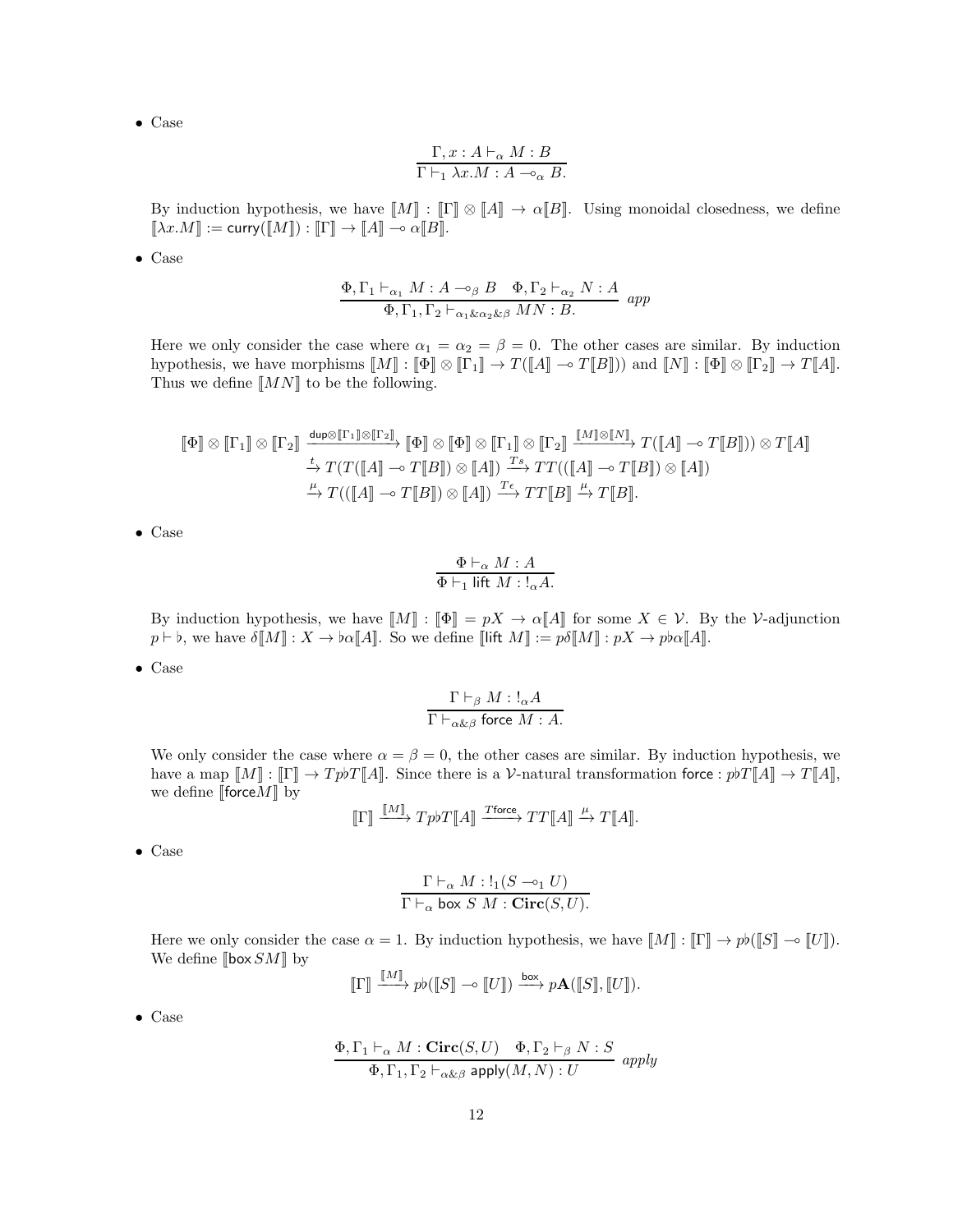$$
\frac{\Gamma, x:A\vdash_{\alpha} M:B}{\Gamma\vdash_1 \lambda x.M:A\multimap_{\alpha} B.}
$$

By induction hypothesis, we have  $\llbracket M \rrbracket : \llbracket \Gamma \rrbracket \otimes \llbracket A \rrbracket \to \alpha \llbracket B \rrbracket$ . Using monoidal closedness, we define  $\llbracket \lambda x . M \rrbracket := \mathsf{curry}(\llbracket M \rrbracket) : \llbracket \Gamma \rrbracket \to \llbracket A \rrbracket \multimap \alpha \llbracket B \rrbracket.$ 

• Case

$$
\frac{\Phi, \Gamma_1 \vdash_{\alpha_1} M : A \multimap_{\beta} B \quad \Phi, \Gamma_2 \vdash_{\alpha_2} N : A}{\Phi, \Gamma_1, \Gamma_2 \vdash_{\alpha_1 \& \alpha_2 \& \beta} MN : B} \text{ and}
$$

Here we only consider the case where  $\alpha_1 = \alpha_2 = \beta = 0$ . The other cases are similar. By induction hypothesis, we have morphisms  $[M] : [\![\Phi]\!] \otimes [\![\Gamma_1]\!] \to T([\![A]\!] \multimap T[\![B]\!])$  and  $[\![N]\!] : [\![\Phi]\!] \otimes [\![\Gamma_2]\!] \to T[\![A]\!]$ . Thus we define  $\llbracket MN \rrbracket$  to be the following.

$$
\begin{array}{c}\n\left[\!\!\left[\Phi\right]\!\!\right] \otimes \left[\!\!\left[\Gamma_{1}\right]\!\!\right] \otimes \left[\!\!\left[\Gamma_{2}\right]\!\!\right] \xrightarrow{\text{dup}\otimes \left[\!\!\left[\Gamma_{1}\right]\!\!\right] \otimes \left[\!\!\left[\Gamma_{2}\right]\!\!\right]}\n\left[\!\!\left[\Phi\right]\!\!\right] \otimes \left[\!\!\left[\Phi\right]\!\!\right] \otimes \left[\!\!\left[\Gamma_{1}\right]\!\!\right] \otimes \left[\!\!\left[\Gamma_{2}\right]\!\!\right] \xrightarrow{\left[\!\!\left[\!\!\left[\mathcal{M}\right]\!\!\right] \to T\left(\left[\!\!\left[\mathcal{A}\right]\!\!\right]\right] \to T\left[\!\!\left[\mathcal{A}\right]\!\!\right]\right)}\n\right)\n\overset{\text{f. }}\to T\left(T\left(\!\!\left[\mathcal{A}\right]\!\!\right] \xrightarrow{\hspace{0.2cm} \sim T\left[\!\!\left[\mathcal{B}\right]\!\!\right]}\right) \otimes \left[\!\!\left[\mathcal{A}\right]\!\!\right)\n\overset{\text{f. }}\to T\left(\left(\!\!\left[\mathcal{A}\right]\!\!\right] \xrightarrow{\hspace{0.2cm} \sim T\left[\!\!\left[\mathcal{B}\right]\!\!\right]}\right) \otimes \left[\!\!\left[\mathcal{A}\right]\!\!\right)\n\right)\n\overset{\text{f. }}\to T\left(\left(\!\!\left[\mathcal{A}\right]\!\!\right] \xrightarrow{\hspace{0.2cm} \sim T\left[\!\!\left[\mathcal{B}\right]\!\!\right]}\right) \otimes \left[\!\!\left[\mathcal{A}\right]\!\!\right)\n\right)\n\overset{\text{f. }}\to T\left(\left(\!\!\left[\!\!\left[\mathcal{A}\right]\!\!\right] \xrightarrow{\hspace{0.2cm} \sim T\left[\!\!\left[\mathcal{B}\right]\!\!\right]}\right) \otimes \left[\!\!\left[\mathcal{A}\right]\!\!\right)\n\right)\n\overset{\text{f. }}\to T\left(\left(\!\!\left[\!\!\left[\mathcal{A}\right]\!\!\right] \xrightarrow{\hspace{0.2cm} \sim T\left[\!\!\left[\mathcal{B}\right]\!\!\right]}\right) \otimes \left[\!\!\left[\mathcal{A}\right]\!\!\right)\n\right)\n\overset{\text{f. }}\to T\left(\left(\!\!\left
$$

• Case

$$
\frac{\Phi \vdash_{\alpha} M : A}{\Phi \vdash_1 \text{ lift } M : !_{\alpha} A}.
$$

By induction hypothesis, we have  $\llbracket M \rrbracket : \llbracket \Phi \rrbracket = pX \to \alpha \llbracket A \rrbracket$  for some  $X \in \mathcal{V}$ . By the V-adjunction  $p \vdash \flat$ , we have  $\delta[M] : X \to \flat\alpha[A]$ . So we define [lift  $M] := p\delta[M] : pX \to p\flat\alpha[A]$ .

• Case

$$
\frac{\Gamma \vdash_{\beta} M : !_{\alpha} A}{\Gamma \vdash_{\alpha \& \beta} \text{ force } M : A}.
$$

We only consider the case where  $\alpha = \beta = 0$ , the other cases are similar. By induction hypothesis, we have a map  $[M] : [\Gamma] \to T p \flat T [\![A]\!]$ . Since there is a V-natural transformation force :  $p \flat T [\![A]\!] \to T [\![A]\!]$ , we define [force $M$ ] by

$$
\llbracket \Gamma \rrbracket \xrightarrow{\llbracket M \rrbracket} Tp b T \llbracket A \rrbracket \xrightarrow{\text{Trace}} TT \llbracket A \rrbracket \xrightarrow{\mu} T \llbracket A \rrbracket.
$$

• Case

$$
\frac{\Gamma\vdash_{\alpha} M: !_1(S \multimap_1 U)}{\Gamma\vdash_{\alpha} \text{ box } S\ M: \mathbf{Circ}(S, U)}.
$$

Here we only consider the case  $\alpha = 1$ . By induction hypothesis, we have  $\llbracket M \rrbracket : \llbracket \Gamma \rrbracket \to p \flat (\llbracket S \rrbracket \multimap \llbracket U \rrbracket)$ . We define  $\llbracket \text{box } SM \rrbracket$  by j<br>Kalend

$$
\llbracket \Gamma \rrbracket \xrightarrow{\llbracket M \rrbracket} pb(\llbracket S \rrbracket \multimap \llbracket U \rrbracket) \xrightarrow{\text{box}} p\mathbf{A}(\llbracket S \rrbracket, \llbracket U \rrbracket).
$$

• Case

$$
\frac{\Phi, \Gamma_1 \vdash_{\alpha} M : \mathbf{Circ}(S, U) \quad \Phi, \Gamma_2 \vdash_{\beta} N : S}{\Phi, \Gamma_1, \Gamma_2 \vdash_{\alpha \& \beta} \mathsf{apply}(M, N) : U} \text{ apply}
$$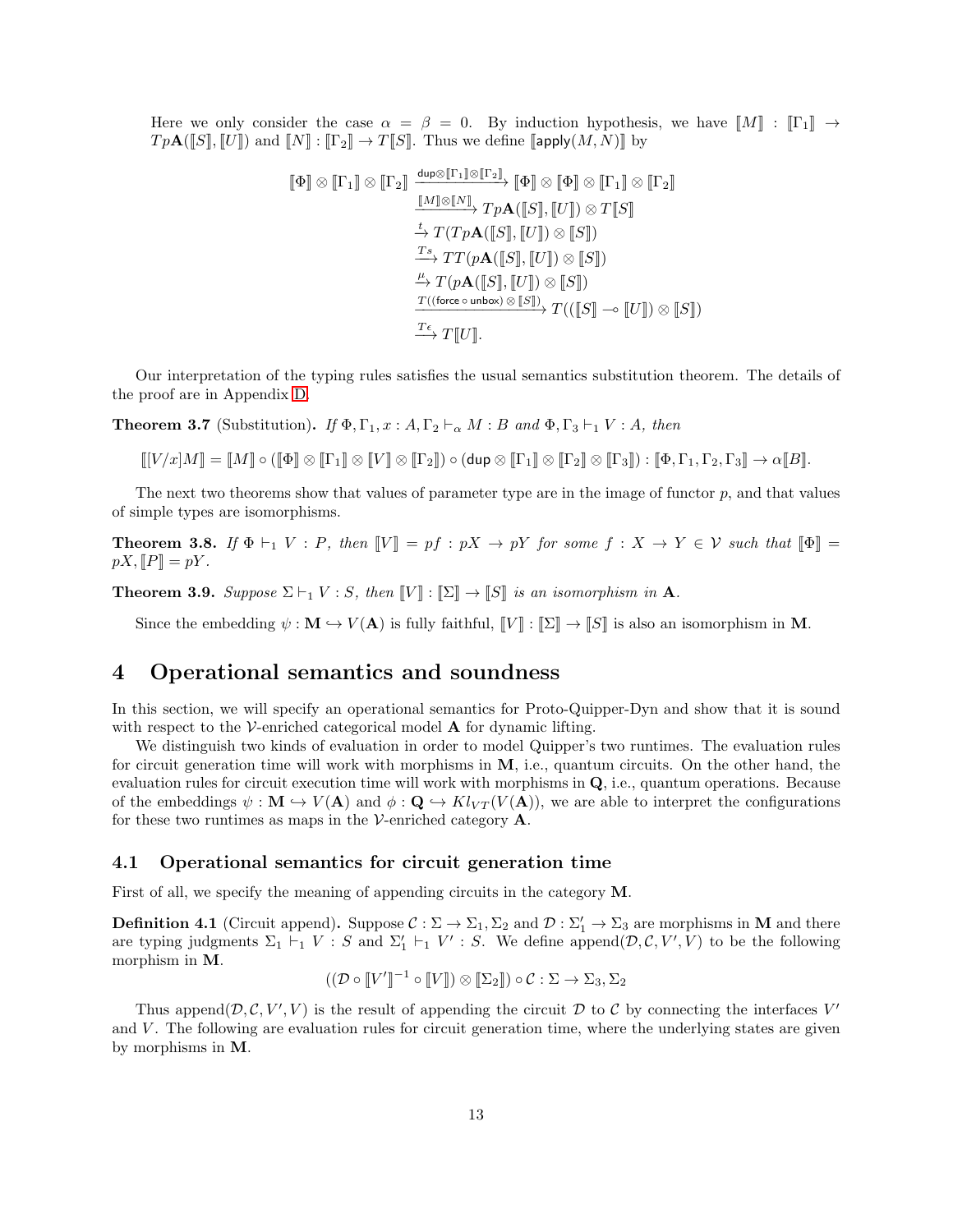Here we only consider the case  $\alpha = \beta = 0$ . By induction hypothesis, we have  $\llbracket M \rrbracket : \llbracket \Gamma_1 \rrbracket \rightarrow$  $Tp\mathbf{A}(\llbracket S \rrbracket, \llbracket U \rrbracket)$  and  $\llbracket N \rrbracket : \llbracket \Gamma_2 \rrbracket \to T \llbracket S \rrbracket$ . Thus we define  $\llbracket \mathsf{apply}(M, N) \rrbracket$  by

$$
\begin{array}{c}\n\left[\!\!\left[\Phi\right]\!\!\right] \otimes \left[\!\!\left[\Gamma_{1}\right]\!\!\right] \otimes \left[\!\!\left[\Gamma_{2}\right]\!\!\right] \xrightarrow{\mathrm{dip}\otimes\left[\!\!\left[\Gamma_{1}\right]\!\!\right] \otimes \left[\!\!\left[\Gamma_{2}\right]\!\!\right]}\n\left[\!\!\left[\Phi\right]\!\!\right] \otimes \left[\!\!\left[\Phi\right]\!\!\right] \otimes \left[\!\!\left[\Gamma_{1}\right]\!\!\right] \otimes \left[\!\!\left[\Gamma_{2}\right]\!\!\right] \xrightarrow{\left[\!\!\left[\!M\right]\!\!\right] \otimes \left[\!\!\left[\!N\right]\!\!\right]} T p \mathbf{A} \! \left(\!\!\left[\!S\right]\!\!\right],\left[\!\!\left[\!U\right]\!\!\right] \otimes T \! \left[\!S\right]\!\!\right) \xrightarrow{\left[\!\!\left[\!T_{2}\right]\right] \xrightarrow{\left[\!\!\left[\!T_{2}\right]\right] \xrightarrow{\left[\!\!\left[\!K\right]\right] \xrightarrow{\left[\!\!\left[\!K\right]\!\!\right]}} T p \mathbf{A} \! \left(\!\!\left[\!S\right]\!\!\right],\left[\!\!\left[\!U\right]\!\!\right] \otimes \left[\!S\right]\!\!\right) \xrightarrow{\left[\!\!\left[\!\!\left[\!T_{2}\right]\right] \xrightarrow{\left[\!\!\left[\!K\right]\right] \xrightarrow{\left[\!\!\left[\!K\right]\!\!\right]}} \left[\!\!\left[\!U\right]\!\!\right] \otimes \left[\!\!\left[\!S\right]\!\!\right] \xrightarrow{\left[\!\!\left[\!\!\left[\!K\right]\!\!\right] \xrightarrow{\left[\!\!\left[\!K\right]\!\!\right] \xrightarrow{\left[\!\!\left[\!\!\left[\!K\right]\!\!\right] \xrightarrow{\left[\!\!\left[\!\!\left[\!K\right]\!\!\right]}} T \left(\left[\!\!\left[\!S\right]\!\!\right] \xrightarrow{\left[\!\!\left[\!K\right]\!\!\right] \xrightarrow{\left[\!\!\left[\!\!\left[\!K\right]\!\!\right] \xrightarrow{\left[\!\!\left[\!\!\left[\!K\right]\!\!\right]}\xrightarrow{\left[\!\!\left[\!\!\left[\!K\right]\!\!\right]}\xrightarrow{\left[\!\!\left[\!\!\left[\!K\right]\!\!\right] \xrightarrow{\left[\!\!\left[\!\!\left[\!K\right]\!\!\right] \xrightarrow{\left[\!\
$$

Our interpretation of the typing rules satisfies the usual semantics substitution theorem. The details of the proof are in Appendix [D.](#page-24-0)

<span id="page-12-2"></span>**Theorem 3.7** (Substitution). *If*  $\Phi$ ,  $\Gamma_1$ ,  $x : A$ ,  $\Gamma_2 \vdash_{\alpha} M : B$  *and*  $\Phi$ ,  $\Gamma_3 \vdash_1 V : A$ *, then* 

 $\llbracket [V/x]M \rrbracket = \llbracket M \rrbracket \circ (\llbracket \Phi \rrbracket \otimes \llbracket \Gamma_1 \rrbracket \otimes \llbracket \Gamma_2 \rrbracket \otimes \llbracket \Gamma_2 \rrbracket \otimes \llbracket \Gamma_3 \rrbracket) : \llbracket \Phi, \Gamma_1, \Gamma_2, \Gamma_3 \rrbracket \to \alpha \llbracket B \rrbracket.$ 

The next two theorems show that values of parameter type are in the image of functor  $p$ , and that values of simple types are isomorphisms.

**Theorem 3.8.** If  $\Phi \vdash_1 V : P$ , then  $\llbracket V \rrbracket = pf : pX \rightarrow pY$  for some  $f : X \rightarrow Y \in V$  such that  $\llbracket \Phi \rrbracket =$  $pX,$   $||P|| = pY$ .

**Theorem 3.9.** *Suppose*  $\Sigma \vdash_1 V : S$ *, then*  $\llbracket V \rrbracket : \llbracket \Sigma \rrbracket \rightarrow \llbracket S \rrbracket$  *is an isomorphism in* **A***.* 

Since the embedding  $\psi : \mathbf{M} \hookrightarrow V(\mathbf{A})$  is fully faithful,  $\llbracket V \rrbracket : \llbracket \Sigma \rrbracket \to \llbracket S \rrbracket$  is also an isomorphism in M.

# <span id="page-12-0"></span>4 Operational semantics and soundness

In this section, we will specify an operational semantics for Proto-Quipper-Dyn and show that it is sound with respect to the  $V$ -enriched categorical model  $A$  for dynamic lifting.

We distinguish two kinds of evaluation in order to model Quipper's two runtimes. The evaluation rules for circuit generation time will work with morphisms in M, i.e., quantum circuits. On the other hand, the evaluation rules for circuit execution time will work with morphisms in Q, i.e., quantum operations. Because of the embeddings  $\psi : \mathbf{M} \to V(\mathbf{A})$  and  $\phi : \mathbf{Q} \to Kl_{VT}(V(\mathbf{A}))$ , we are able to interpret the configurations for these two runtimes as maps in the V-enriched category  $\mathbf{A}$ .

### 4.1 Operational semantics for circuit generation time

First of all, we specify the meaning of appending circuits in the category M.

<span id="page-12-1"></span>**Definition 4.1** (Circuit append). Suppose  $\mathcal{C} : \Sigma \to \Sigma_1, \Sigma_2$  and  $\mathcal{D} : \Sigma'_1 \to \Sigma_3$  are morphisms in **M** and there are typing judgments  $\Sigma_1 \vdash_1 V : S$  and  $\Sigma'_1 \vdash_1 V' : S$ . We define append $(D, \mathcal{C}, V', V)$  to be the following morphism in M.

$$
((\mathcal{D} \circ \llbracket V' \rrbracket^{-1} \circ \llbracket V \rrbracket) \otimes \llbracket \Sigma_2 \rrbracket) \circ \mathcal{C} : \Sigma \to \Sigma_3, \Sigma_2
$$

Thus append $(\mathcal{D}, \mathcal{C}, V', V)$  is the result of appending the circuit  $\mathcal{D}$  to  $\mathcal{C}$  by connecting the interfaces  $V'$ and V. The following are evaluation rules for circuit generation time, where the underlying states are given by morphisms in M.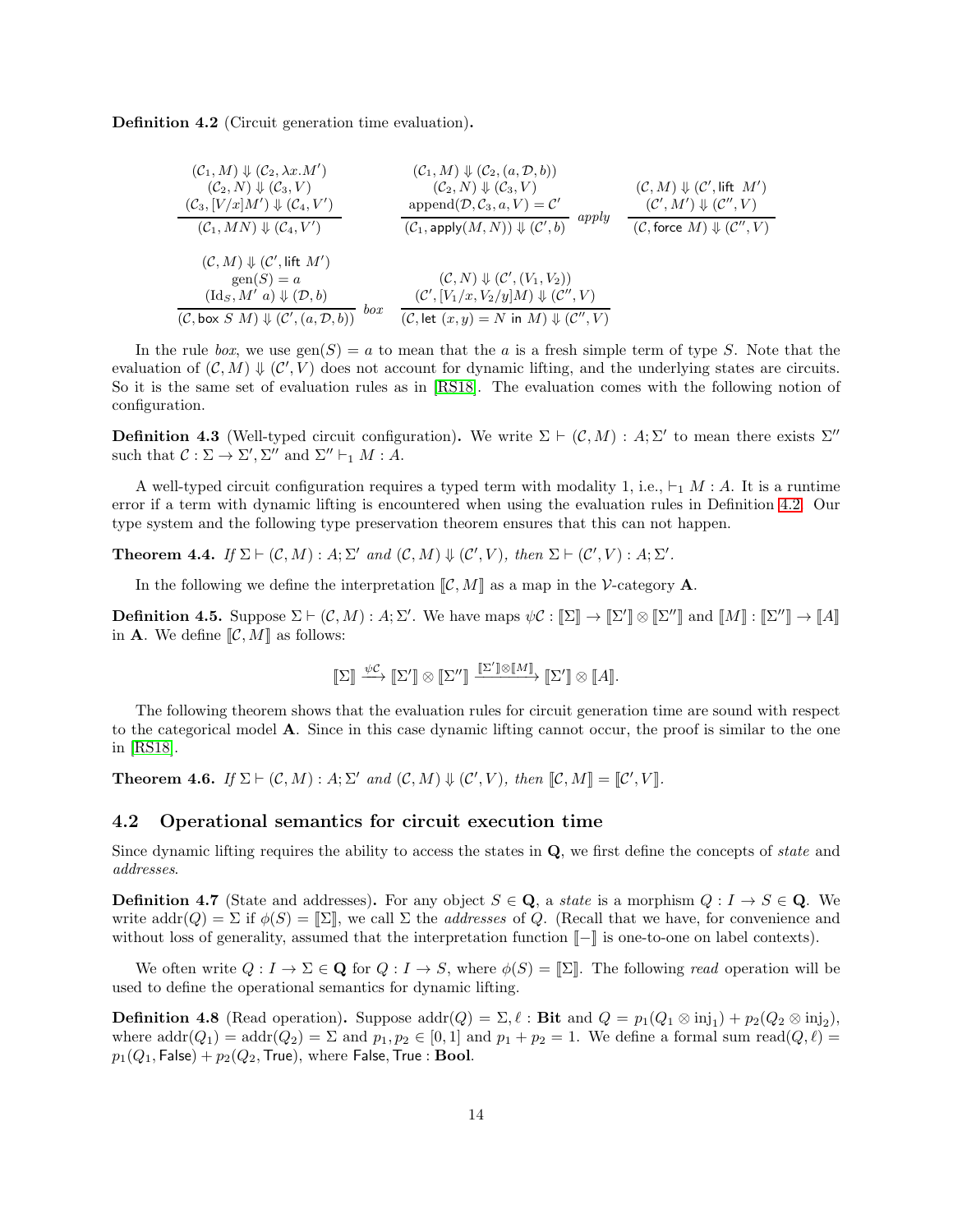<span id="page-13-0"></span>Definition 4.2 (Circuit generation time evaluation).

$$
(C_1, M) \Downarrow (C_2, \lambda x.M')
$$
\n
$$
(C_2, N) \Downarrow (C_3, V)
$$
\n
$$
(C_3, [V/x]M') \Downarrow (C_4, V')
$$
\n
$$
(C_1, MN) \Downarrow (C_4, V')
$$
\n
$$
(C_1, MN) \Downarrow (C_4, V')
$$
\n
$$
(C_1, MN) \Downarrow (C_4, V')
$$
\n
$$
(C_1, \text{apply}(M, N)) \Downarrow (C', b)
$$
\n
$$
(C_2, N) \Downarrow (C_3, V)
$$
\n
$$
(C_3, [V/x]M') \Downarrow (C_4, V')
$$
\n
$$
(C_1, \text{apply}(M, N)) \Downarrow (C', b)
$$
\n
$$
(C_2, N) \Downarrow (C_3, V)
$$
\n
$$
(C_3, N) \Downarrow (C', N')
$$
\n
$$
(C_3, N) \Downarrow (C', N')
$$
\n
$$
(C_3, [V/x]M') \Downarrow (C', b)
$$
\n
$$
(C_3, [V/x]M') \Downarrow (C', b)
$$
\n
$$
(C_3, [V/x]M') \Downarrow (C', [V/x]M')
$$
\n
$$
(C_3, [V/x]M') \Downarrow (C', [V/x]M')
$$
\n
$$
(C_3, [V/x]M') \Downarrow (C', [V/x]M')
$$
\n
$$
(C_3, [V/x]M') \Downarrow (C', [V/x]M')
$$
\n
$$
(C_3, [V/x]M') \Downarrow (C', [V/x]M')
$$
\n
$$
(C_3, [V/x]M') \Downarrow (C', [V/x]M')
$$
\n
$$
(C_3, [V/x]M') \Downarrow (C', [V/x]M')
$$
\n
$$
(C_3, [V/x]M') \Downarrow (C', [V/x]M')
$$
\n
$$
(C_3, [V/x]M' \Downarrow (C', [V/x]M')
$$
\n
$$
(C_3, [V/x]M' \Downarrow (C', [V/x]M')
$$
\n
$$
(C_3, [V/x]M' \Downarrow (C', [V/x]M')
$$
\n
$$
(C_3, [V/x]M' \Downarrow (C', [V/x]M')
$$

In the rule *box*, we use  $gen(S) = a$  to mean that the a is a fresh simple term of type S. Note that the evaluation of  $(C, M) \Downarrow (C', V)$  does not account for dynamic lifting, and the underlying states are circuits. So it is the same set of evaluation rules as in [\[RS18\]](#page-22-1). The evaluation comes with the following notion of configuration.

**Definition 4.3** (Well-typed circuit configuration). We write  $\Sigma \vdash (\mathcal{C}, M) : A; \Sigma'$  to mean there exists  $\Sigma''$ such that  $C : \Sigma \to \Sigma', \Sigma''$  and  $\Sigma'' \vdash_1 M : A$ .

A well-typed circuit configuration requires a typed term with modality 1, i.e.,  $\vdash_1 M : A$ . It is a runtime error if a term with dynamic lifting is encountered when using the evaluation rules in Definition [4.2.](#page-13-0) Our type system and the following type preservation theorem ensures that this can not happen.

**Theorem 4.4.** *If*  $\Sigma \vdash (\mathcal{C}, M) : A; \Sigma'$  *and*  $(\mathcal{C}, M) \Downarrow (\mathcal{C}', V)$ *, then*  $\Sigma \vdash (\mathcal{C}', V) : A; \Sigma'$ *.* 

In the following we define the interpretation  $\mathcal{C}, M\mathcal{R}$  as a map in the V-category **A**.

**Definition 4.5.** Suppose  $\Sigma \vdash (\mathcal{C}, M) : A; \Sigma'$ . We have maps  $\psi \mathcal{C} : [\![\Sigma]\!] \to [\![\Sigma']\!] \otimes [\![\Sigma'']\!]$  and  $[\![M]\!] : [\![\Sigma'']\!] \to [\![A]\!]$ in **A**. We define  $\llbracket \mathcal{C}, M \rrbracket$  as follows:

$$
[\![\Sigma]\!] \xrightarrow{\psi \mathcal{C}} [\![\Sigma']\!] \otimes [\![\Sigma'']\!] \xrightarrow{[\![\Sigma']\!] \otimes [\![M]\!]} [\![\Sigma']\!] \otimes [\![A]\!].
$$

The following theorem shows that the evaluation rules for circuit generation time are sound with respect to the categorical model A. Since in this case dynamic lifting cannot occur, the proof is similar to the one in [\[RS18\]](#page-22-1).

<span id="page-13-1"></span>**Theorem 4.6.** *If*  $\Sigma \vdash (\mathcal{C}, M) : A; \Sigma'$  *and*  $(\mathcal{C}, M) \Downarrow (\mathcal{C}', V)$ *, then*  $[\![\mathcal{C}, M]\!] = [\![\mathcal{C}', V]\!]$ *.* 

### 4.2 Operational semantics for circuit execution time

Since dynamic lifting requires the ability to access the states in Q, we first define the concepts of *state* and *addresses*.

**Definition 4.7** (State and addresses). For any object  $S \in \mathbf{Q}$ , a *state* is a morphism  $Q: I \to S \in \mathbf{Q}$ . We write  $\text{addr}(Q) = \Sigma$  if  $\phi(S) = \mathbb{Z}$ , we call  $\Sigma$  the *addresses* of Q. (Recall that we have, for convenience and without loss of generality, assumed that the interpretation function  $\llbracket - \rrbracket$  is one-to-one on label contexts).

We often write  $Q: I \to \Sigma \in \mathbf{Q}$  for  $Q: I \to S$ , where  $\phi(S) = \mathbb{Z}$ . The following *read* operation will be used to define the operational semantics for dynamic lifting.

**Definition 4.8** (Read operation). Suppose  $\text{addr}(Q) = \Sigma, \ell : \textbf{Bit} \text{ and } Q = p_1(Q_1 \otimes \text{inj}_1) + p_2(Q_2 \otimes \text{inj}_2)$ , where  $addr(Q_1) = addr(Q_2) = \Sigma$  and  $p_1, p_2 \in [0,1]$  and  $p_1 + p_2 = 1$ . We define a formal sum read $(Q, \ell)$  $p_1(Q_1, \text{False}) + p_2(Q_2, \text{True}),$  where False, True : Bool.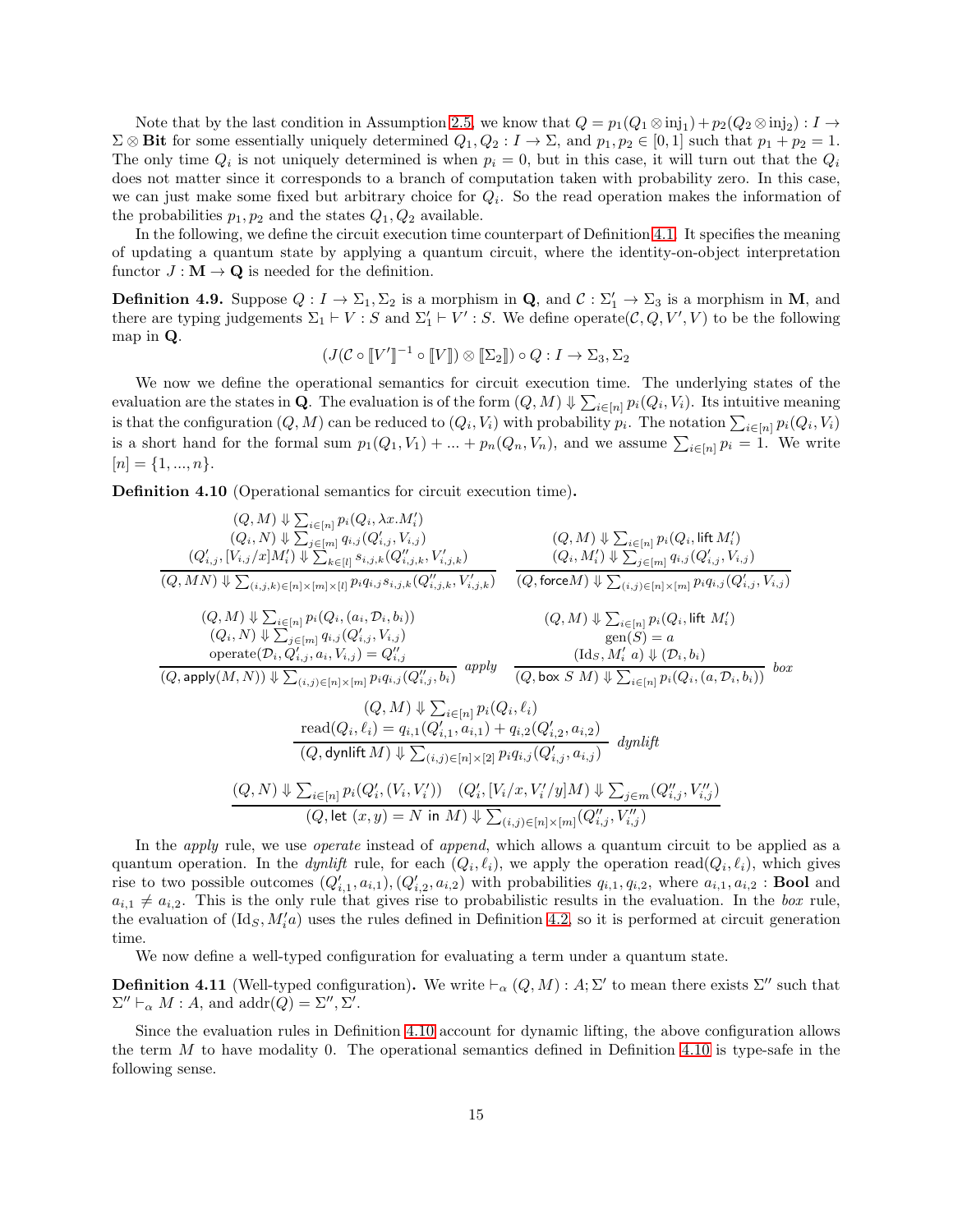Note that by the last condition in Assumption [2.5,](#page-6-0) we know that  $Q = p_1(Q_1 \otimes \text{inj}_1) + p_2(Q_2 \otimes \text{inj}_2) : I \to I$  $\Sigma \otimes \textbf{Bit}$  for some essentially uniquely determined  $Q_1, Q_2 : I \to \Sigma$ , and  $p_1, p_2 \in [0, 1]$  such that  $p_1 + p_2 = 1$ . The only time  $Q_i$  is not uniquely determined is when  $p_i = 0$ , but in this case, it will turn out that the  $Q_i$ does not matter since it corresponds to a branch of computation taken with probability zero. In this case, we can just make some fixed but arbitrary choice for  $Q_i$ . So the read operation makes the information of the probabilities  $p_1, p_2$  and the states  $Q_1, Q_2$  available.

In the following, we define the circuit execution time counterpart of Definition [4.1.](#page-12-1) It specifies the meaning of updating a quantum state by applying a quantum circuit, where the identity-on-object interpretation functor  $J : M \to \mathbf{Q}$  is needed for the definition.

**Definition 4.9.** Suppose  $Q: I \to \Sigma_1, \Sigma_2$  is a morphism in **Q**, and  $C: \Sigma'_1 \to \Sigma_3$  is a morphism in **M**, and there are typing judgements  $\Sigma_1 \vdash V : S$  and  $\Sigma'_1 \vdash V' : S$ . We define operate( $\mathcal{C}, Q, V', V$ ) to be the following map in Q.

$$
(J(\mathcal{C} \circ \llbracket V' \rrbracket^{-1} \circ \llbracket V \rrbracket) \otimes \llbracket \Sigma_2 \rrbracket) \circ Q : I \to \Sigma_3, \Sigma_2
$$

We now we define the operational semantics for circuit execution time. The underlying states of the evaluation are the states in **Q**. The evaluation is of the form  $(Q, M) \Downarrow \sum_{i \in [n]} p_i(Q_i, V_i)$ . Its intuitive meaning is that the configuration  $(Q, M)$  can be reduced to  $(Q_i, V_i)$  with probability  $p_i$ . The notation  $\sum_{i \in [n]} p_i(Q_i, V_i)$ is a short hand for the formal sum  $p_1(Q_1, V_1) + ... + p_n(Q_n, V_n)$ , and we assume  $\sum_{i \in [n]} p_i = 1$ . We write  $[n] = \{1, ..., n\}.$ 

<span id="page-14-0"></span>Definition 4.10 (Operational semantics for circuit execution time).

(Q,M) ⇓ P i∈[n] pi(Qi, λx.M′ i ) (Qi, N) ⇓ P j∈[m] qi,j (Q ′ i,j , Vi,j ) (Q ′ i,j , [Vi,j/x]M′ <sup>i</sup> ) ⇓ P k∈[l] si,j,k(Q ′′ i,j,k, V ′ i,j,k) (Q, MN) ⇓ P (i,j,k)∈[n]×[m]×[l] piqi,j si,j,k(Q ′′ i,j,k, V ′ i,j,k) (Q,M) ⇓ P i∈[n] pi(Qi, lift M′ i ) (Qi, M′ <sup>i</sup> ) ⇓ P j∈[m] qi,j (Q ′ i,j , Vi,j ) (Q, forceM) ⇓ P (i,j)∈[n]×[m] piqi,j (Q ′ i,j , Vi,j ) (Q,M) ⇓ P i∈[n] pi(Qi,(ai, Di, bi)) (Qi, N) ⇓ P j∈[m] qi,j (Q ′ i,j , Vi,j ) operate(Di, Q′ i,j , ai, Vi,j ) = Q ′′ i,j (Q, apply(M, N)) ⇓ P (i,j)∈[n]×[m] piqi,j (Q ′′ i,j , bi) apply (Q,M) ⇓ P i∈[n] pi(Qi, lift M′ i ) gen(S) = a (IdS, M′ <sup>i</sup> a) ⇓ (Di, bi) (Q, box S M) ⇓ P i∈[n] <sup>p</sup>i(Qi,(a, <sup>D</sup>i, bi)) box (Q, M) ⇓ P i∈[n] pi(Q<sup>i</sup> , ℓi) read(Q<sup>i</sup> , ℓi) = qi,1(Q′ i,1 , ai,1) + qi,2(Q′ i,2 , ai,2) (Q, dynliftM) ⇓ P (i,j)∈[n]×[2] <sup>p</sup>iqi,j (Q′ i,j , ai,j ) *dynlift* (Q, N) ⇓ P i∈[n] pi(Q′ i ,(V<sup>i</sup> , V ′ i )) (Q′ i , [Vi/x, V ′ i /y]M) ⇓ P <sup>j</sup>∈<sup>m</sup>(Q′′ i,j , V ′′ i,j ) (Q, let (x, y) = N in M) ⇓ P (i,j)∈[n]×[m] (Q′′ i,j , V ′′ i,j )

In the *apply* rule, we use *operate* instead of *append*, which allows a quantum circuit to be applied as a quantum operation. In the *dynlift* rule, for each  $(Q_i, \ell_i)$ , we apply the operation read $(Q_i, \ell_i)$ , which gives rise to two possible outcomes  $(Q'_{i,1}, a_{i,1}), (Q'_{i,2}, a_{i,2})$  with probabilities  $q_{i,1}, q_{i,2}$ , where  $a_{i,1}, a_{i,2}$ : **Bool** and  $a_{i,1} \neq a_{i,2}$ . This is the only rule that gives rise to probabilistic results in the evaluation. In the *box* rule, the evaluation of  $(\text{Id}_S, M'_i a)$  uses the rules defined in Definition [4.2,](#page-13-0) so it is performed at circuit generation time.

We now define a well-typed configuration for evaluating a term under a quantum state.

**Definition 4.11** (Well-typed configuration). We write  $\vdash_{\alpha} (Q, M) : A; \Sigma'$  to mean there exists  $\Sigma''$  such that  $\Sigma'' \vdash_{\alpha} M : A$ , and  $\text{addr}(Q) = \Sigma'', \Sigma'.$ 

Since the evaluation rules in Definition [4.10](#page-14-0) account for dynamic lifting, the above configuration allows the term  $M$  to have modality 0. The operational semantics defined in Definition [4.10](#page-14-0) is type-safe in the following sense.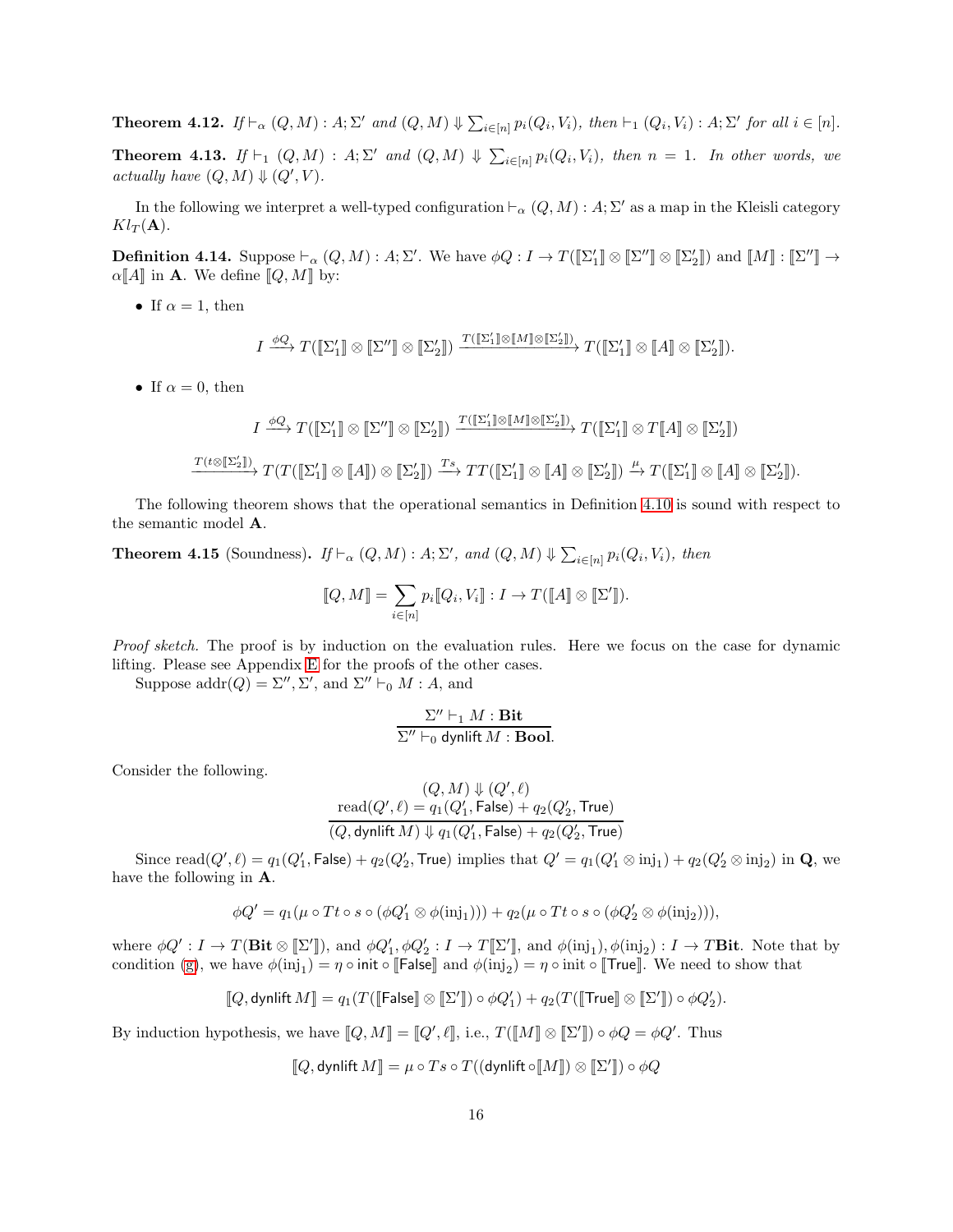<span id="page-15-1"></span>**Theorem 4.12.** *If*  $\vdash_{\alpha} (Q, M) : A; \Sigma'$  *and*  $(Q, M) \Downarrow \sum_{i \in [n]} p_i(Q_i, V_i)$ *, then*  $\vdash_1 (Q_i, V_i) : A; \Sigma'$  *for all*  $i \in [n]$ *.* **Theorem 4.13.** *If*  $\vdash_1 (Q, M) : A; \Sigma'$  *and*  $(Q, M) \Downarrow \sum_{i \in [n]} p_i(Q_i, V_i)$ *, then*  $n = 1$ *. In other words, we actually have*  $(Q, M) \Downarrow (Q', V)$ *.* 

In the following we interpret a well-typed configuration  $\vdash_{\alpha}(Q,M)$ : A; Σ' as a map in the Kleisli category  $Kl_T(\mathbf{A}).$ 

**Definition 4.14.** Suppose  $\vdash_{\alpha}(Q, M) : A; \Sigma'$ . We have  $\phi Q : I \to T(\llbracket \Sigma_1' \rrbracket \otimes \llbracket \Sigma'' \rrbracket \otimes \llbracket \Sigma_2' \rrbracket)$  and  $\llbracket M \rrbracket : \llbracket \Sigma'' \rrbracket \to$  $\alpha[\![A]\!]$  in **A**. We define  $[\![Q, M]\!]$  by:

• If  $\alpha = 1$ , then

$$
I \xrightarrow{\phi Q} T([\![\Sigma'_1]\!]\otimes [\![\Sigma'']\!]\otimes [\![\Sigma'_2]\!]) \xrightarrow{T([\![\Sigma'_1]\!]\otimes [\![M]\!]\otimes [\![\Sigma'_2]\!])} T([\![\Sigma'_1]\!]\otimes [\![A]\!]\otimes [\![\Sigma'_2]\!]).
$$

• If  $\alpha = 0$ , then

$$
I \xrightarrow{\phi Q} T([\![\Sigma'_1]\!]\otimes [\![\Sigma'']\!]\otimes [\![\Sigma'_2]\!]) \xrightarrow{T([\![\Sigma'_1]\!]\otimes [M]\!]\otimes [\![\Sigma'_2]\!])} T([\![\Sigma'_1]\!]\otimes T[\![A]\!]\otimes [\![\Sigma'_2]\!])
$$
  

$$
\xrightarrow{T(t\otimes [\![\Sigma'_2]\!])} T(T([\![\Sigma'_1]\!]\otimes [\![A]\!]) \otimes [\![\Sigma'_2]\!]) \xrightarrow{Ts} TT([\![\Sigma'_1]\!]\otimes [\![A]\!]\otimes [\![\Sigma'_2]\!]) \xrightarrow{\mu} T([\![\Sigma'_1]\!]\otimes [\![A]\!]\otimes [\![\Sigma'_2]\!]).
$$

The following theorem shows that the operational semantics in Definition [4.10](#page-14-0) is sound with respect to the semantic model A.

<span id="page-15-0"></span>**Theorem 4.15** (Soundness).  $If \vdash_{\alpha} (Q, M) : A; \Sigma', \text{ and } (Q, M) \Downarrow \sum_{i \in [n]} p_i(Q_i, V_i), \text{ then}$ 

$$
[\![Q,M]\!]=\sum_{i\in[n]}p_i[\![Q_i,V_i]\!]:I\to T([\![A]\!]\otimes[\![\Sigma']\!]).
$$

*Proof sketch.* The proof is by induction on the evaluation rules. Here we focus on the case for dynamic lifting. Please see Appendix [E](#page-26-0) for the proofs of the other cases.

Suppose  $\text{addr}(Q) = \Sigma'', \Sigma', \text{ and } \Sigma'' \vdash_0 M : A$ , and

$$
\frac{\Sigma'' \vdash_1 M : \mathbf{Bit}}{\Sigma'' \vdash_0 \mathsf{dynlift} \, M : \mathbf{Bool}}.
$$

Consider the following.

$$
(Q, M) \Downarrow (Q', \ell)
$$
  
\n
$$
read(Q', \ell) = q_1(Q'_1, \text{False}) + q_2(Q'_2, \text{True})
$$
  
\n
$$
(Q, \text{dynlift } M) \Downarrow q_1(Q'_1, \text{False}) + q_2(Q'_2, \text{True})
$$

Since  $\text{read}(Q', \ell) = q_1(Q'_1, \text{False}) + q_2(Q'_2, \text{True})$  implies that  $Q' = q_1(Q'_1 \otimes \text{inj}_1) + q_2(Q'_2 \otimes \text{inj}_2)$  in  $\mathbf{Q}$ , we have the following in A.

$$
\phi Q' = q_1(\mu \circ Tt \circ s \circ (\phi Q'_1 \otimes \phi(\mathrm{inj}_1))) + q_2(\mu \circ Tt \circ s \circ (\phi Q'_2 \otimes \phi(\mathrm{inj}_2))),
$$

where  $\phi Q' : I \to T(\textbf{Bit} \otimes [\![\Sigma']\!])$ , and  $\phi Q'_1, \phi Q'_2 : I \to T[\![\Sigma']\!]$ , and  $\phi(\text{inj}_1), \phi(\text{inj}_2) : I \to T\textbf{Bit}$ . Note that by condition [\(g\)](#page-7-3), we have  $\phi(\text{inj}_1) = \eta \circ \text{init} \circ \llbracket \mathsf{False} \rrbracket$  and  $\phi(\text{inj}_2) = \eta \circ \text{init} \circ \llbracket \mathsf{True} \rrbracket$ . We need to show that

$$
\llbracket Q, \text{dynlift } M \rrbracket = q_1(T(\llbracket \mathsf{False} \rrbracket \otimes \llbracket \Sigma' \rrbracket) \circ \phi Q_1') + q_2(T(\llbracket \mathsf{True} \rrbracket \otimes \llbracket \Sigma' \rrbracket) \circ \phi Q_2').
$$

By induction hypothesis, we have  $[\![Q,M]\!] = [\![Q',\ell]\!]$ , i.e.,  $T([\![M]\!] \otimes [\![\Sigma']\!] ) \circ \phi Q = \phi Q'$ . Thus

$$
\llbracket Q, \text{dynlift } M \rrbracket = \mu \circ Ts \circ T((\text{dynlift } \circ \llbracket M \rrbracket) \otimes \llbracket \Sigma' \rrbracket) \circ \phi Q
$$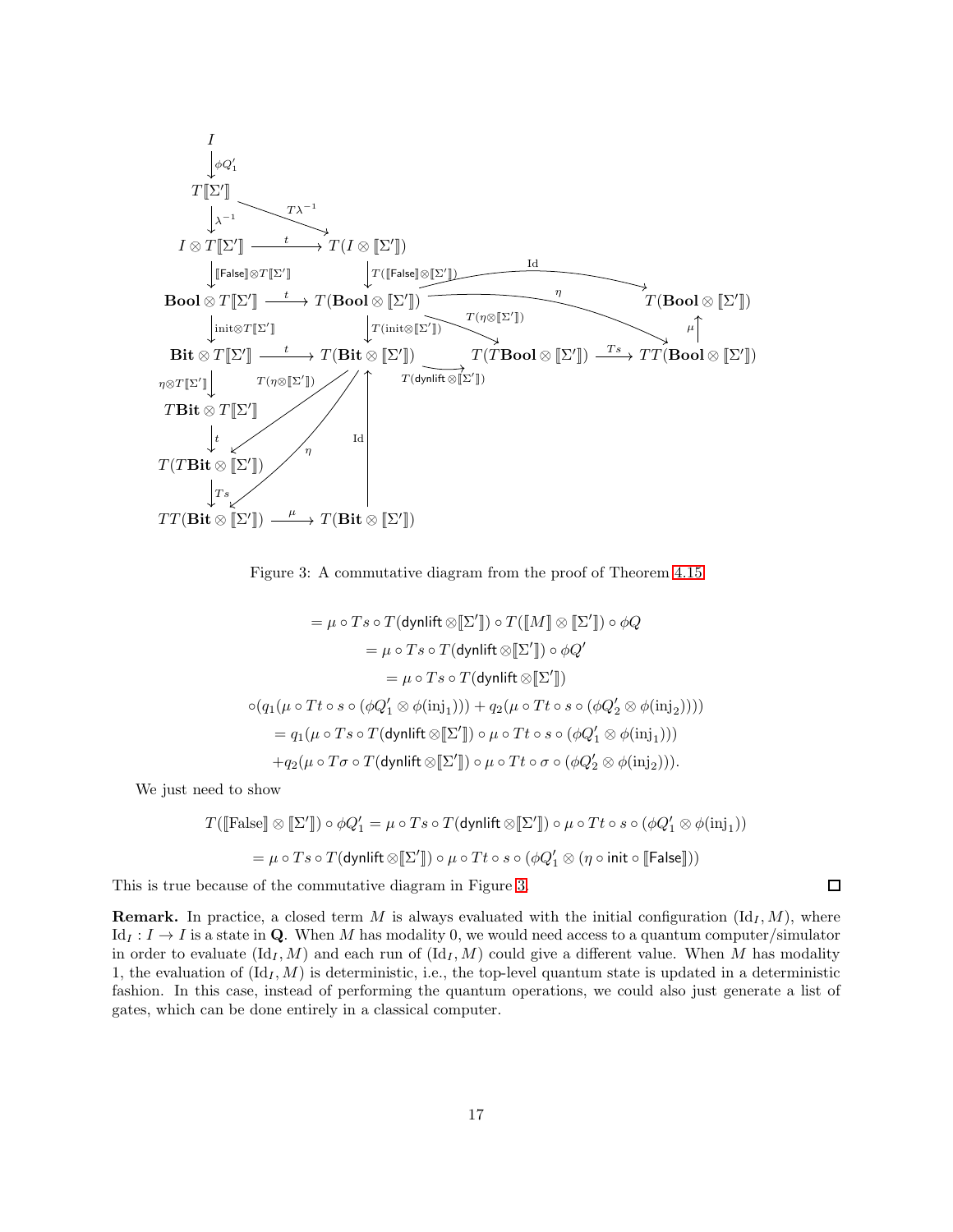

<span id="page-16-0"></span>Figure 3: A commutative diagram from the proof of Theorem [4.15](#page-15-0)

$$
= \mu \circ T s \circ T(\text{dynlift} \otimes [\Sigma']) \circ T([\llbracket M \rrbracket \otimes [\Sigma']) \circ \phi Q
$$

$$
= \mu \circ T s \circ T(\text{dynlift} \otimes [\Sigma']) \circ \phi Q'
$$

$$
= \mu \circ T s \circ T(\text{dynlift} \otimes [\Sigma'])
$$

$$
\circ (q_1(\mu \circ Tt \circ s \circ (\phi Q_1' \otimes \phi(\mathrm{inj}_1))) + q_2(\mu \circ Tt \circ s \circ (\phi Q_2' \otimes \phi(\mathrm{inj}_2))))
$$

$$
= q_1(\mu \circ T s \circ T(\text{dynlift} \otimes [\Sigma']) \circ \mu \circ Tt \circ s \circ (\phi Q_1' \otimes \phi(\mathrm{inj}_1)))
$$

$$
+ q_2(\mu \circ T \sigma \circ T(\text{dynlift} \otimes [\Sigma']) \circ \mu \circ Tt \circ \sigma \circ (\phi Q_2' \otimes \phi(\mathrm{inj}_2))).
$$

We just need to show

$$
T([\text{False}] \otimes [\![\Sigma']\!]) \circ \phi Q_1' = \mu \circ Ts \circ T(\text{dynlift} \otimes [\![\Sigma']\!]) \circ \mu \circ Tt \circ s \circ (\phi Q_1' \otimes \phi(\text{inj}_1))
$$

$$
= \mu \circ Ts \circ T(\text{dynlift} \otimes [\![\Sigma']\!]) \circ \mu \circ Tt \circ s \circ (\phi Q_1' \otimes (\eta \circ \text{init} \circ [\![\mathsf{False}]\!]))
$$

This is true because of the commutative diagram in Figure [3.](#page-16-0)

**Remark.** In practice, a closed term M is always evaluated with the initial configuration  $(\mathrm{Id}_I, M)$ , where  $Id_I : I \to I$  is a state in Q. When M has modality 0, we would need access to a quantum computer/simulator in order to evaluate  $(\mathrm{Id}_I, M)$  and each run of  $(\mathrm{Id}_I, M)$  could give a different value. When M has modality 1, the evaluation of  $(\mathrm{Id}_I, M)$  is deterministic, i.e., the top-level quantum state is updated in a deterministic fashion. In this case, instead of performing the quantum operations, we could also just generate a list of gates, which can be done entirely in a classical computer.

 $\Box$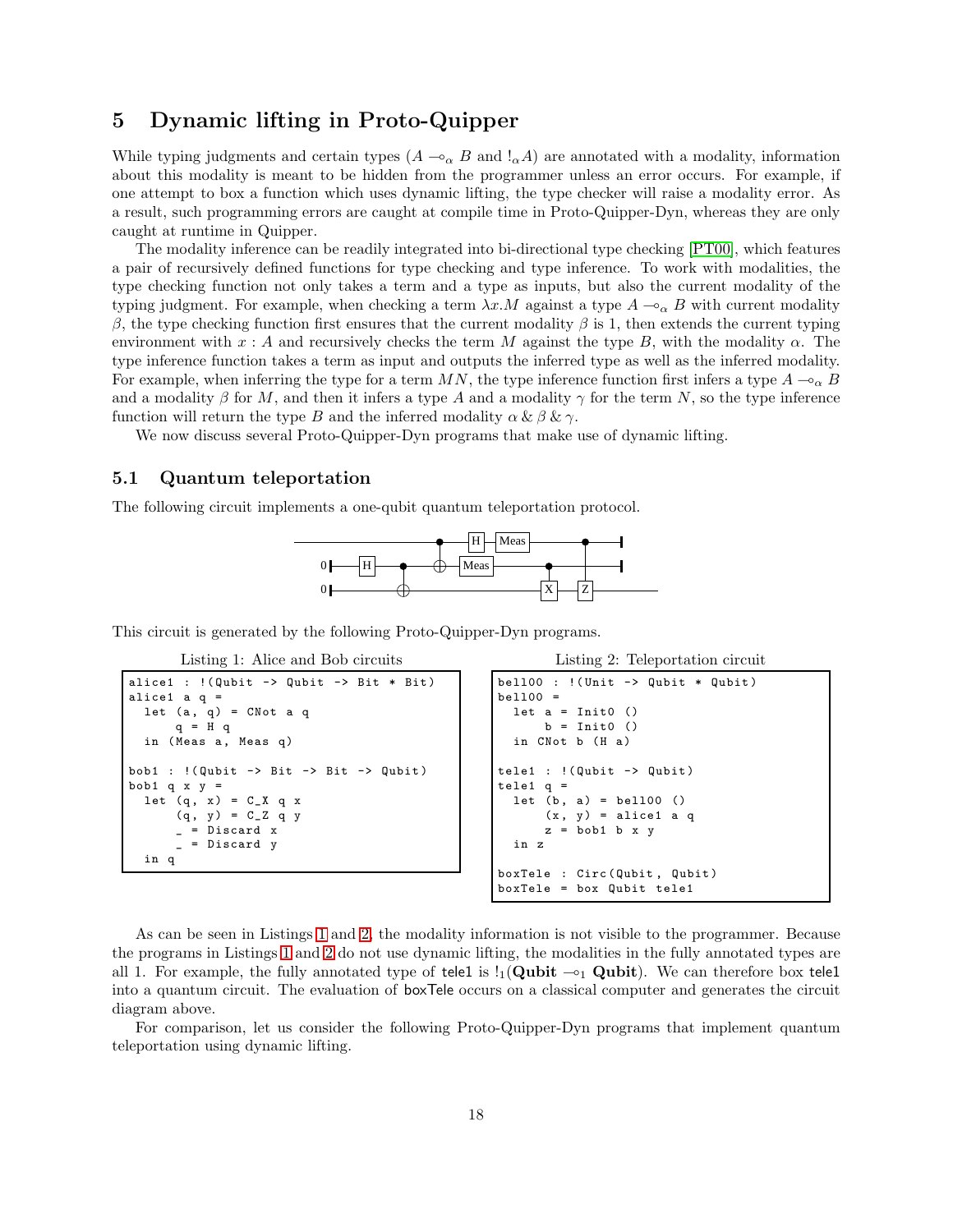# <span id="page-17-0"></span>5 Dynamic lifting in Proto-Quipper

While typing judgments and certain types  $(A \sim_{\alpha} B$  and  $!_{\alpha}A)$  are annotated with a modality, information about this modality is meant to be hidden from the programmer unless an error occurs. For example, if one attempt to box a function which uses dynamic lifting, the type checker will raise a modality error. As a result, such programming errors are caught at compile time in Proto-Quipper-Dyn, whereas they are only caught at runtime in Quipper.

The modality inference can be readily integrated into bi-directional type checking [\[PT00\]](#page-21-11), which features a pair of recursively defined functions for type checking and type inference. To work with modalities, the type checking function not only takes a term and a type as inputs, but also the current modality of the typing judgment. For example, when checking a term  $\lambda x.M$  against a type  $A \rightharpoonup_{\alpha} B$  with current modality β, the type checking function first ensures that the current modality β is 1, then extends the current typing environment with  $x : A$  and recursively checks the term M against the type B, with the modality  $\alpha$ . The type inference function takes a term as input and outputs the inferred type as well as the inferred modality. For example, when inferring the type for a term MN, the type inference function first infers a type  $A \rightarrow_{\alpha} B$ and a modality  $\beta$  for M, and then it infers a type A and a modality  $\gamma$  for the term N, so the type inference function will return the type B and the inferred modality  $\alpha \& \beta \& \gamma$ .

We now discuss several Proto-Quipper-Dyn programs that make use of dynamic lifting.

### 5.1 Quantum teleportation

The following circuit implements a one-qubit quantum teleportation protocol.



<span id="page-17-1"></span>This circuit is generated by the following Proto-Quipper-Dyn programs.

Listing 1: Alice and Bob circuits

```
alice1 : !( Qubit -> Qubit -> Bit * Bit)
alice1 a q =
  let (a, q) = CNot a q
      q = H q
  in (Meas a, Meas q)
bob1 : !( Qubit -> Bit -> Bit -> Qubit )
bob1 q x y =let (q, x) = C_X q x(q, y) = C_2 q yDiscard x
        _ = Discard y
  in q
```

```
Listing 2: Teleportation circuit
```

```
bell00 : !(Unit -> Qubit * Qubit)bell00 =
 let a = Int0 ()
      b = Init0 ()
  in CNot b (H a)
tele1 : !( Qubit -> Qubit )
tele1 q =let (b, a) = bel100()(x, y) = alice1 a qz = bob1 b x y
  in z
boxTele : Circ ( Qubit , Qubit )
boxTele = box Qubit tele1
```
As can be seen in Listings [1](#page-17-1) and [2,](#page-17-2) the modality information is not visible to the programmer. Because the programs in Listings [1](#page-17-1) and [2](#page-17-2) do not use dynamic lifting, the modalities in the fully annotated types are all 1. For example, the fully annotated type of tele1 is  $\frac{1}{1}$ (Qubit  $\sim_1$  Qubit). We can therefore box tele1 into a quantum circuit. The evaluation of boxTele occurs on a classical computer and generates the circuit diagram above.

For comparison, let us consider the following Proto-Quipper-Dyn programs that implement quantum teleportation using dynamic lifting.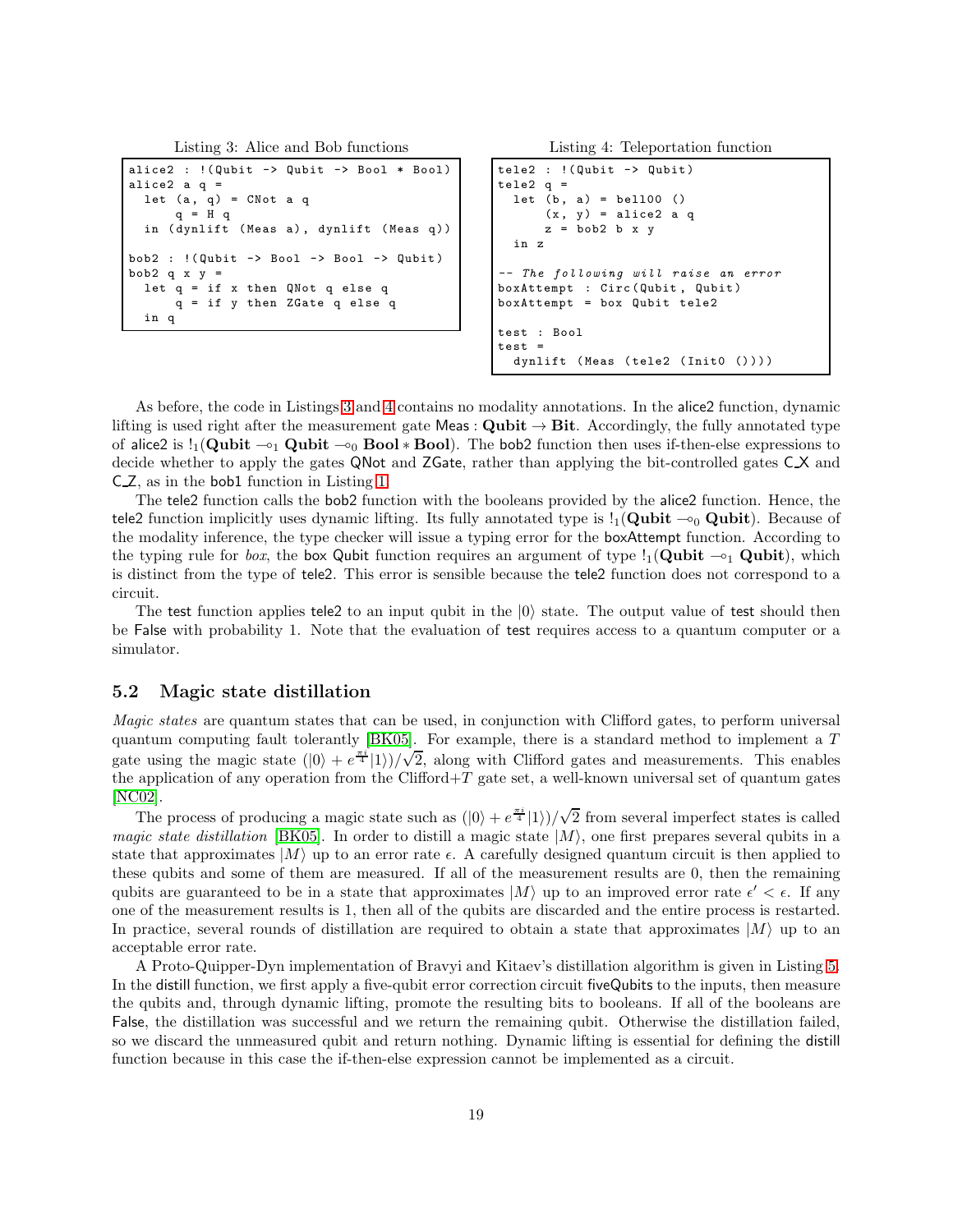```
Listing 3: Alice and Bob functions
```

```
alice2 : !(Qubit -> Qubit -> Bool * Bool)
alice2 a q =let (a, q) = CNot a q
      q = H q
  in ( dynlift ( Meas a), dynlift ( Meas q))
bob2 : !( Qubit -> Bool -> Bool -> Qubit )
bob2 q x y =let q = if x then QNot q else q
      q = if y then ZGate q else q
  in q
```
Listing 4: Teleportation function

```
tele2 : !( Qubit -> Qubit )
tele2 q =let (b, a) = bel100()(x, y) = alice2 a qz = bob2 b x yin z
-- The following will raise an error
boxAttempt : Circ (Qubit, Qubit)
boxAttempt = box Qubit tele2
test : Bool
test =
  dynlift (Meas (tele2 (Init0 ())))
```
As before, the code in Listings [3](#page-18-0) and [4](#page-18-1) contains no modality annotations. In the alice2 function, dynamic lifting is used right after the measurement gate Meas : Qubit  $\rightarrow$  Bit. Accordingly, the fully annotated type of alice2 is  $!_1$ (Qubit  $\sim_1$  Qubit  $\sim_0$  Bool \* Bool). The bob2 function then uses if-then-else expressions to decide whether to apply the gates QNot and ZGate, rather than applying the bit-controlled gates C<sub>N</sub> and C Z, as in the bob1 function in Listing [1.](#page-17-1)

The tele2 function calls the bob2 function with the booleans provided by the alice2 function. Hence, the tele2 function implicitly uses dynamic lifting. Its fully annotated type is  $!_1$ (Qubit ⊸<sub>0</sub> Qubit). Because of the modality inference, the type checker will issue a typing error for the boxAttempt function. According to the typing rule for *box*, the box Qubit function requires an argument of type  $\frac{1}{2}$ (Qubit  $\sim_1$  Qubit), which is distinct from the type of tele2. This error is sensible because the tele2 function does not correspond to a circuit.

The test function applies tele2 to an input qubit in the  $|0\rangle$  state. The output value of test should then be False with probability 1. Note that the evaluation of test requires access to a quantum computer or a simulator.

### 5.2 Magic state distillation

*Magic states* are quantum states that can be used, in conjunction with Clifford gates, to perform universal quantum computing fault tolerantly [\[BK05\]](#page-20-0). For example, there is a standard method to implement a T gate using the magic state  $(|0\rangle + e^{\frac{\pi i}{4}}|1\rangle)/\sqrt{2}$ , along with Clifford gates and measurements. This enables the application of any operation from the Clifford+T gate set, a well-known universal set of quantum gates [\[NC02\]](#page-21-12).

The process of producing a magic state such as  $(|0\rangle + e^{\frac{\pi i}{4}}|1\rangle)/\sqrt{2}$  from several imperfect states is called *magic state distillation* [\[BK05\]](#page-20-0). In order to distill a magic state  $|M\rangle$ , one first prepares several qubits in a state that approximates  $|M\rangle$  up to an error rate  $\epsilon$ . A carefully designed quantum circuit is then applied to these qubits and some of them are measured. If all of the measurement results are 0, then the remaining qubits are guaranteed to be in a state that approximates  $|M\rangle$  up to an improved error rate  $\epsilon' < \epsilon$ . If any one of the measurement results is 1, then all of the qubits are discarded and the entire process is restarted. In practice, several rounds of distillation are required to obtain a state that approximates  $|M\rangle$  up to an acceptable error rate.

A Proto-Quipper-Dyn implementation of Bravyi and Kitaev's distillation algorithm is given in Listing [5.](#page-19-0) In the distill function, we first apply a five-qubit error correction circuit fiveQubits to the inputs, then measure the qubits and, through dynamic lifting, promote the resulting bits to booleans. If all of the booleans are False, the distillation was successful and we return the remaining qubit. Otherwise the distillation failed, so we discard the unmeasured qubit and return nothing. Dynamic lifting is essential for defining the distill function because in this case the if-then-else expression cannot be implemented as a circuit.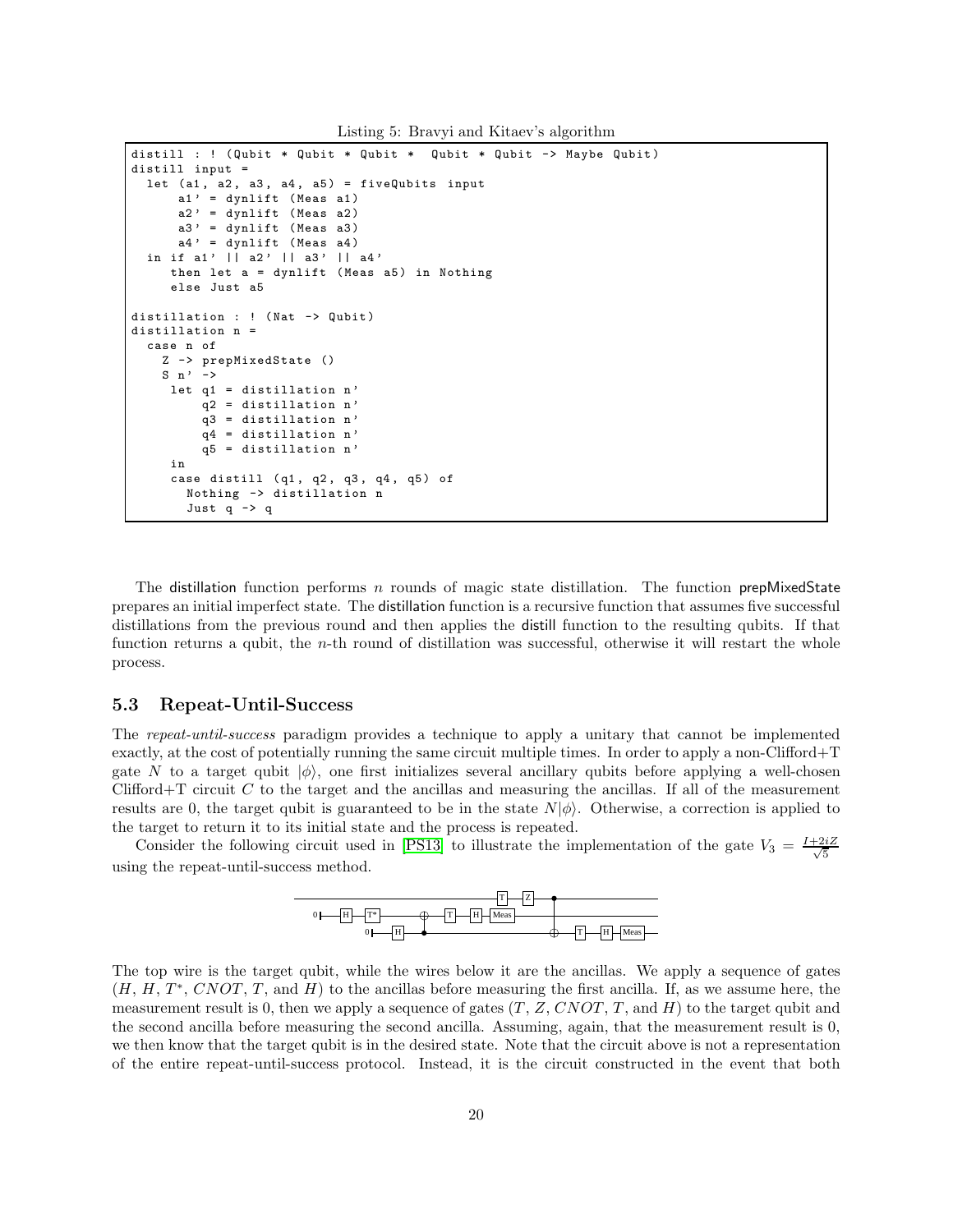Listing 5: Bravyi and Kitaev's algorithm

```
distill : ! (Qubit * Qubit * Qubit * Qubit * Qubit -> Maybe Qubit)
distill input =
  let (a1, a2, a3, a4, a5) = fiveQubits input
      a1' = dynlift (Meas a1)
      a2' = dynlift (Meas a2)
      a3' = dynlift (Meas a3)
      a4' = dynlift (Meas a4)
  in if a1' || a2' || a3' || a4'
     then let a = dynlift (Meas a5) in Nothing
     else Just a5
distillation : ! (Nat -> Qubit)
distillation n =
  case n of
    Z -> prepMixedState ()
    S \nightharpoonup \nightharpoonuplet q1 = distillation n'q2 = distillation n'
         q3 = distillation n '
         q4 = distillation n '
         q5 = distillation n '
     in
     case distill (q1, q2, q3, q4, q5) of
       Nothing -> distillation n
       Just q -> q
```
The distillation function performs  $n$  rounds of magic state distillation. The function prepMixedState prepares an initial imperfect state. The distillation function is a recursive function that assumes five successful distillations from the previous round and then applies the distill function to the resulting qubits. If that function returns a qubit, the n-th round of distillation was successful, otherwise it will restart the whole process.

### 5.3 Repeat-Until-Success

The *repeat-until-success* paradigm provides a technique to apply a unitary that cannot be implemented exactly, at the cost of potentially running the same circuit multiple times. In order to apply a non-Clifford+T gate N to a target qubit  $|\phi\rangle$ , one first initializes several ancillary qubits before applying a well-chosen Clifford+T circuit  $C$  to the target and the ancillas and measuring the ancillas. If all of the measurement results are 0, the target qubit is guaranteed to be in the state  $N|\phi\rangle$ . Otherwise, a correction is applied to the target to return it to its initial state and the process is repeated.

Consider the following circuit used in [\[PS13\]](#page-21-13) to illustrate the implementation of the gate  $V_3 = \frac{I+2iZ}{\sqrt{5}}$ 5 using the repeat-until-success method.



The top wire is the target qubit, while the wires below it are the ancillas. We apply a sequence of gates  $(H, H, T^*, CNOT, T$ , and H) to the ancillas before measuring the first ancilla. If, as we assume here, the measurement result is 0, then we apply a sequence of gates  $(T, Z, CNOT, T,$  and  $H$ ) to the target qubit and the second ancilla before measuring the second ancilla. Assuming, again, that the measurement result is 0, we then know that the target qubit is in the desired state. Note that the circuit above is not a representation of the entire repeat-until-success protocol. Instead, it is the circuit constructed in the event that both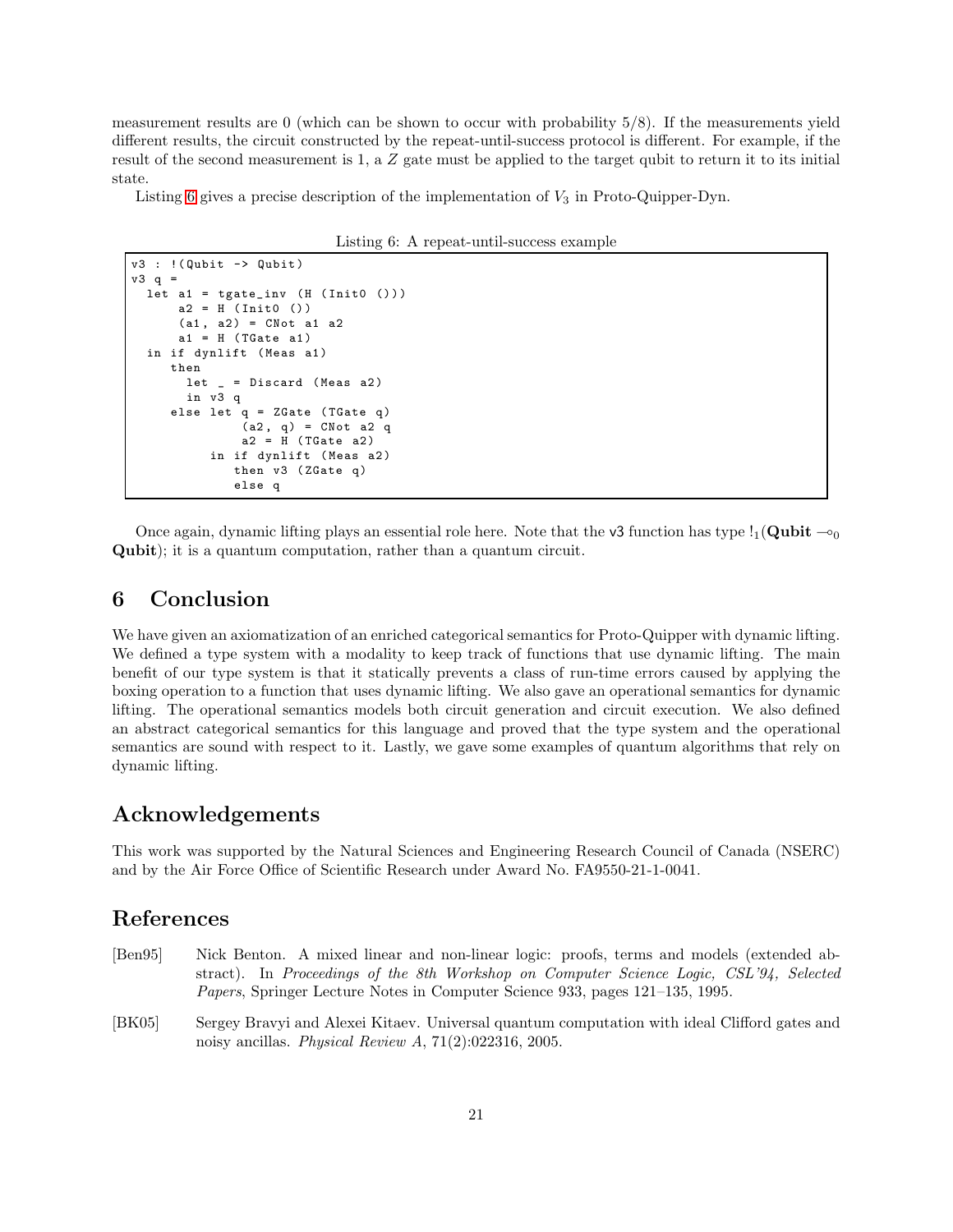measurement results are 0 (which can be shown to occur with probability 5/8). If the measurements yield different results, the circuit constructed by the repeat-until-success protocol is different. For example, if the result of the second measurement is 1, a Z gate must be applied to the target qubit to return it to its initial state.

<span id="page-20-3"></span>Listing [6](#page-20-3) gives a precise description of the implementation of  $V_3$  in Proto-Quipper-Dyn.

Listing 6: A repeat-until-success example

```
v3 : !( Qubit -> Qubit )
v3 q =let a1 = tgate_inv (H (Init0 ()))
     a2 = H (Inito ())
      (a1, a2) = CNot a1 a2a1 = H (TGate a1)
 in if dynlift (Meas a1)
     then
       let = Discard (Meas a2)in v3 q
     else let q = ZGate (TGate q)
              (a2, q) = CNot a2 q
              a2 = H (TGate a2)
          in if dynlift (Meas a2)
             then v3 (ZGate q)
             else q
```
Once again, dynamic lifting plays an essential role here. Note that the v3 function has type  $!_1$ (Qubit  $\sim_0$ Qubit); it is a quantum computation, rather than a quantum circuit.

# <span id="page-20-1"></span>6 Conclusion

We have given an axiomatization of an enriched categorical semantics for Proto-Quipper with dynamic lifting. We defined a type system with a modality to keep track of functions that use dynamic lifting. The main benefit of our type system is that it statically prevents a class of run-time errors caused by applying the boxing operation to a function that uses dynamic lifting. We also gave an operational semantics for dynamic lifting. The operational semantics models both circuit generation and circuit execution. We also defined an abstract categorical semantics for this language and proved that the type system and the operational semantics are sound with respect to it. Lastly, we gave some examples of quantum algorithms that rely on dynamic lifting.

### Acknowledgements

This work was supported by the Natural Sciences and Engineering Research Council of Canada (NSERC) and by the Air Force Office of Scientific Research under Award No. FA9550-21-1-0041.

# References

- <span id="page-20-2"></span>[Ben95] Nick Benton. A mixed linear and non-linear logic: proofs, terms and models (extended abstract). In *Proceedings of the 8th Workshop on Computer Science Logic, CSL'94, Selected Papers*, Springer Lecture Notes in Computer Science 933, pages 121–135, 1995.
- <span id="page-20-0"></span>[BK05] Sergey Bravyi and Alexei Kitaev. Universal quantum computation with ideal Clifford gates and noisy ancillas. *Physical Review A*, 71(2):022316, 2005.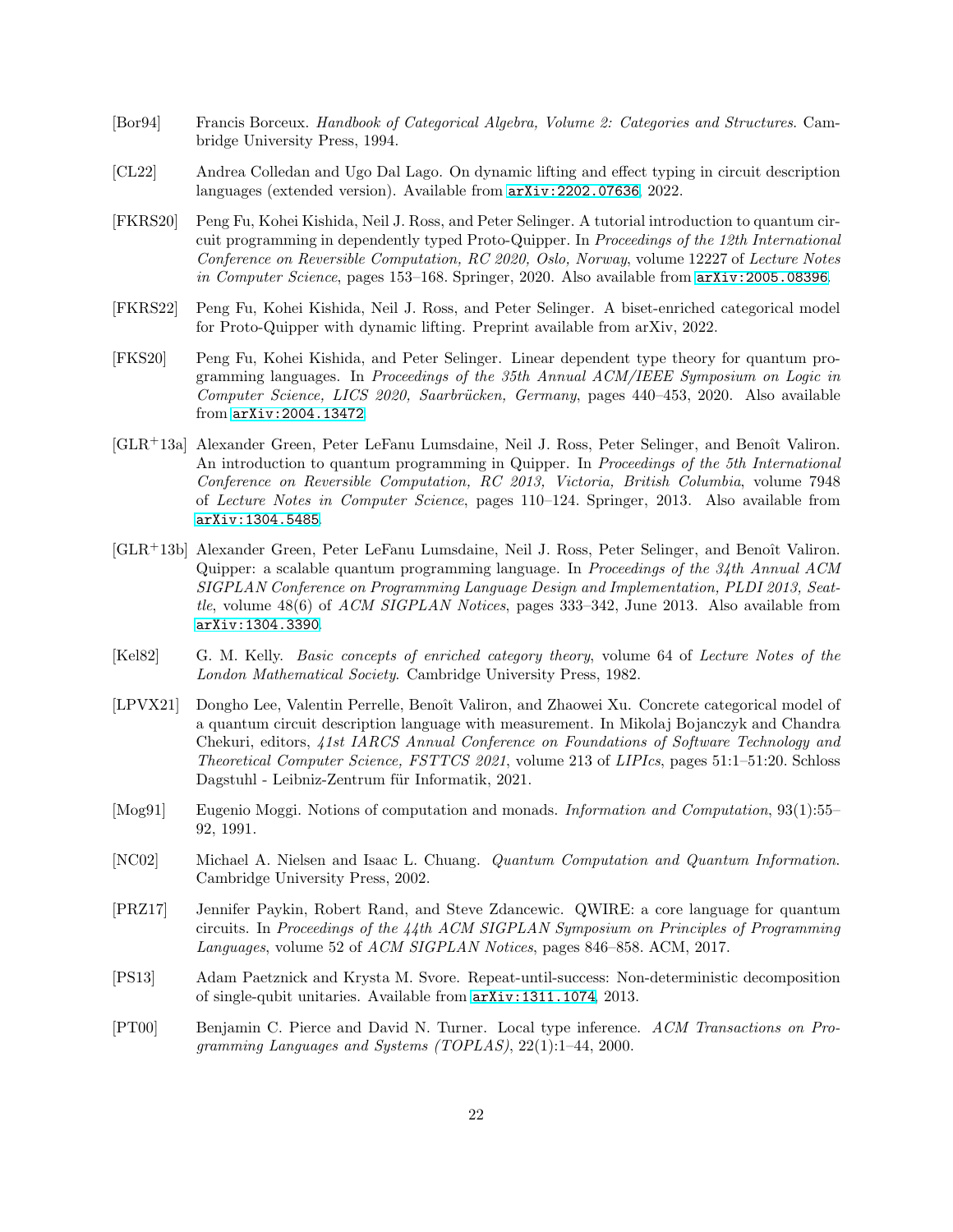- <span id="page-21-10"></span>[Bor94] Francis Borceux. *Handbook of Categorical Algebra, Volume 2: Categories and Structures*. Cambridge University Press, 1994.
- <span id="page-21-8"></span>[CL22] Andrea Colledan and Ugo Dal Lago. On dynamic lifting and effect typing in circuit description languages (extended version). Available from [arXiv:2202.07636](http://arxiv.org/abs/2202.07636), 2022.
- <span id="page-21-4"></span>[FKRS20] Peng Fu, Kohei Kishida, Neil J. Ross, and Peter Selinger. A tutorial introduction to quantum circuit programming in dependently typed Proto-Quipper. In *Proceedings of the 12th International Conference on Reversible Computation, RC 2020, Oslo, Norway*, volume 12227 of *Lecture Notes in Computer Science*, pages 153–168. Springer, 2020. Also available from [arXiv:2005.08396](http://arxiv.org/abs/2005.08396).
- <span id="page-21-0"></span>[FKRS22] Peng Fu, Kohei Kishida, Neil J. Ross, and Peter Selinger. A biset-enriched categorical model for Proto-Quipper with dynamic lifting. Preprint available from arXiv, 2022.
- <span id="page-21-3"></span>[FKS20] Peng Fu, Kohei Kishida, and Peter Selinger. Linear dependent type theory for quantum programming languages. In *Proceedings of the 35th Annual ACM/IEEE Symposium on Logic in Computer Science, LICS 2020, Saarbr¨ucken, Germany*, pages 440–453, 2020. Also available from [arXiv:2004.13472](http://arxiv.org/abs/2004.13472).
- <span id="page-21-2"></span>[GLR+13a] Alexander Green, Peter LeFanu Lumsdaine, Neil J. Ross, Peter Selinger, and Benoît Valiron. An introduction to quantum programming in Quipper. In *Proceedings of the 5th International Conference on Reversible Computation, RC 2013, Victoria, British Columbia*, volume 7948 of *Lecture Notes in Computer Science*, pages 110–124. Springer, 2013. Also available from [arXiv:1304.5485](http://arxiv.org/abs/1304.5485).
- <span id="page-21-1"></span>[GLR<sup>+</sup>13b] Alexander Green, Peter LeFanu Lumsdaine, Neil J. Ross, Peter Selinger, and Benoît Valiron. Quipper: a scalable quantum programming language. In *Proceedings of the 34th Annual ACM SIGPLAN Conference on Programming Language Design and Implementation, PLDI 2013, Seattle*, volume 48(6) of *ACM SIGPLAN Notices*, pages 333–342, June 2013. Also available from [arXiv:1304.3390](http://arxiv.org/abs/1304.3390).
- <span id="page-21-9"></span>[Kel82] G. M. Kelly. *Basic concepts of enriched category theory*, volume 64 of *Lecture Notes of the London Mathematical Society*. Cambridge University Press, 1982.
- <span id="page-21-7"></span>[LPVX21] Dongho Lee, Valentin Perrelle, Benoît Valiron, and Zhaowei Xu. Concrete categorical model of a quantum circuit description language with measurement. In Mikolaj Bojanczyk and Chandra Chekuri, editors, *41st IARCS Annual Conference on Foundations of Software Technology and Theoretical Computer Science, FSTTCS 2021*, volume 213 of *LIPIcs*, pages 51:1–51:20. Schloss Dagstuhl - Leibniz-Zentrum für Informatik, 2021.
- <span id="page-21-6"></span>[Mog91] Eugenio Moggi. Notions of computation and monads. *Information and Computation*, 93(1):55– 92, 1991.
- <span id="page-21-12"></span>[NC02] Michael A. Nielsen and Isaac L. Chuang. *Quantum Computation and Quantum Information*. Cambridge University Press, 2002.
- <span id="page-21-5"></span>[PRZ17] Jennifer Paykin, Robert Rand, and Steve Zdancewic. QWIRE: a core language for quantum circuits. In *Proceedings of the 44th ACM SIGPLAN Symposium on Principles of Programming Languages*, volume 52 of *ACM SIGPLAN Notices*, pages 846–858. ACM, 2017.
- <span id="page-21-13"></span>[PS13] Adam Paetznick and Krysta M. Svore. Repeat-until-success: Non-deterministic decomposition of single-qubit unitaries. Available from [arXiv:1311.1074](http://arxiv.org/abs/1311.1074), 2013.
- <span id="page-21-11"></span>[PT00] Benjamin C. Pierce and David N. Turner. Local type inference. *ACM Transactions on Programming Languages and Systems (TOPLAS)*, 22(1):1–44, 2000.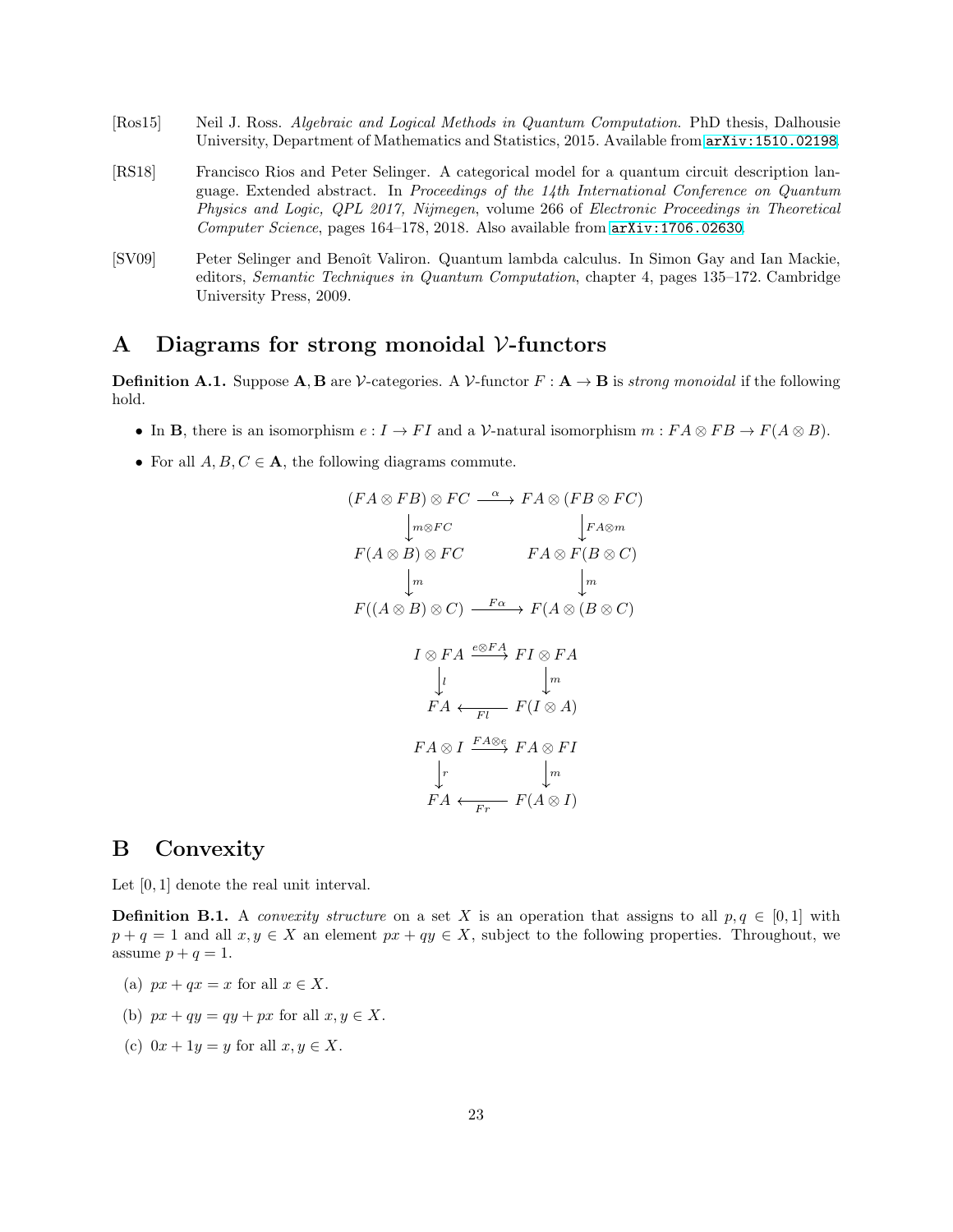- <span id="page-22-0"></span>[Ros15] Neil J. Ross. *Algebraic and Logical Methods in Quantum Computation*. PhD thesis, Dalhousie University, Department of Mathematics and Statistics, 2015. Available from [arXiv:1510.02198](http://arxiv.org/abs/1510.02198).
- <span id="page-22-1"></span>[RS18] Francisco Rios and Peter Selinger. A categorical model for a quantum circuit description language. Extended abstract. In *Proceedings of the 14th International Conference on Quantum Physics and Logic, QPL 2017, Nijmegen*, volume 266 of *Electronic Proceedings in Theoretical Computer Science*, pages 164–178, 2018. Also available from [arXiv:1706.02630](http://arxiv.org/abs/1706.02630).
- <span id="page-22-2"></span>[SV09] Peter Selinger and Benoît Valiron. Quantum lambda calculus. In Simon Gay and Ian Mackie, editors, *Semantic Techniques in Quantum Computation*, chapter 4, pages 135–172. Cambridge University Press, 2009.

### <span id="page-22-3"></span>A Diagrams for strong monoidal V-functors

**Definition A.1.** Suppose  $\mathbf{A}, \mathbf{B}$  are V-categories. A V-functor  $F : \mathbf{A} \to \mathbf{B}$  is *strong monoidal* if the following hold.

- In **B**, there is an isomorphism  $e: I \to FI$  and a V-natural isomorphism  $m: FA \otimes FB \to F(A \otimes B)$ .
- For all  $A, B, C \in \mathbf{A}$ , the following diagrams commute.

$$
(FA \otimes FB) \otimes FC \xrightarrow{\alpha} FA \otimes (FB \otimes FC)
$$
  
\n
$$
\downarrow_{m \otimes FC} \qquad \downarrow_{FA \otimes m}
$$
  
\n
$$
F(A \otimes B) \otimes FC \qquad FA \otimes F(B \otimes C)
$$
  
\n
$$
\downarrow_{m}
$$
  
\n
$$
F((A \otimes B) \otimes C) \xrightarrow{F\alpha} F(A \otimes (B \otimes C))
$$
  
\n
$$
I \otimes FA \xrightarrow{e \otimes FA} FI \otimes FA
$$
  
\n
$$
\downarrow_{l}
$$
  
\n
$$
FA \xleftarrow{Fl} F(I \otimes A)
$$
  
\n
$$
FA \otimes I \xrightarrow{FA \otimes e} FA \otimes FI
$$
  
\n
$$
\downarrow_{r}
$$
  
\n
$$
FA \xleftarrow{Fr} F(A \otimes I)
$$

### <span id="page-22-4"></span>B Convexity

Let [0, 1] denote the real unit interval.

**Definition B.1.** A *convexity structure* on a set X is an operation that assigns to all  $p, q \in [0, 1]$  with  $p + q = 1$  and all  $x, y \in X$  an element  $px + qy \in X$ , subject to the following properties. Throughout, we assume  $p + q = 1$ .

- (a)  $px + qx = x$  for all  $x \in X$ .
- (b)  $px + qy = qy + px$  for all  $x, y \in X$ .
- (c)  $0x + 1y = y$  for all  $x, y \in X$ .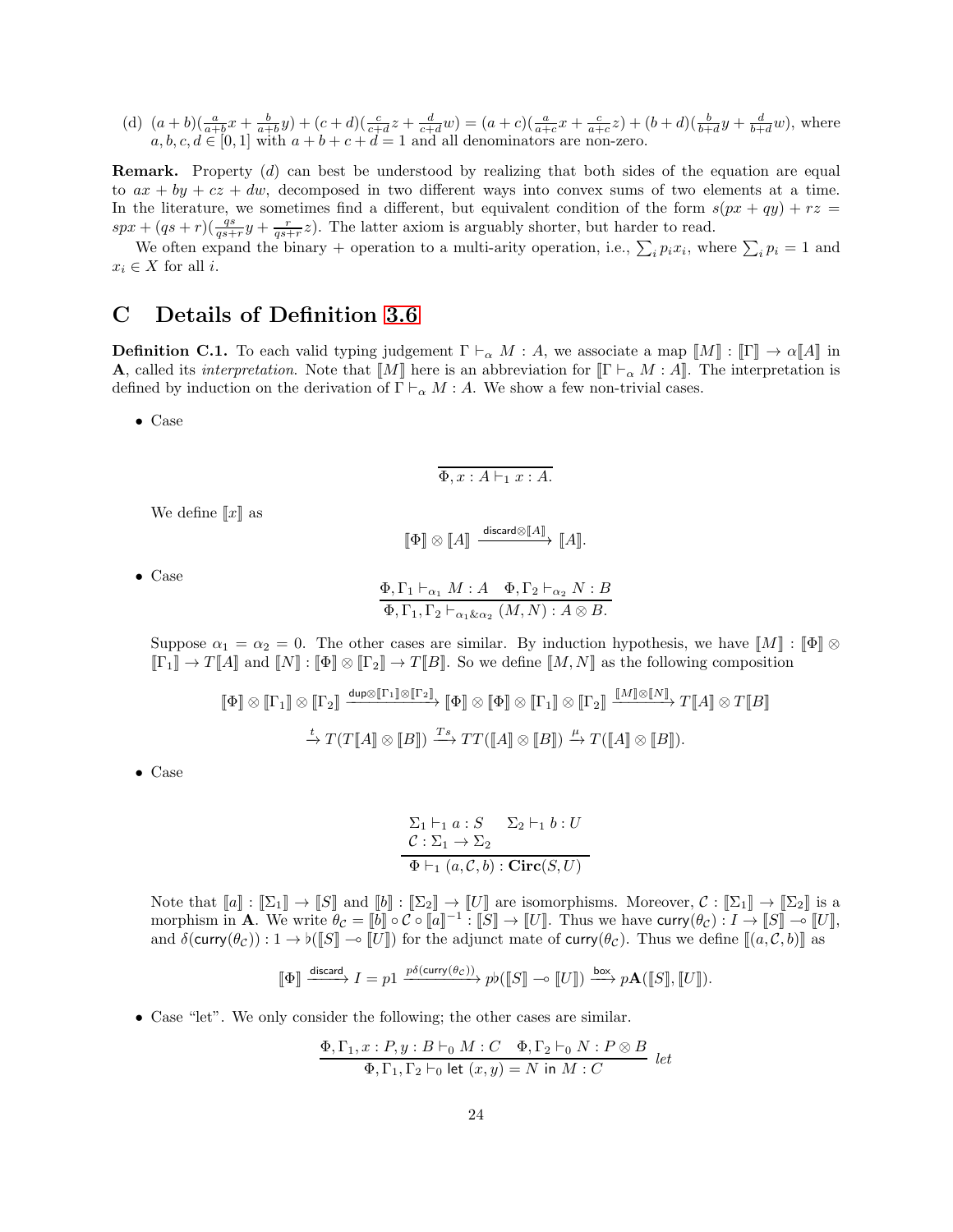(d) 
$$
(a+b)(\frac{a}{a+b}x + \frac{b}{a+b}y) + (c+d)(\frac{c}{c+d}z + \frac{d}{c+d}w) = (a+c)(\frac{a}{a+c}x + \frac{c}{a+c}z) + (b+d)(\frac{b}{b+d}y + \frac{d}{b+d}w)
$$
, where  $a, b, c, d \in [0, 1]$  with  $a+b+c+d=1$  and all denominators are non-zero.

Remark. Property (d) can best be understood by realizing that both sides of the equation are equal to  $ax + by + cz + dw$ , decomposed in two different ways into convex sums of two elements at a time. In the literature, we sometimes find a different, but equivalent condition of the form  $s(px + qy) + rz =$  $spr + (qs + r)(\frac{qs}{qs+r}y + \frac{r}{qs+r}z)$ . The latter axiom is arguably shorter, but harder to read.

We often expand the binary + operation to a multi-arity operation, i.e.,  $\sum_i p_i x_i$ , where  $\sum_i p_i = 1$  and  $x_i \in X$  for all *i*.

# <span id="page-23-0"></span>C Details of Definition [3.6](#page-10-0)

**Definition C.1.** To each valid typing judgement  $\Gamma \vdash_{\alpha} M : A$ , we associate a map  $\llbracket M \rrbracket : \llbracket \Gamma \rrbracket \to \alpha \llbracket A \rrbracket$  in **A**, called its *interpretation*. Note that  $\llbracket M \rrbracket$  here is an abbreviation for  $\llbracket \Gamma \vdash_{\alpha} M : A \rrbracket$ . The interpretation is defined by induction on the derivation of  $\Gamma \vdash_{\alpha} M : A$ . We show a few non-trivial cases.

• Case

$$
\Phi, x:A \vdash_1 x:A.
$$

We define  $\llbracket x \rrbracket$  as

$$
\llbracket \Phi \rrbracket \otimes \llbracket A \rrbracket \xrightarrow{\text{discard} \otimes \llbracket A \rrbracket} \llbracket A \rrbracket.
$$

• Case

$$
\frac{\Phi, \Gamma_1 \vdash_{\alpha_1} M : A \quad \Phi, \Gamma_2 \vdash_{\alpha_2} N : B}{\Phi, \Gamma_1, \Gamma_2 \vdash_{\alpha_1 \& \alpha_2} (M, N) : A \otimes B}.
$$

Suppose  $\alpha_1 = \alpha_2 = 0$ . The other cases are similar. By induction hypothesis, we have  $\llbracket M \rrbracket : \llbracket \Phi \rrbracket \otimes$  $[\![\Gamma_1]\!] \to T[\![A]\!]$  and  $[\![N]\!] : [\![\Phi]\!] \otimes [\![\Gamma_2]\!] \to T[\![B]\!]$ . So we define  $[\![M, N]\!]$  as the following composition

$$
\begin{aligned}\n\llbracket \Phi \rrbracket &\otimes \llbracket \Gamma_1 \rrbracket &\otimes \llbracket \Gamma_2 \rrbracket \xrightarrow{\text{dup}\otimes \llbracket \Gamma_1 \rrbracket \otimes \llbracket \Gamma_2 \rrbracket} \llbracket \Phi \rrbracket &\otimes \llbracket \Phi \rrbracket &\otimes \llbracket \Gamma_1 \rrbracket &\otimes \llbracket \Gamma_2 \rrbracket \xrightarrow{\llbracket M \rrbracket \otimes \llbracket N \rrbracket} T \llbracket A \rrbracket &\otimes T \llbracket B \rrbracket \\
\xrightarrow{\iota} T (T \llbracket A \rrbracket &\otimes \llbracket B \rrbracket) \xrightarrow{Ts} TT (\llbracket A \rrbracket &\otimes \llbracket B \rrbracket) \xrightarrow{\mu} T (\llbracket A \rrbracket &\otimes \llbracket B \rrbracket).\n\end{aligned}
$$

• Case

$$
\frac{\Sigma_1 \vdash_1 a : S \quad \Sigma_2 \vdash_1 b : U}{\mathcal{C} : \Sigma_1 \to \Sigma_2}
$$

$$
\overline{\Phi \vdash_1 (a, C, b) : \text{Circ}(S, U)}
$$

Note that  $\llbracket a \rrbracket : \llbracket \Sigma_1 \rrbracket \to \llbracket S \rrbracket$  and  $\llbracket b \rrbracket : \llbracket \Sigma_2 \rrbracket \to \llbracket U \rrbracket$  are isomorphisms. Moreover,  $\mathcal{C} : \llbracket \Sigma_1 \rrbracket \to \llbracket \Sigma_2 \rrbracket$  is a morphism in **A**. We write  $\theta_C = \llbracket b \rrbracket \circ C \circ \llbracket a \rrbracket^{-1}$ :  $\llbracket S \rrbracket \to \llbracket U \rrbracket$ . Thus we have curry $(\theta_C) : I \to \llbracket S \rrbracket \to \llbracket U \rrbracket$ , and  $\delta$ (curry( $\theta_c$ )) :  $1 \to \mathfrak{b}(\llbracket S \rrbracket \to \llbracket U \rrbracket)$  for the adjunct mate of curry( $\theta_c$ ). Thus we define  $\llbracket (a, \mathcal{C}, b) \rrbracket$  as

$$
\llbracket \Phi \rrbracket \xrightarrow{\text{discard}} I = p1 \xrightarrow{p\delta(\text{curry}(\theta_C))} pb(\llbracket S \rrbracket \to \llbracket U \rrbracket) \xrightarrow{\text{box}} p\mathbf{A}(\llbracket S \rrbracket, \llbracket U \rrbracket).
$$

• Case "let". We only consider the following; the other cases are similar.

$$
\frac{\Phi, \Gamma_1, x : P, y : B \vdash_0 M : C \quad \Phi, \Gamma_2 \vdash_0 N : P \otimes B}{\Phi, \Gamma_1, \Gamma_2 \vdash_0 \text{ let } (x, y) = N \text{ in } M : C} \text{ let }
$$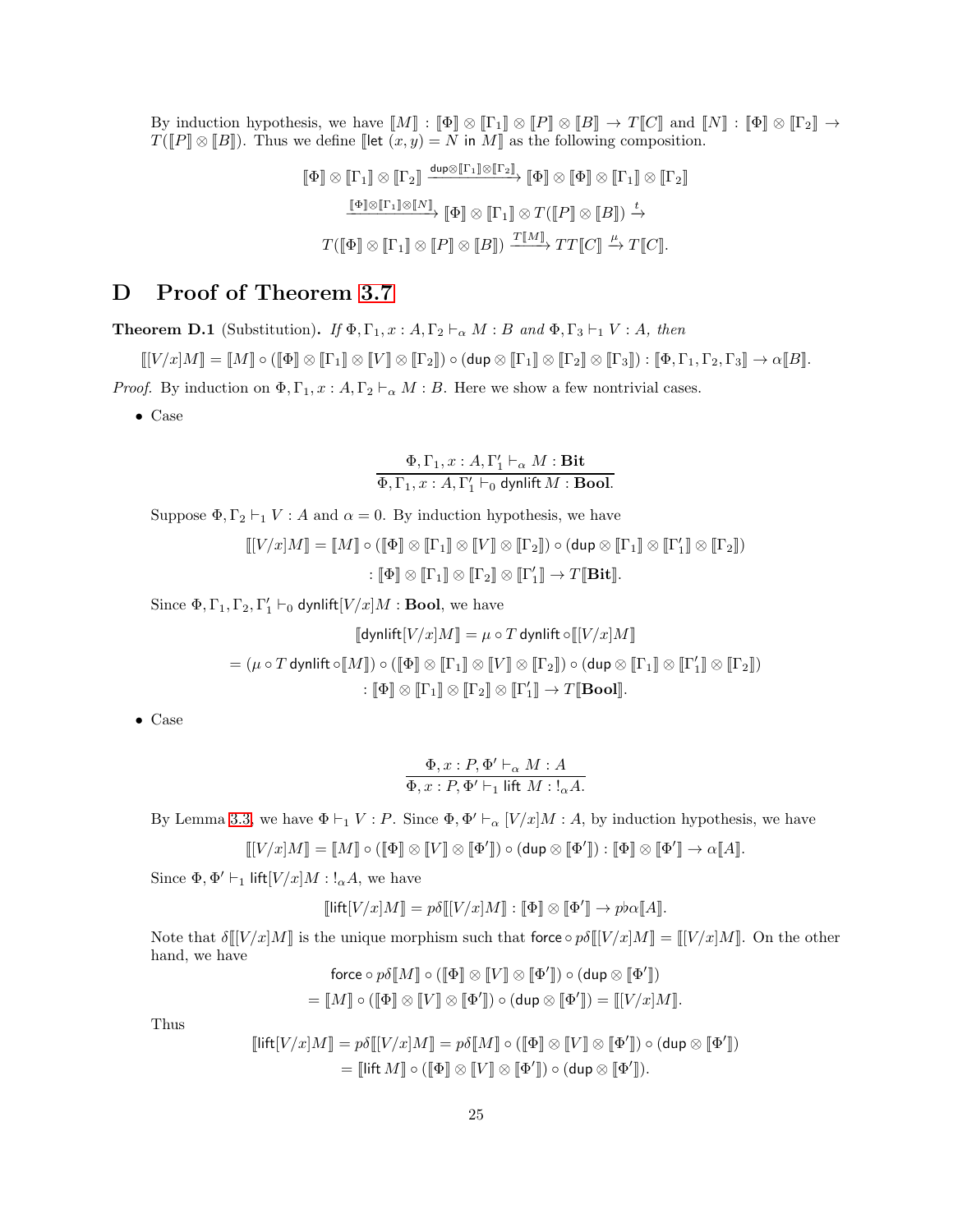By induction hypothesis, we have  $\llbracket M \rrbracket : \llbracket \Phi \rrbracket \otimes \llbracket \Gamma_1 \rrbracket \otimes \llbracket P \rrbracket \otimes \llbracket B \rrbracket \to T \llbracket C \rrbracket$  and  $\llbracket N \rrbracket : \llbracket \Phi \rrbracket \otimes \llbracket \Gamma_2 \rrbracket \to T$  $T(\llbracket P \rrbracket \otimes \llbracket B \rrbracket)$ . Thus we define  $\llbracket \text{let } (x, y) = N$  in  $M \rrbracket$  as the following composition.

$$
\begin{aligned}\n\llbracket \Phi \rrbracket &\otimes \llbracket \Gamma_1 \rrbracket &\otimes \llbracket \Gamma_2 \rrbracket \xrightarrow{\text{dup}\otimes \llbracket \Gamma_1 \rrbracket \otimes \llbracket \Gamma_2 \rrbracket} \llbracket \Phi \rrbracket &\otimes \llbracket \Phi \rrbracket \otimes \llbracket \Gamma_1 \rrbracket \otimes \llbracket \Gamma_2 \rrbracket \\
\xrightarrow{\llbracket \Phi \rrbracket \otimes \llbracket \Gamma_1 \rrbracket \otimes \llbracket N \rrbracket} \varphi \rrbracket &\otimes \llbracket \Gamma_1 \rrbracket \otimes T (\llbracket P \rrbracket \otimes \llbracket B \rrbracket) \xrightarrow{\iota} \\
T (\llbracket \Phi \rrbracket \otimes \llbracket \Gamma_1 \rrbracket \otimes \llbracket P \rrbracket \otimes \llbracket B \rrbracket) \xrightarrow{\iota} T (\llbracket C \rrbracket.\n\end{aligned}
$$

# <span id="page-24-0"></span>D Proof of Theorem [3.7](#page-12-2)

**Theorem D.1** (Substitution). *If*  $\Phi$ ,  $\Gamma_1$ ,  $x : A$ ,  $\Gamma_2 \vdash_{\alpha} M : B$  *and*  $\Phi$ ,  $\Gamma_3 \vdash_1 V : A$ *, then* 

 $\llbracket [V/x]M \rrbracket = \llbracket M \rrbracket \circ (\llbracket \Phi \rrbracket \otimes \llbracket \Gamma_1 \rrbracket \otimes \llbracket \Gamma_2 \rrbracket) \circ (\mathsf{dup} \otimes \llbracket \Gamma_1 \rrbracket \otimes \llbracket \Gamma_2 \rrbracket \otimes \llbracket \Gamma_3 \rrbracket) : \llbracket \Phi, \Gamma_1, \Gamma_2, \Gamma_3 \rrbracket \to \alpha \llbracket B \rrbracket.$ 

*Proof.* By induction on  $\Phi, \Gamma_1, x : A, \Gamma_2 \vdash_{\alpha} M : B$ . Here we show a few nontrivial cases.

• Case

 $\Phi, \Gamma_1, x : A, \Gamma'_1 \vdash_{\alpha} M : \textbf{Bit}$  $\Phi, \Gamma_1, x : A, \Gamma'_1 \vdash_0 \text{dynlift } M : \textbf{Bool}.$ 

Suppose  $\Phi, \Gamma_2 \vdash_1 V : A$  and  $\alpha = 0$ . By induction hypothesis, we have

$$
\llbracket [V/x]M \rrbracket = \llbracket M \rrbracket \circ (\llbracket \Phi \rrbracket \otimes \llbracket \Gamma_1 \rrbracket \otimes \llbracket V \rrbracket \otimes \llbracket \Gamma_2 \rrbracket) \circ (\text{dup} \otimes \llbracket \Gamma_1 \rrbracket \otimes \llbracket \Gamma'_1 \rrbracket \otimes \llbracket \Gamma_2 \rrbracket)
$$

$$
\colon \llbracket \Phi \rrbracket \otimes \llbracket \Gamma_1 \rrbracket \otimes \llbracket \Gamma_2 \rrbracket \otimes \llbracket \Gamma_1 \rrbracket \otimes \llbracket \Gamma'_1 \rrbracket \otimes \llbracket \Gamma_2 \rrbracket)
$$

Since  $\Phi, \Gamma_1, \Gamma_2, \Gamma'_1 \vdash_0$  dynlift $[V/x]M : \textbf{Bool}$ , we have

$$
\llbracket \text{dynlift}[V/x]M \rrbracket = \mu \circ T \text{ dynlift} \circ \llbracket [V/x]M \rrbracket
$$
\n
$$
= (\mu \circ T \text{ dynlift} \circ \llbracket M \rrbracket) \circ (\llbracket \Phi \rrbracket \otimes \llbracket \Gamma_1 \rrbracket \otimes \llbracket V \rrbracket \otimes \llbracket \Gamma_2 \rrbracket) \circ (\text{dup} \otimes \llbracket \Gamma_1 \rrbracket \otimes \llbracket \Gamma_2 \rrbracket) \otimes \llbracket \Gamma_2 \rrbracket)
$$
\n
$$
: \llbracket \Phi \rrbracket \otimes \llbracket \Gamma_1 \rrbracket \otimes \llbracket \Gamma_2 \rrbracket \otimes \llbracket \Gamma_1 \rrbracket \otimes \llbracket \Gamma_1 \rrbracket \otimes \llbracket \Gamma_2 \rrbracket \otimes \llbracket \Gamma_2 \rrbracket
$$

• Case

$$
\frac{\Phi, x : P, \Phi' \vdash_{\alpha} M : A}{\Phi, x : P, \Phi' \vdash_1 \text{ lift } M : !_{\alpha} A}.
$$

By Lemma [3.3,](#page-10-1) we have  $\Phi \vdash_1 V : P$ . Since  $\Phi$ ,  $\Phi' \vdash_{\alpha} [V/x]M : A$ , by induction hypothesis, we have

$$
\llbracket [V/x]M \rrbracket = \llbracket M \rrbracket \circ (\llbracket \Phi \rrbracket \otimes \llbracket V \rrbracket \otimes \llbracket \Phi' \rrbracket) \circ (\mathsf{dup} \otimes \llbracket \Phi' \rrbracket) : \llbracket \Phi \rrbracket \otimes \llbracket \Phi' \rrbracket \to \alpha \llbracket A \rrbracket.
$$

Since  $\Phi$ ,  $\Phi' \vdash_1 \text{lift}[V/x]M : !_{\alpha}A$ , we have

$$
[\![{\mathsf{lift}}[V/x]M]\!] = p\delta[\![V/x]M]\!] : [\![\Phi]\!] \otimes [\![\Phi']\!] \to p\flat \alpha[\![A]\!].
$$

Note that  $\delta[[V/x]M]$  is the unique morphism such that force  $\circ p\delta[[V/x]M] = [[V/x]M]$ . On the other hand, we have

force 
$$
\circ p\delta[M] \circ ([\Phi] \otimes [V] \otimes [\Phi']) \circ (\text{dup} \otimes [\Phi'])
$$
  
=  $[M] \circ ([\Phi] \otimes [V] \otimes [\Phi']) \circ (\text{dup} \otimes [\Phi']) = [[V/x]M].$ 

Thus

$$
\llbracket \mathsf{lift}[V/x]M \rrbracket = p\delta \llbracket [V/x]M \rrbracket = p\delta \llbracket M \rrbracket \circ (\llbracket \Phi \rrbracket \otimes \llbracket V \rrbracket \otimes \llbracket \Phi' \rrbracket) \circ (\mathsf{dup} \otimes \llbracket \Phi' \rrbracket) = \llbracket \mathsf{lift}\, M \rrbracket \circ (\llbracket \Phi \rrbracket \otimes \llbracket V \rrbracket \otimes \llbracket \Phi' \rrbracket) \circ (\mathsf{dup} \otimes \llbracket \Phi' \rrbracket).
$$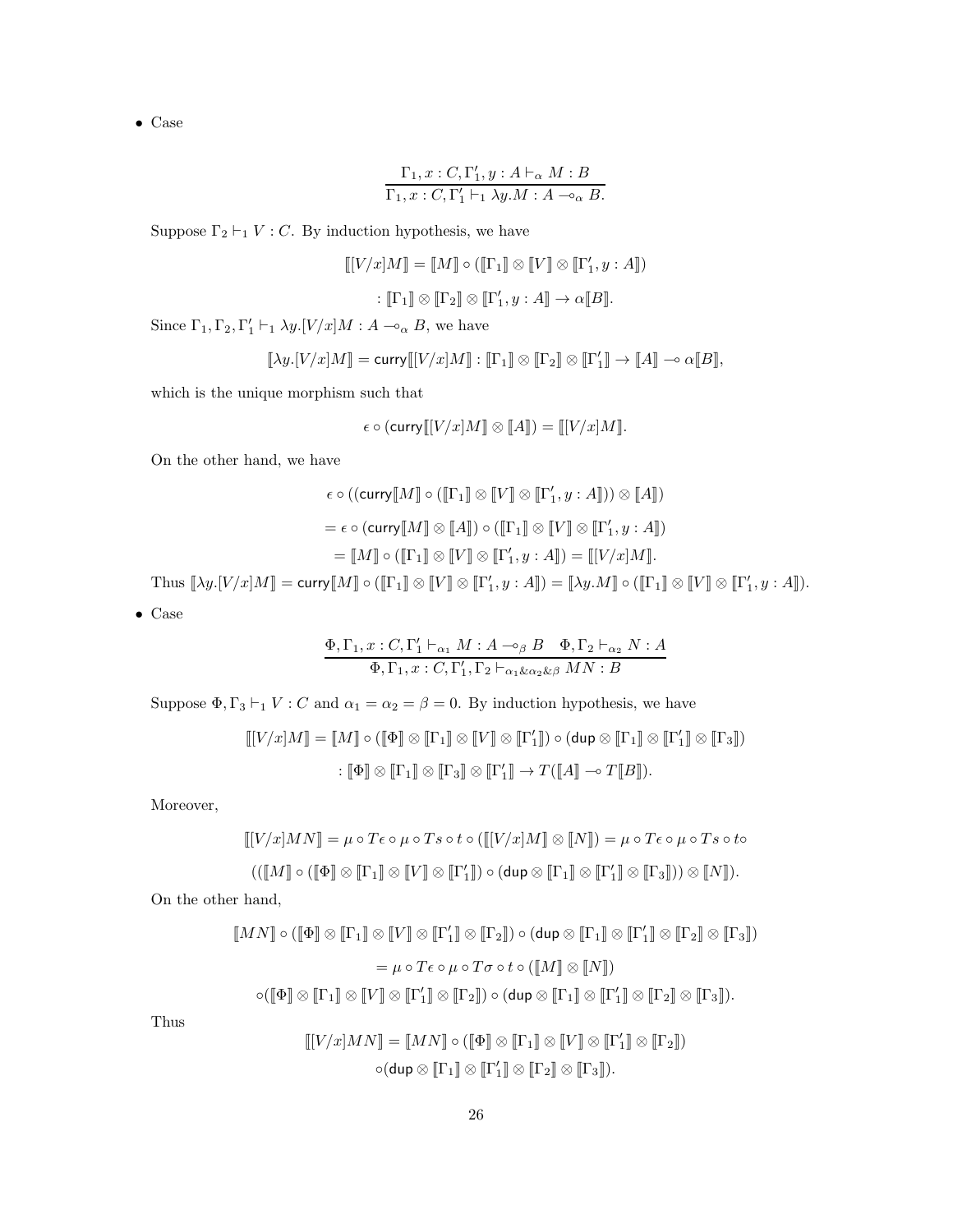$$
\frac{\Gamma_1, x : C, \Gamma'_1, y : A \vdash_{\alpha} M : B}{\Gamma_1, x : C, \Gamma'_1 \vdash_1 \lambda y.M : A \multimap_{\alpha} B}.
$$

Suppose  $\Gamma_2 \vdash_1 V : C$ . By induction hypothesis, we have

$$
\llbracket [V/x]M \rrbracket = \llbracket M \rrbracket \circ (\llbracket \Gamma_1 \rrbracket \otimes \llbracket V \rrbracket \otimes \llbracket \Gamma'_1, y : A \rrbracket)
$$

$$
\colon \llbracket \Gamma_1 \rrbracket \otimes \llbracket \Gamma_2 \rrbracket \otimes \llbracket \Gamma'_1, y : A \rrbracket \to \alpha \llbracket B \rrbracket.
$$

Since  $\Gamma_1, \Gamma_2, \Gamma'_1 \vdash_1 \lambda y. [V/x]M : A \multimap_{\alpha} B$ , we have

$$
[\![\lambda y.[V/x]M]\!] = \text{curry}[[[V/x]M]\!] : [\![\Gamma_1]\!] \otimes [\![\Gamma_2]\!] \otimes [\![\Gamma'_1]\!] \to [\![A]\!] \multimap \alpha [\![B]\!],
$$

which is the unique morphism such that

$$
\epsilon \circ (\operatorname{curv}(\llbracket V/x \rrbracket M \rrbracket \otimes \llbracket A \rrbracket) = \llbracket [V/x] M \rrbracket.
$$

On the other hand, we have

$$
\epsilon \circ ((\text{curv}[[M]] \circ ([\Gamma_1]] \otimes [[V]] \otimes [[\Gamma'_1, y : A]]) \otimes [[A]])
$$
  
=  $\epsilon \circ (\text{curv}[[M]] \otimes [[A]]) \circ ([\Gamma_1]] \otimes [[V]] \otimes [[\Gamma'_1, y : A]])$   
=  $[[M]] \circ ([\Gamma_1]] \otimes [[V]] \otimes [[\Gamma'_1, y : A]]) = [[V/x]M]].$ 

Thus  $[\![\lambda y.[V/x]M]\!] = \text{curry}[\![M]\!] \circ ([\![\Gamma_1]\!] \otimes [\![V]\!] \otimes [\![\Gamma'_1, y : A]\!] ) = [\![\lambda y.M]\!] \circ ([\![\Gamma_1]\!] \otimes [\![V]\!] \otimes [\![\Gamma'_1, y : A]\!] ).$  $\overline{\Omega}$ 

$$
_{\rm Case}
$$

$$
\frac{\Phi, \Gamma_1, x:C, \Gamma'_1 \vdash_{\alpha_1} M:A \multimap_{\beta} B \quad \Phi, \Gamma_2 \vdash_{\alpha_2} N:A}{\Phi, \Gamma_1, x:C, \Gamma'_1, \Gamma_2 \vdash_{\alpha_1 \& \alpha_2 \& \beta} MN:B}
$$

Suppose  $\Phi, \Gamma_3 \vdash_1 V : C$  and  $\alpha_1 = \alpha_2 = \beta = 0$ . By induction hypothesis, we have

$$
\llbracket [V/x]M \rrbracket = \llbracket M \rrbracket \circ (\llbracket \Phi \rrbracket \otimes \llbracket \Gamma_1 \rrbracket \otimes \llbracket V \rrbracket \otimes \llbracket \Gamma'_1 \rrbracket) \circ (\text{dup} \otimes \llbracket \Gamma_1 \rrbracket \otimes \llbracket \Gamma'_1 \rrbracket \otimes \llbracket \Gamma_3 \rrbracket)
$$

$$
\colon \llbracket \Phi \rrbracket \otimes \llbracket \Gamma_1 \rrbracket \otimes \llbracket \Gamma_2 \rrbracket \otimes \llbracket \Gamma_1 \rrbracket \otimes \llbracket \Gamma_2 \rrbracket)
$$

Moreover,

$$
\llbracket [V/x]MN \rrbracket = \mu \circ T \epsilon \circ \mu \circ T s \circ t \circ (\llbracket [V/x]M \rrbracket \otimes \llbracket N \rrbracket) = \mu \circ T \epsilon \circ \mu \circ T s \circ t \circ (\llbracket [V/x]M \rrbracket \otimes \llbracket N \rrbracket) = \mu \circ T \epsilon \circ \mu \circ T s \circ t \circ (\llbracket [W/x]M \rrbracket \otimes \llbracket [V]] \otimes \llbracket [V \rrbracket \otimes \llbracket [V \rrbracket \otimes \llbracket [V \rrbracket] \otimes \llbracket [V \rrbracket \otimes \llbracket [V \rrbracket \otimes \llbracket [V \rrbracket]) \otimes \llbracket [N \rrbracket).
$$

On the other hand,

$$
\llbracket MN \rrbracket \circ (\llbracket \Phi \rrbracket \otimes \llbracket \Gamma_1 \rrbracket \otimes \llbracket V \rrbracket \otimes \llbracket \Gamma'_1 \rrbracket \otimes \llbracket \Gamma_2 \rrbracket) \circ (\text{dup} \otimes \llbracket \Gamma_1 \rrbracket \otimes \llbracket \Gamma'_1 \rrbracket \otimes \llbracket \Gamma_2 \rrbracket \otimes \llbracket \Gamma_3 \rrbracket)
$$

$$
= \mu \circ T \epsilon \circ \mu \circ T \sigma \circ t \circ (\llbracket M \rrbracket \otimes \llbracket N \rrbracket)
$$

$$
\circ (\llbracket \Phi \rrbracket \otimes \llbracket \Gamma_1 \rrbracket \otimes \llbracket V \rrbracket \otimes \llbracket \Gamma'_1 \rrbracket \otimes \llbracket \Gamma_2 \rrbracket \otimes \llbracket \Gamma_3 \rrbracket).
$$

Thus

$$
\llbracket [V/x] MN \rrbracket = \llbracket MN \rrbracket \circ (\llbracket \Phi \rrbracket \otimes \llbracket \Gamma_1 \rrbracket \otimes \llbracket V \rrbracket \otimes \llbracket \Gamma'_1 \rrbracket \otimes \llbracket \Gamma_2 \rrbracket)
$$

$$
\circ (\text{dup} \otimes \llbracket \Gamma_1 \rrbracket \otimes \llbracket \Gamma'_1 \rrbracket \otimes \llbracket \Gamma_2 \rrbracket \otimes \llbracket \Gamma_3 \rrbracket).
$$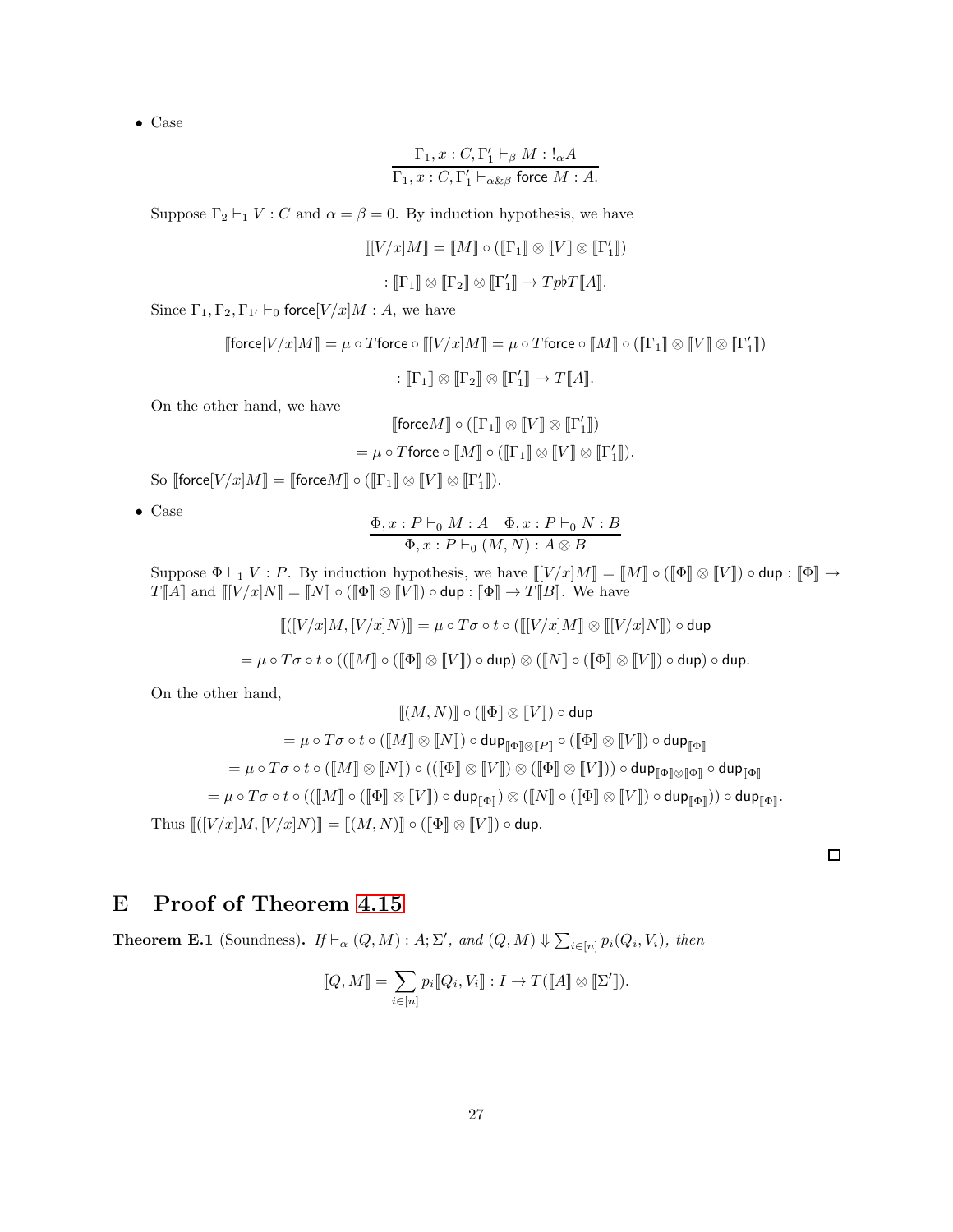$$
\frac{\Gamma_1, x: C, \Gamma'_1 \vdash_{\beta} M: !_{\alpha} A}{\Gamma_1, x: C, \Gamma'_1 \vdash_{\alpha \& \beta} \text{force } M: A.}
$$

Suppose  $\Gamma_2 \vdash_1 V : C$  and  $\alpha = \beta = 0$ . By induction hypothesis, we have

$$
\llbracket [V/x]M \rrbracket = \llbracket M \rrbracket \circ (\llbracket \Gamma_1 \rrbracket \otimes \llbracket V \rrbracket \otimes \llbracket \Gamma'_1 \rrbracket)
$$

$$
\colon \llbracket \Gamma_1 \rrbracket \otimes \llbracket \Gamma_2 \rrbracket \otimes \llbracket \Gamma'_1 \rrbracket \to Tp b T \llbracket A \rrbracket.
$$

Since  $\Gamma_1, \Gamma_2, \Gamma_{1'} \vdash_0$  force  $[V/x]M : A$ , we have

$$
\llbracket \text{force}[V/x]M \rrbracket = \mu \circ T \text{force} \circ \llbracket [V/x]M \rrbracket = \mu \circ T \text{force} \circ \llbracket M \rrbracket \circ (\llbracket \Gamma_1 \rrbracket \otimes \llbracket V \rrbracket \otimes \llbracket \Gamma'_1 \rrbracket)
$$

$$
\qquad : \llbracket \Gamma_1 \rrbracket \otimes \llbracket \Gamma_2 \rrbracket \otimes \llbracket \Gamma'_1 \rrbracket \to T \llbracket A \rrbracket.
$$

On the other hand, we have

$$
\begin{aligned} \llbracket \text{force}[M] \circ (\llbracket \Gamma_1 \rrbracket \otimes \llbracket V \rrbracket \otimes \llbracket \Gamma'_1 \rrbracket) \\ = \mu \circ T \text{force} \circ \llbracket M \rrbracket \circ (\llbracket \Gamma_1 \rrbracket \otimes \llbracket V \rrbracket \otimes \llbracket \Gamma'_1 \rrbracket). \end{aligned}
$$

So  $\llbracket \mathsf{force}[V/x]M \rrbracket = \llbracket \mathsf{force}M \rrbracket \circ (\llbracket \Gamma_1 \rrbracket \otimes \llbracket V \rrbracket \otimes \llbracket \Gamma_1' \rrbracket).$ 

• Case

$$
\frac{\Phi, x : P \vdash_0 M : A \quad \Phi, x : P \vdash_0 N : B}{\Phi, x : P \vdash_0 (M, N) : A \otimes B}
$$

Suppose  $\Phi \vdash_1 V : P$ . By induction hypothesis, we have  $[[V/x]M]] = [[M]] \circ ([[\Phi]] \otimes [[V]]) \circ \text{dup} : [[\Phi]] \rightarrow$  $T[\![\tilde{A}]\!]$  and  $\llbracket [V/x]N\rrbracket = \llbracket N\rrbracket \circ (\llbracket \Phi \rrbracket \otimes \llbracket V \rrbracket) \circ \text{dup} : \llbracket \Phi \rrbracket \to T[\![B]\!].$  We have

$$
\llbracket ([V/x]M, [V/x]N) \rrbracket = \mu \circ T\sigma \circ t \circ (\llbracket [V/x]M \rrbracket \otimes \llbracket [V/x]N \rrbracket) \circ \mathsf{dup}
$$
\n
$$
= \mu \circ T\sigma \circ t \circ ((\llbracket M \rrbracket \circ (\llbracket \Phi \rrbracket \otimes \llbracket V \rrbracket) \circ \mathsf{dup}) \otimes (\llbracket N \rrbracket \circ (\llbracket \Phi \rrbracket \otimes \llbracket V \rrbracket) \circ \mathsf{dup}) \circ \mathsf{dup}.
$$

On the other hand,

$$
\llbracket (M, N) \rrbracket \circ (\llbracket \Phi \rrbracket \otimes \llbracket V \rrbracket) \circ \mathsf{dup} \\ = \mu \circ T\sigma \circ t \circ (\llbracket M \rrbracket \otimes \llbracket N \rrbracket) \circ \mathsf{dup}_{\llbracket \Phi \rrbracket \otimes \llbracket P \rrbracket} \circ (\llbracket \Phi \rrbracket \otimes \llbracket V \rrbracket) \circ \mathsf{dup}_{\llbracket \Phi \rrbracket} \\ = \mu \circ T\sigma \circ t \circ (\llbracket M \rrbracket \otimes \llbracket N \rrbracket) \circ ((\llbracket \Phi \rrbracket \otimes \llbracket V \rrbracket) \otimes (\llbracket \Phi \rrbracket \otimes \llbracket V \rrbracket)) \circ \mathsf{dup}_{\llbracket \Phi \rrbracket \otimes \llbracket \Phi \rrbracket} \\ = \mu \circ T\sigma \circ t \circ ((\llbracket M \rrbracket \circ (\llbracket \Phi \rrbracket \otimes \llbracket V \rrbracket) \circ \mathsf{dup}_{\llbracket \Phi \rrbracket}) \otimes (\llbracket N \rrbracket \circ (\llbracket \Phi \rrbracket \otimes \llbracket V \rrbracket) \circ \mathsf{dup}_{\llbracket \Phi \rrbracket}) \circ \mathsf{dup}_{\llbracket \Phi \rrbracket} ).
$$

<span id="page-26-0"></span>E Proof of Theorem [4.15](#page-15-0)

**Theorem E.1** (Soundness). *If*  $\vdash_{\alpha} (Q, M) : A; \Sigma'$ , and  $(Q, M) \Downarrow \sum_{i \in [n]} p_i(Q_i, V_i)$ , then

$$
[\![Q,M]\!]=\sum_{i\in[n]}p_i[\![Q_i,V_i]\!]:I\to T([\![A]\!]\otimes[\![\Sigma']\!]).
$$

 $\Box$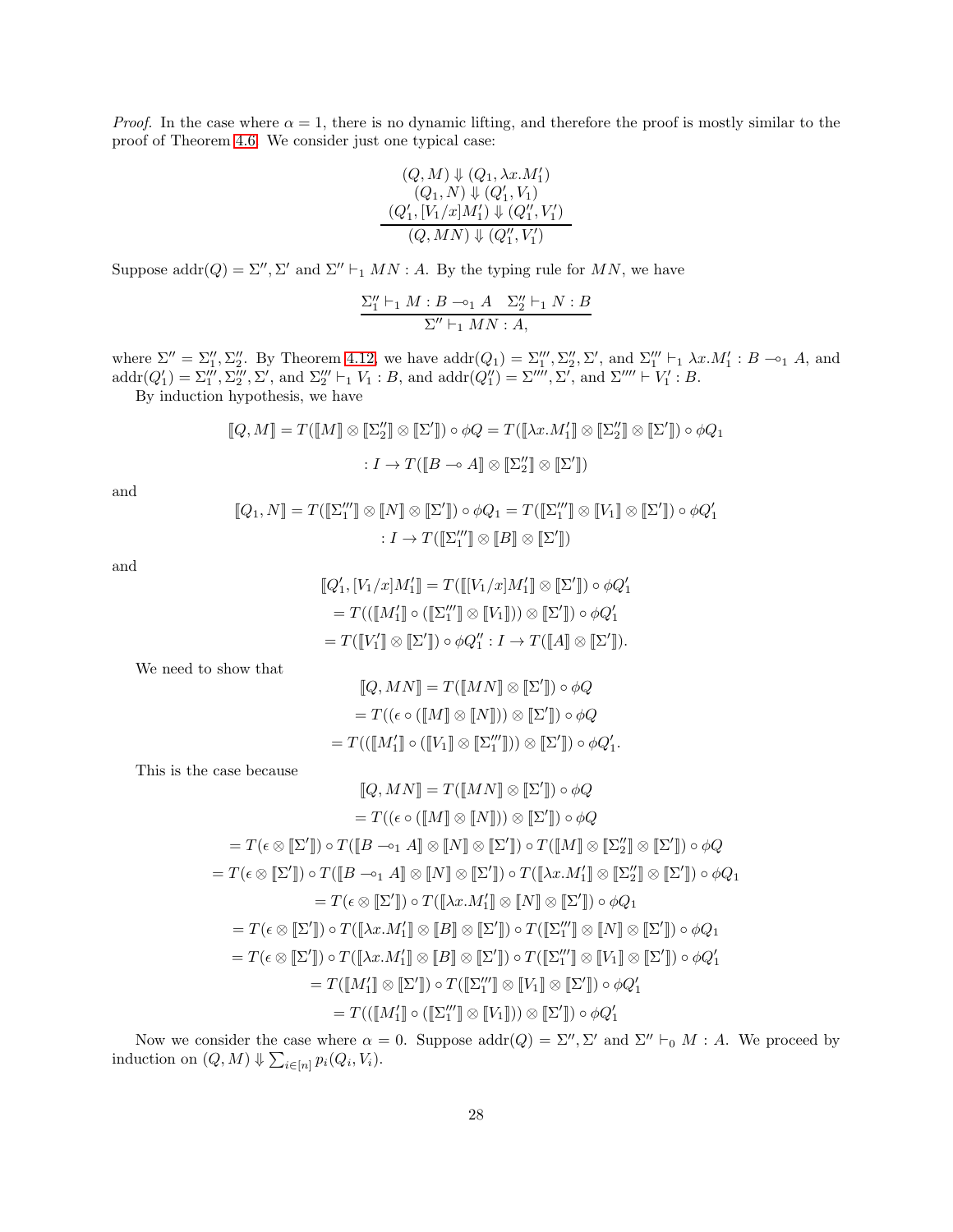*Proof.* In the case where  $\alpha = 1$ , there is no dynamic lifting, and therefore the proof is mostly similar to the proof of Theorem [4.6.](#page-13-1) We consider just one typical case:

$$
(Q, M) \Downarrow (Q_1, \lambda x.M'_1)
$$
  
\n
$$
(Q'_1, N) \Downarrow (Q'_1, V_1)
$$
  
\n
$$
(Q'_1, [V_1/x]M'_1) \Downarrow (Q''_1, V'_1)
$$
  
\n
$$
(Q, MN) \Downarrow (Q''_1, V'_1)
$$

Suppose  $\text{addr}(Q) = \Sigma'', \Sigma'$  and  $\Sigma'' \vdash_1 MN : A$ . By the typing rule for  $MN$ , we have

$$
\frac{\Sigma_1''\vdash_1 M:B\multimap_1 A\quad \Sigma_2''\vdash_1 N:B}{\Sigma''\vdash_1 MN:A,}
$$

where  $\Sigma'' = \Sigma''_1, \Sigma''_2$ . By Theorem [4.12,](#page-15-1) we have  $addr(Q_1) = \Sigma'''_1, \Sigma''_2, \Sigma'$ , and  $\Sigma'''_1 \vdash_1 \lambda x.M'_1 : B \multimap_1 A$ , and  $\text{addr}(Q'_1) = \sum_1''', \sum_2''', \sum_2'', \text{ and } \sum_2'' \vdash_1 V_1 : B, \text{ and } \text{addr}(Q''_1) = \sum_2''', \sum_2'', \text{ and } \sum_2''' \vdash V_1' : B.$ 

By induction hypothesis, we have

$$
[\![Q,M]\!] = T([\![M]\!] \otimes [\![\Sigma_2']\!] \otimes [\![\Sigma']\!] ) \circ \phi Q = T([\![\lambda x.M_1']\!] \otimes [\![\Sigma_2']\!] \otimes [\![\Sigma']\!] ) \circ \phi Q_1
$$

$$
: I \to T([\![B \multimap A]\!] \otimes [\![\Sigma_2']\!] \otimes [\![\Sigma']\!])
$$

and

$$
\llbracket Q_1, N \rrbracket = T(\llbracket \Sigma_1''' \rrbracket \otimes \llbracket N \rrbracket \otimes \llbracket \Sigma' \rrbracket) \circ \phi Q_1 = T(\llbracket \Sigma_1''' \rrbracket \otimes \llbracket V_1 \rrbracket \otimes \llbracket \Sigma' \rrbracket) \circ \phi Q_1'
$$

$$
: I \to T(\llbracket \Sigma_1''' \rrbracket \otimes \llbracket \Sigma' \rrbracket)
$$

and

$$
\llbracket Q'_1, [V_1/x]M'_1 \rrbracket = T([\llbracket V_1/x]M'_1 \rrbracket \otimes \llbracket \Sigma' \rrbracket) \circ \phi Q'_1
$$
  
=  $T((\llbracket M'_1 \rrbracket \circ (\llbracket \Sigma''_1 \rrbracket \otimes \llbracket V_1 \rrbracket)) \otimes \llbracket \Sigma' \rrbracket) \circ \phi Q'_1$   
=  $T(\llbracket V'_1 \rrbracket \otimes \llbracket \Sigma' \rrbracket) \circ \phi Q'_1 : I \to T([\llbracket A \rrbracket \otimes \llbracket \Sigma' \rrbracket).$ 

We need to show that

$$
[\![Q, MN]\!] = T([\![MN]\!] \otimes [\![\Sigma']\!] ) \circ \phi Q
$$
  
= 
$$
T((\epsilon \circ ([\![M]\!] \otimes [\![N]\!])) \otimes [\![\Sigma']\!] ) \circ \phi Q
$$
  
= 
$$
T(([\![M_1']\!] \circ ([\![V_1]\!] \otimes [\![\Sigma_1''']\!])) \otimes [\![\Sigma']\!] ) \circ \phi Q_1'.
$$

This is the case because

$$
[Q, MN] = T([MN] \otimes [\Sigma']) \circ \phi Q
$$
  
\n
$$
= T((\epsilon \circ ([M] \otimes [N])) \otimes [\Sigma']) \circ \phi Q
$$
  
\n
$$
= T(\epsilon \otimes [\Sigma']) \circ T([B \multimap_1 A] \otimes [N] \otimes [\Sigma']) \circ T([M] \otimes [\Sigma']] \otimes [\Sigma']) \circ \phi Q
$$
  
\n
$$
= T(\epsilon \otimes [\Sigma']) \circ T([B \multimap_1 A] \otimes [N] \otimes [\Sigma']) \circ T([\lambda x.M_1'] \otimes [\Sigma_2''] \otimes [\Sigma']) \circ \phi Q_1
$$
  
\n
$$
= T(\epsilon \otimes [\Sigma']) \circ T([\lambda x.M_1'] \otimes [N] \otimes [\Sigma']) \circ \phi Q_1
$$
  
\n
$$
= T(\epsilon \otimes [\Sigma']) \circ T([\lambda x.M_1'] \otimes [B] \otimes [\Sigma']) \circ T([\Sigma_1'''] \otimes [N] \otimes [\Sigma']) \circ \phi Q_1
$$
  
\n
$$
= T(\epsilon \otimes [\Sigma']) \circ T([\lambda x.M_1'] \otimes [B] \otimes [\Sigma']) \circ T([\Sigma_1'''] \otimes [V_1] \otimes [\Sigma']) \circ \phi Q_1'
$$
  
\n
$$
= T([M_1'] \otimes [\Sigma']) \circ T([\Sigma_1'''] \otimes [V_1] \otimes [\Sigma']) \circ \phi Q_1'
$$
  
\n
$$
= T(([M_1'] \circ ([\Sigma_1'''] \otimes [V_1])) \otimes [\Sigma']) \circ \phi Q_1'
$$

Now we consider the case where  $\alpha = 0$ . Suppose  $\text{addr}(Q) = \Sigma''$ ,  $\Sigma'$  and  $\Sigma'' \vdash_0 M : A$ . We proceed by induction on  $(Q, M) \Downarrow \sum_{i \in [n]} p_i(Q_i, V_i)$ .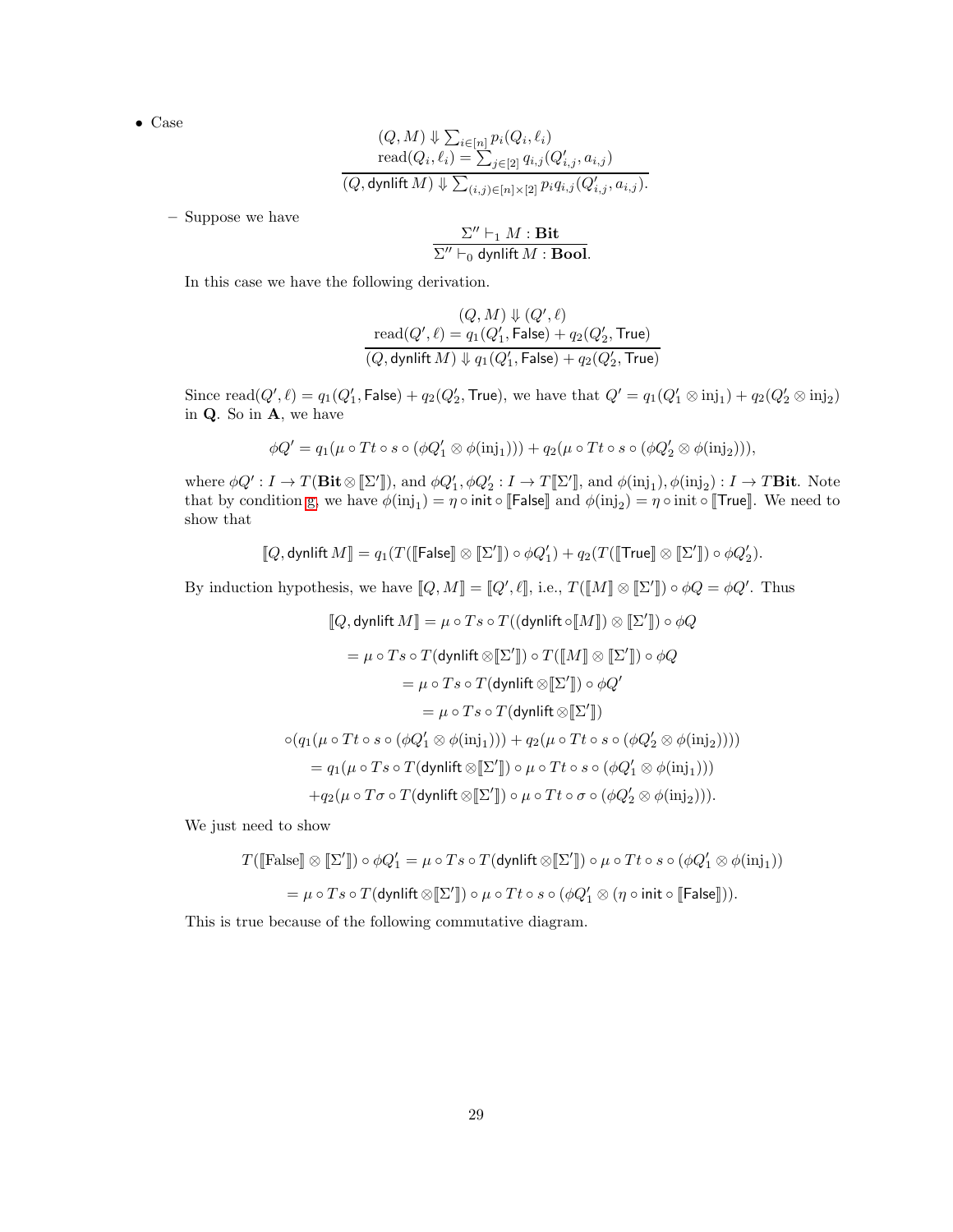$$
(Q, M) \Downarrow \sum_{i \in [n]} p_i(Q_i, \ell_i)
$$
  
read $(Q_i, \ell_i) = \sum_{j \in [2]} q_{i,j}(Q'_{i,j}, a_{i,j})$   
 $(Q, \text{dynlift } M) \Downarrow \sum_{(i,j) \in [n] \times [2]} p_i q_{i,j}(Q'_{i,j}, a_{i,j}).$ 

– Suppose we have

$$
\frac{\Sigma'' \vdash_1 M : \textbf{Bit}}{\Sigma'' \vdash_0 \text{dynlift } M : \textbf{Bool}}.
$$

In this case we have the following derivation.

$$
(Q, M) \Downarrow (Q', \ell)
$$
  
\n
$$
\text{read}(Q', \ell) = q_1(Q'_1, \text{False}) + q_2(Q'_2, \text{True})
$$
  
\n
$$
(Q, \text{dynlift } M) \Downarrow q_1(Q'_1, \text{False}) + q_2(Q'_2, \text{True})
$$

Since  $\text{read}(Q', \ell) = q_1(Q'_1, \text{False}) + q_2(Q'_2, \text{True}),$  we have that  $Q' = q_1(Q'_1 \otimes \text{inj}_1) + q_2(Q'_2 \otimes \text{inj}_2)$ in Q. So in A, we have

$$
\phi Q' = q_1(\mu \circ Tt \circ s \circ (\phi Q'_1 \otimes \phi(\text{inj}_1))) + q_2(\mu \circ Tt \circ s \circ (\phi Q'_2 \otimes \phi(\text{inj}_2))),
$$

where  $\phi Q' : I \to T(\textbf{Bit} \otimes \llbracket \Sigma' \rrbracket)$ , and  $\phi Q'_1, \phi Q'_2 : I \to T \llbracket \Sigma' \rrbracket$ , and  $\phi(\text{inj}_1), \phi(\text{inj}_2) : I \to T \textbf{Bit}$ . Note that by condition [g,](#page-7-3) we have  $\phi(\text{inj}_1) = \eta \circ \text{init} \circ \llbracket \mathsf{False} \rrbracket$  and  $\phi(\text{inj}_2) = \eta \circ \text{init} \circ \llbracket \mathsf{True} \rrbracket$ . We need to show that

$$
\llbracket Q, \text{dynlift } M \rrbracket = q_1(T(\llbracket \mathsf{False} \rrbracket \otimes \llbracket \Sigma' \rrbracket) \circ \phi Q_1') + q_2(T(\llbracket \mathsf{True} \rrbracket \otimes \llbracket \Sigma' \rrbracket) \circ \phi Q_2').
$$

By induction hypothesis, we have  $[\![Q,M]\!] = [\![Q',\ell]\!]$ , i.e.,  $T([\![M]\!] \otimes [\![\Sigma']\!] ) \circ \phi Q = \phi Q'$ . Thus

$$
[Q, \text{dynlift } M] = \mu \circ T s \circ T((\text{dynlift } \circ [M]) \otimes [ \Sigma' ] ) \circ \phi Q
$$
  
\n
$$
= \mu \circ T s \circ T(\text{dynlift } \otimes [ \Sigma' ] ) \circ T([M] \otimes [ \Sigma' ] ) \circ \phi Q
$$
  
\n
$$
= \mu \circ T s \circ T(\text{dynlift } \otimes [ \Sigma' ] ) \circ \phi Q'
$$
  
\n
$$
= \mu \circ T s \circ T(\text{dynlift } \otimes [ \Sigma' ] )
$$
  
\n
$$
\circ (q_1(\mu \circ Tt \circ s \circ (\phi Q'_1 \otimes \phi(\mathrm{inj}_1))) + q_2(\mu \circ Tt \circ s \circ (\phi Q'_2 \otimes \phi(\mathrm{inj}_2))))
$$
  
\n
$$
= q_1(\mu \circ T s \circ T(\text{dynlift } \otimes [ \Sigma' ] ) \circ \mu \circ Tt \circ s \circ (\phi Q'_1 \otimes \phi(\mathrm{inj}_1)))
$$
  
\n
$$
+ q_2(\mu \circ T \sigma \circ T(\text{dynlift } \otimes [ \Sigma' ] ) \circ \mu \circ Tt \circ \sigma \circ (\phi Q'_2 \otimes \phi(\mathrm{inj}_2))).
$$

We just need to show

$$
T([\text{False}] \otimes [\![\Sigma']\!]) \circ \phi Q_1' = \mu \circ Ts \circ T(\text{dynlift} \otimes [\![\Sigma']\!]) \circ \mu \circ Tt \circ s \circ (\phi Q_1' \otimes \phi(\text{inj}_1))
$$

$$
= \mu \circ Ts \circ T(\text{dynlift} \otimes [\![\Sigma']\!]) \circ \mu \circ Tt \circ s \circ (\phi Q_1' \otimes (\eta \circ \text{init} \circ [\![\mathsf{False}]\!]).
$$

This is true because of the following commutative diagram.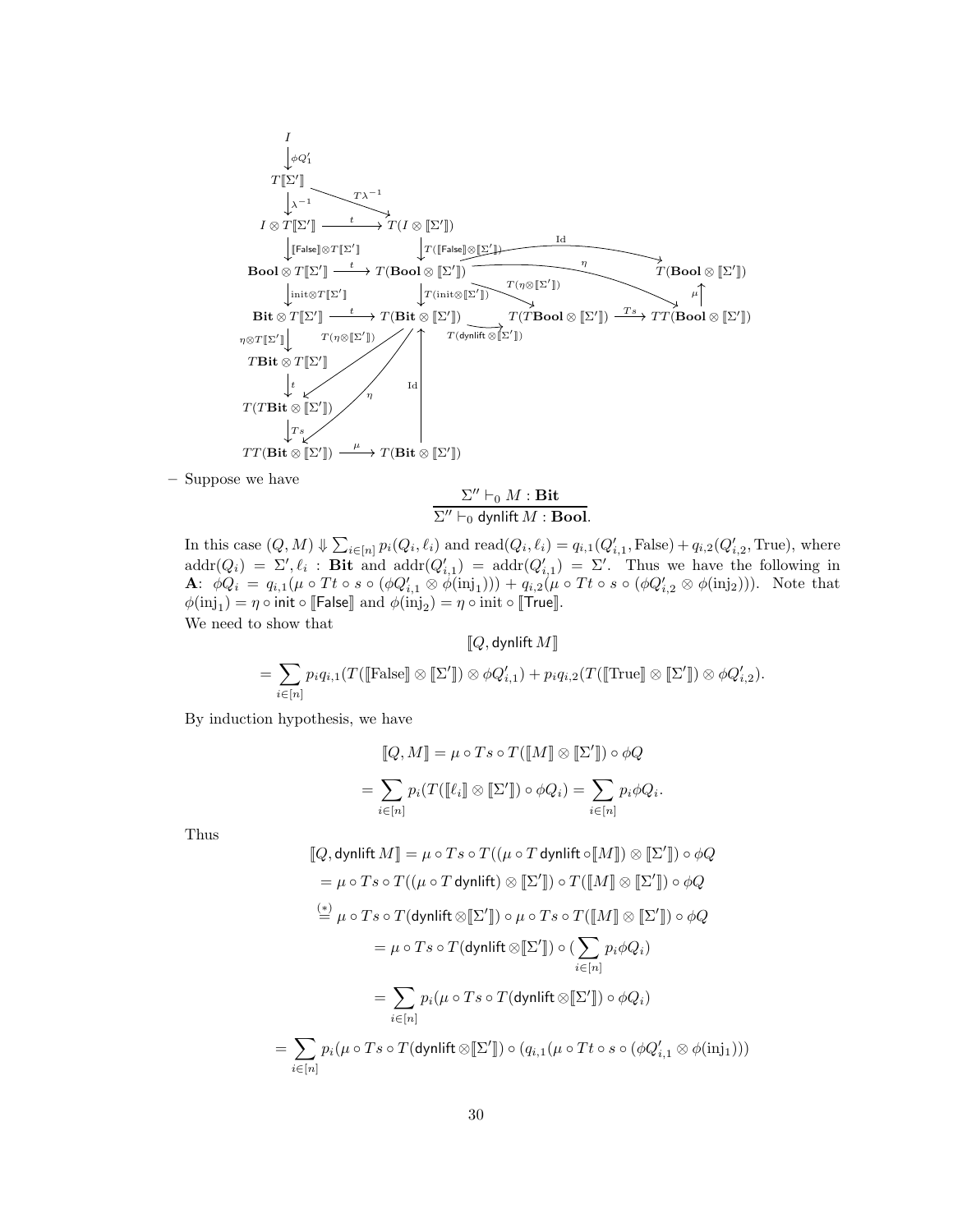

– Suppose we have

 $\Sigma'' \vdash_0 M : \mathbf{Bit}$  $\Sigma'' \vdash_0 \mathsf{dynlift}\, M : \mathbf{Bool}.$ 

In this case  $(Q, M) \Downarrow \sum_{i \in [n]} p_i(Q_i, \ell_i)$  and  $\text{read}(Q_i, \ell_i) = q_{i,1}(Q'_{i,1}, \text{False}) + q_{i,2}(Q'_{i,2}, \text{True})$ , where in this case  $(\mathcal{Q}, M) \notin \sum_{i \in [n]} p_i(\mathcal{Q}_i, i_i)$  and read $(\mathcal{Q}_i, i_i) = q_{i,1}(\mathcal{Q}_{i,1}, \text{r} \text{ and } j) + q_{i,2}(\mathcal{Q}_{i,2}, \text{if not}),$  where  $\text{addr}(Q_i) = \Sigma', \ell_i$ : Bit and  $\text{addr}(Q'_{i,1}) = \text{addr}(Q'_{i,1}) = \Sigma'.$  Thus we have the following in **A**:  $\phi Q_i = q_{i,1}(\mu \circ Tt \circ s \circ (\phi Q'_{i,1} \otimes \phi(\text{inj}_1))) + q_{i,2}(\mu \circ Tt \circ s \circ (\phi Q'_{i,2} \otimes \phi(\text{inj}_2)))$ . Note that  $\phi(\mathrm{inj}_1) = \eta \circ \mathsf{init} \circ \llbracket \mathsf{False} \rrbracket$  and  $\phi(\mathrm{inj}_2) = \eta \circ \mathsf{init} \circ \llbracket \mathsf{True} \rrbracket$ . We need to show that

$$
\llbracket Q, \text{dynlift } M \rrbracket
$$
  
=  $\sum_{i \in [n]} p_i q_{i,1}(T([\text{False}] \otimes \llbracket \Sigma' \rrbracket) \otimes \phi Q'_{i,1}) + p_i q_{i,2}(T([\text{True}] \otimes \llbracket \Sigma' \rrbracket) \otimes \phi Q'_{i,2}).$ 

By induction hypothesis, we have

=

$$
[Q, M] = \mu \circ Ts \circ T([M] \otimes [ \Sigma']) \circ \phi Q
$$

$$
= \sum_{i \in [n]} p_i(T([l_i] \otimes [ \Sigma']) \circ \phi Q_i) = \sum_{i \in [n]} p_i \phi Q_i.
$$

Thus

$$
[\![Q, \text{dyn}\!] \text{iff } M \!] = \mu \circ Ts \circ T((\mu \circ T \text{dyn}\!] \text{iff } \circ [\![M]\!]) \otimes [\![\Sigma']\!]) \circ \phi Q
$$
\n
$$
= \mu \circ Ts \circ T((\mu \circ T \text{dyn}\!] \text{iff } \otimes [\![\Sigma']\!]) \circ T([\![M]\!] \otimes [\![\Sigma']\!]) \circ \phi Q
$$
\n
$$
\stackrel{(*)}{=} \mu \circ Ts \circ T(\text{dyn}\!] \text{iff } \otimes [\![\Sigma']\!]) \circ \mu \circ Ts \circ T([\![M]\!] \otimes [\![\Sigma']\!]) \circ \phi Q
$$
\n
$$
= \mu \circ Ts \circ T(\text{dyn}\!] \text{iff } \otimes [\![\Sigma']\!]) \circ (\sum_{i \in [n]} p_i \phi Q_i)
$$
\n
$$
= \sum_{i \in [n]} p_i (\mu \circ Ts \circ T(\text{dyn}\!] \text{iff } \otimes [\![\Sigma']\!]) \circ \phi Q_i)
$$
\n
$$
\sum_{i \in [n]} p_i (\mu \circ Ts \circ T(\text{dyn}\!] \text{iff } \otimes [\![\Sigma']\!]) \circ (q_{i,1} (\mu \circ Tt \circ s \circ (\phi Q'_{i,1} \otimes \phi(\text{inj}_1)))
$$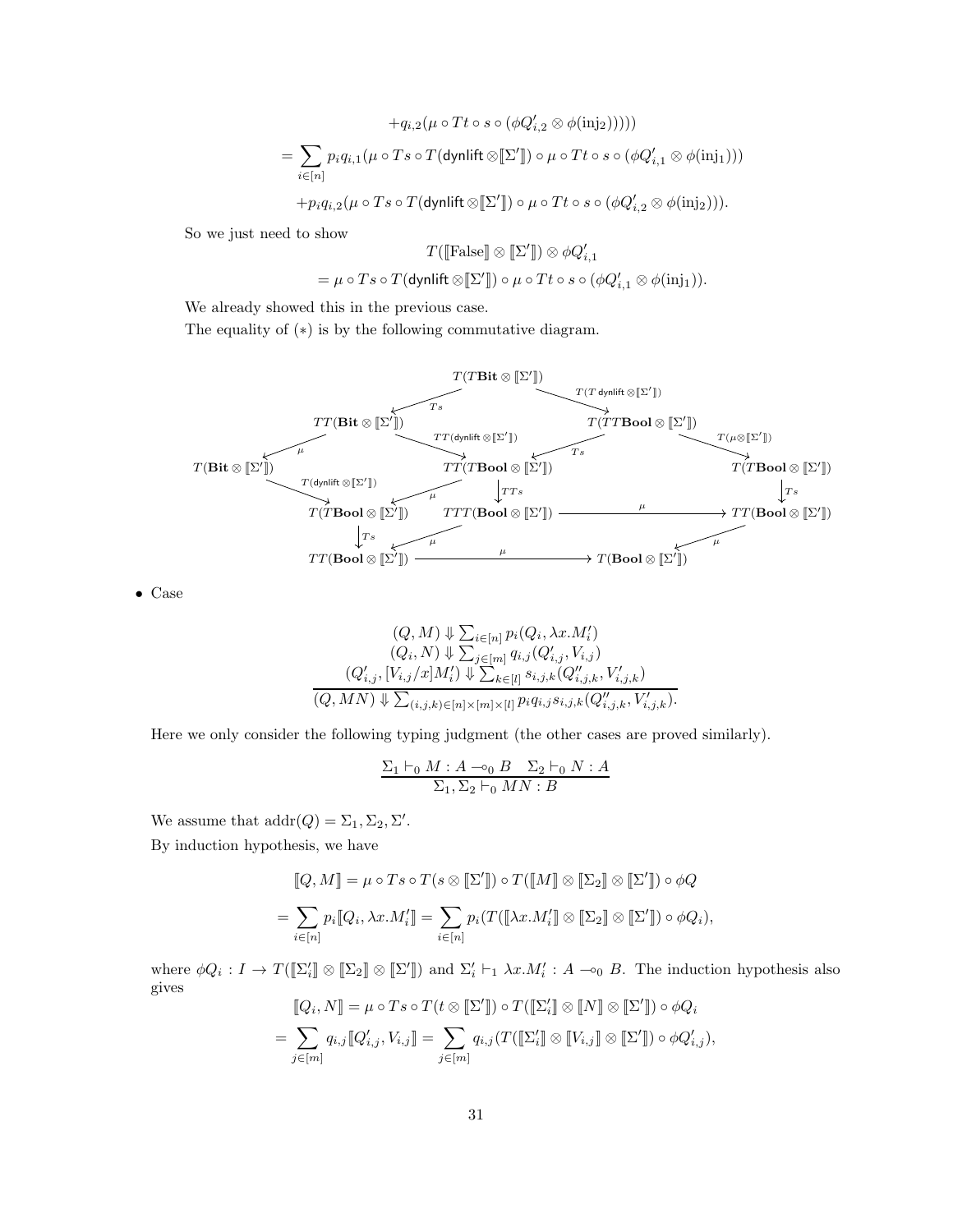$$
+q_{i,2}(\mu \circ Tt \circ s \circ (\phi Q'_{i,2} \otimes \phi(\text{inj2}))))
$$
  
= 
$$
\sum_{i \in [n]} p_i q_{i,1}(\mu \circ Ts \circ T(\text{dynlift} \otimes [\Sigma']) \circ \mu \circ Tt \circ s \circ (\phi Q'_{i,1} \otimes \phi(\text{inj}_1)))
$$
  
+ 
$$
+ p_i q_{i,2}(\mu \circ Ts \circ T(\text{dynlift} \otimes [\Sigma']) \circ \mu \circ Tt \circ s \circ (\phi Q'_{i,2} \otimes \phi(\text{inj}_2))).
$$

So we just need to show

$$
T([\text{False}] \otimes [\Sigma']) \otimes \phi Q'_{i,1}
$$
  
=  $\mu \circ Ts \circ T(\text{dynlift} \otimes [\Sigma']) \circ \mu \circ Tt \circ s \circ (\phi Q'_{i,1} \otimes \phi(\text{inj}_1)).$ 

We already showed this in the previous case.

The equality of  $(*)$  is by the following commutative diagram.



• Case

$$
(Q, M) \Downarrow \sum_{i \in [n]} p_i(Q_i, \lambda x. M'_i)
$$
  
\n
$$
(Q_i, N) \Downarrow \sum_{j \in [m]} q_{i,j}(Q'_{i,j}, V_{i,j})
$$
  
\n
$$
(Q'_{i,j}, [V_{i,j}/x]M'_i) \Downarrow \sum_{k \in [l]} s_{i,j,k}(Q''_{i,j,k}, V'_{i,j,k})
$$
  
\n
$$
(Q, MN) \Downarrow \sum_{(i,j,k) \in [n] \times [m] \times [l]} p_i q_{i,j} s_{i,j,k}(Q''_{i,j,k}, V'_{i,j,k}).
$$

Here we only consider the following typing judgment (the other cases are proved similarly).

$$
\frac{\Sigma_1 \vdash_0 M : A \multimap_0 B \quad \Sigma_2 \vdash_0 N : A}{\Sigma_1, \Sigma_2 \vdash_0 MN : B}
$$

We assume that  $\text{addr}(Q) = \Sigma_1, \Sigma_2, \Sigma'.$ 

By induction hypothesis, we have

$$
[\![Q,M]\!] = \mu \circ Ts \circ T(s \otimes [\![\Sigma']\!]) \circ T([\![M]\!] \otimes [\![\Sigma_2]\!] \otimes [\![\Sigma']\!]) \circ \phi Q
$$
  

$$
= \sum_{i \in [n]} p_i [\![Q_i, \lambda x. M'_i]\!] = \sum_{i \in [n]} p_i (T([\![\lambda x. M'_i]\!] \otimes [\![\Sigma_2]\!] \otimes [\![\Sigma']\!]) \circ \phi Q_i),
$$

where  $\phi Q_i: I \to T(\llbracket \Sigma'_i \rrbracket \otimes \llbracket \Sigma \rrbracket)$  and  $\Sigma'_i \vdash_1 \lambda x.M'_i: A \multimap_0 B$ . The induction hypothesis also gives

$$
[\![Q_i, N]\!] = \mu \circ Ts \circ T(t \otimes [\![\Sigma']\!]) \circ T([\![\Sigma'_i]\!] \otimes [\![N]\!] \otimes [\![\Sigma']\!]) \circ \phi Q_i
$$

$$
= \sum_{j \in [m]} q_{i,j} [\![Q'_{i,j}, V_{i,j}]\!] = \sum_{j \in [m]} q_{i,j} (T([\![\Sigma'_i]\!] \otimes [\![V_{i,j}]\!] \otimes [\![\Sigma']\!]) \circ \phi Q'_{i,j}),
$$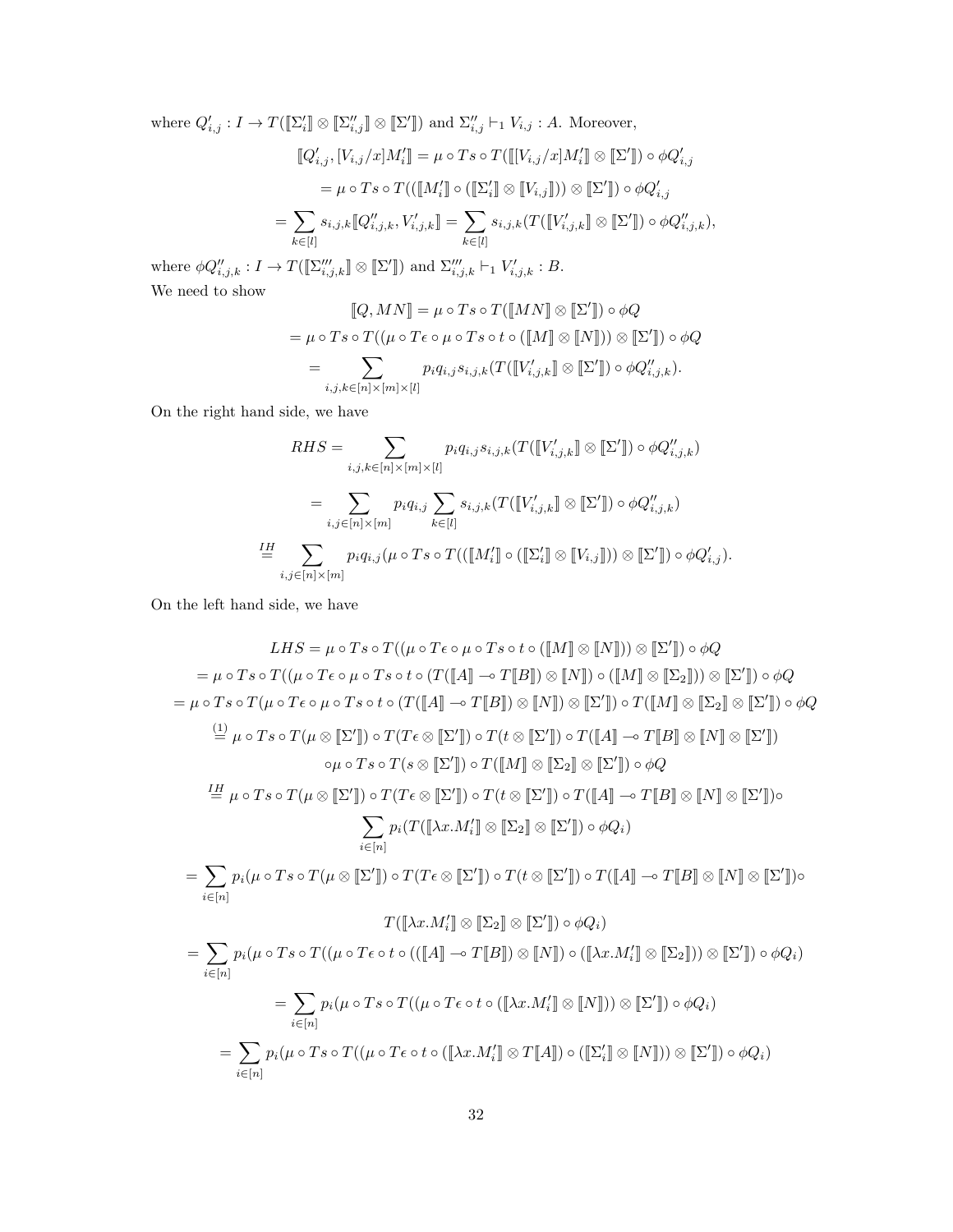where  $Q'_{i,j}: I \to T(\llbracket \Sigma'_{i} \rrbracket \otimes \llbracket \Sigma''_{i,j} \rrbracket \otimes \llbracket \Sigma'' \rrbracket)$  and  $\Sigma''_{i,j} \vdash_1 V_{i,j} : A$ . Moreover,

$$
\begin{aligned} [\![Q'_{i,j},[V_{i,j}/x]M'_{i}]\!] &= \mu \circ Ts \circ T([\![[V_{i,j}/x]M'_{i}]\!] \otimes [\![\Sigma']\!]) \circ \phi Q'_{i,j} \\ &= \mu \circ Ts \circ T(([\![M'_{i}]\!] \circ ([\![\Sigma'_{i}]\!] \otimes [\![V_{i,j}]\!])) \otimes [\![\Sigma']\!]) \circ \phi Q'_{i,j} \\ &= \sum_{k \in [l]} s_{i,j,k} [\![Q''_{i,j,k},V'_{i,j,k}]\!] = \sum_{k \in [l]} s_{i,j,k} (T([\![V'_{i,j,k}]\!] \otimes [\![\Sigma']\!]) \circ \phi Q''_{i,j,k}), \end{aligned}
$$

where  $\phi Q''_{i,j,k}: I \to T(\llbracket \Sigma'''_{i,j,k} \rrbracket \otimes \llbracket \Sigma' \rrbracket)$  and  $\Sigma'''_{i,j,k} \vdash_1 V'_{i,j,k}: B$ . We need to show

$$
[\![Q, MN]\!] = \mu \circ Ts \circ T([\![MN]\!] \otimes [\![\Sigma']\!] ) \circ \phi Q
$$
  
= 
$$
\mu \circ Ts \circ T((\mu \circ T\epsilon \circ \mu \circ Ts \circ t \circ ([\![M]\!] \otimes [\![N]\!])) \otimes [\![\Sigma']\!] ) \circ \phi Q
$$
  
= 
$$
\sum_{i,j,k \in [n] \times [m] \times [l]} p_i q_{i,j} s_{i,j,k} (T([\![V'_{i,j,k}]\!] \otimes [\![\Sigma']\!]) \circ \phi Q''_{i,j,k}).
$$

On the right hand side, we have

$$
RHS = \sum_{i,j,k \in [n] \times [m] \times [l]} p_i q_{i,j} s_{i,j,k} (T([V'_{i,j,k}]] \otimes [\Sigma']) \circ \phi Q''_{i,j,k})
$$
  

$$
= \sum_{i,j \in [n] \times [m]} p_i q_{i,j} \sum_{k \in [l]} s_{i,j,k} (T([V'_{i,j,k}]] \otimes [\Sigma']) \circ \phi Q''_{i,j,k})
$$
  

$$
\stackrel{\mathit{IH}}{=} \sum_{i,j \in [n] \times [m]} p_i q_{i,j} (\mu \circ Ts \circ T(([\![M'_{i}]\!] \circ ([\![\Sigma'_{i}]\!] \otimes [\![V_{i,j}]\!])) \otimes [\![\Sigma']\!] ) \circ \phi Q'_{i,j}).
$$

On the left hand side, we have

$$
LHS = \mu \circ Ts \circ T((\mu \circ T \circ \rho \circ Ts \circ t \circ ([M] \otimes [N])) \otimes [\Sigma']) \circ \phi Q
$$
  
\n
$$
= \mu \circ Ts \circ T((\mu \circ T \circ \rho \circ Ts \circ t \circ (T([A] \neg T[B]) \otimes [N])) \circ ([M] \otimes [\Sigma_2])) \otimes [\Sigma']) \circ \phi Q
$$
  
\n
$$
= \mu \circ Ts \circ T(\mu \circ T \circ \rho \circ Ts \circ t \circ (T([A] \neg T[B]) \otimes [N]) \otimes [\Sigma']) \circ T([M] \otimes [\Sigma_2] \otimes [\Sigma']) \circ \phi Q
$$
  
\n
$$
\stackrel{(1)}{=} \mu \circ Ts \circ T(\mu \otimes [\Sigma']) \circ T(T \circ \otimes [\Sigma']) \circ T(t \otimes [\Sigma']) \circ T([A] \neg T[B] \otimes [N] \otimes [\Sigma'])
$$
  
\n
$$
\circ \mu \circ Ts \circ T(\mu \otimes [\Sigma']) \circ T(T \circ \otimes [\Sigma']) \circ T([M] \otimes [\Sigma_2] \otimes [\Sigma']) \circ \phi Q
$$
  
\n
$$
\stackrel{IH}{=} \mu \circ Ts \circ T(\mu \otimes [\Sigma']) \circ T(T \circ \otimes [\Sigma']) \circ T(t \otimes [\Sigma']) \circ T([A] \neg T[B] \otimes [N] \otimes [\Sigma']) \circ
$$
  
\n
$$
\sum_{i \in [n]} p_i(T([X x.M'_i] \otimes [\Sigma_2] \otimes [\Sigma']) \circ \phi Q_i)
$$
  
\n
$$
= \sum_{i \in [n]} p_i(\mu \circ Ts \circ T((\mu \circ T \circ \sigma \circ [\Sigma']) \circ T(T \circ \otimes [\Sigma']) \circ T([A] \neg T[B] \otimes [N] \otimes [\Sigma']) \circ \phi Q_i)
$$
  
\n
$$
= \sum_{i \in [n]} p_i(\mu \circ Ts \circ T((\mu \circ T \circ \sigma \circ (([A] \neg T[B]) \otimes [N])) \circ ([X x.M'_i] \otimes [\Sigma_2])) \otimes [\Sigma']) \circ \phi Q_i)
$$
  
\n
$$
= \sum_{i \in [n]} p_i(\mu \circ Ts \circ T((\mu \circ T \circ \sigma \circ ((X x.M'_i] \otimes [N])) \otimes [\Sigma']) \circ \phi Q_i)
$$
  
\n
$$
= \sum_{i \in [n]} p_i(\
$$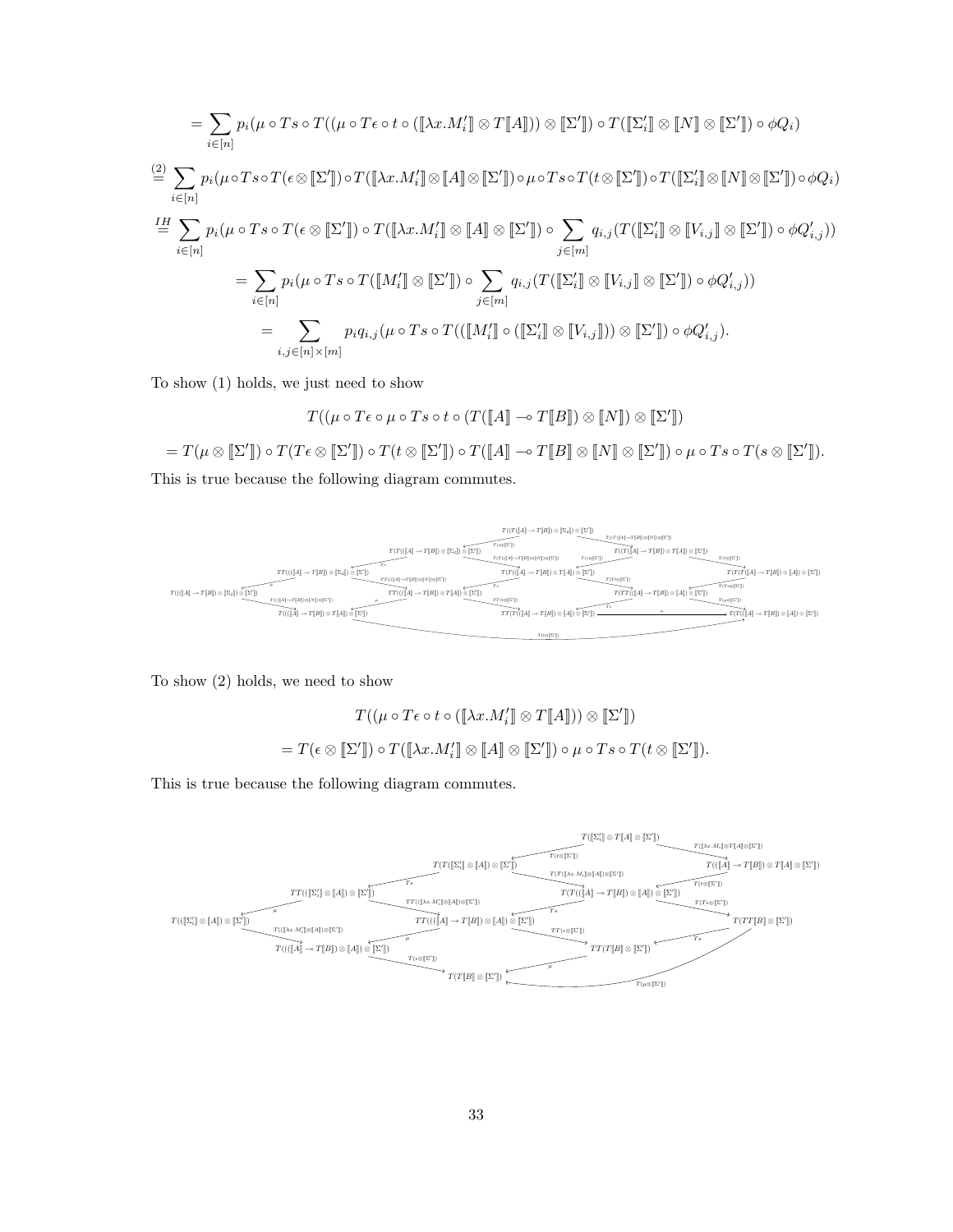$$
= \sum_{i \in [n]} p_i (\mu \circ T s \circ T((\mu \circ T \epsilon \circ t \circ (\llbracket \lambda x. M'_i \rrbracket \otimes T[\llbracket A \rrbracket)) \otimes \llbracket \Sigma' \rrbracket) \circ T([\llbracket \Sigma'_i \rrbracket \otimes \llbracket N \rrbracket \otimes \llbracket \Sigma' \rrbracket) \circ \phi Q_i)
$$

$$
\begin{split}\n&\stackrel{(2)}{=} \sum_{i \in [n]} p_i(\mu \circ T s \circ T(\epsilon \otimes \llbracket \Sigma' \rrbracket) \circ T(\llbracket \lambda x. M_i' \rrbracket \otimes \llbracket A \rrbracket \otimes \llbracket \Sigma' \rrbracket) \circ \mu \circ T s \circ T(t \otimes \llbracket \Sigma' \rrbracket) \circ T(\llbracket \Sigma_1' \rrbracket \otimes \llbracket N \rrbracket \otimes \llbracket \Sigma' \rrbracket) \circ \phi Q_i) \\
&\stackrel{IH}{=} \sum_{i \in [n]} p_i(\mu \circ T s \circ T(\epsilon \otimes \llbracket \Sigma' \rrbracket) \circ T(\llbracket \lambda x. M_i' \rrbracket \otimes \llbracket A \rrbracket \otimes \llbracket \Sigma' \rrbracket) \circ \sum_{j \in [m]} q_{i,j}(T(\llbracket \Sigma_1' \rrbracket \otimes \llbracket V_{i,j} \rrbracket \otimes \llbracket \Sigma' \rrbracket) \circ \phi Q_{i,j}'), \\
&\stackrel{H}{=} \sum_{i \in [n]} p_i(\mu \circ T s \circ T(\llbracket M_i' \rrbracket \otimes \llbracket \Sigma' \rrbracket) \circ \sum_{j \in [m]} q_{i,j}(T(\llbracket \Sigma_1' \rrbracket \otimes \llbracket V_{i,j} \rrbracket \otimes \llbracket \Sigma' \rrbracket) \circ \phi Q_{i,j}'), \\
&\stackrel{H}{=} \sum_{i,j \in [n] \times [m]} p_i q_{i,j}(\mu \circ T s \circ T((\llbracket M_i' \rrbracket \circ (\llbracket \Sigma_1' \rrbracket \otimes \llbracket V_{i,j} \rrbracket)) \otimes \llbracket \Sigma' \rrbracket) \circ \phi Q_{i,j}').\n\end{split}
$$

To show (1) holds, we just need to show

$$
T((\mu \circ T\epsilon \circ \mu \circ Ts \circ t \circ (T([\![A]\!] \multimap T[\![B]\!]) \otimes [\![N]\!]) \otimes [\![\Sigma']\!])
$$

 $=T(\mu\otimes [\![\Sigma']\!])\circ T(T\epsilon\otimes [\![\Sigma']\!])\circ T(t\otimes [\![\Sigma']\!])\circ T([\![A]\!] \multimap T[\![B]\!] \otimes [\![N]\!] \otimes [\![\Sigma']\!]) \circ \mu\circ Ts \circ T(s\otimes [\![\Sigma']\!]).$ 

This is true because the following diagram commutes.



To show (2) holds, we need to show

$$
T((\mu \circ T \epsilon \circ t \circ ([\![\lambda x.M_i']\!] \otimes T[\![A]\!])) \otimes [\![\Sigma']\!])
$$
  
= 
$$
T(\epsilon \otimes [\![\Sigma']\!]) \circ T([\![\lambda x.M_i']\!] \otimes [\![A]\!]) \otimes [\![\Sigma']\!]) \circ \mu \circ Ts \circ T(t \otimes [\![\Sigma']\!]).
$$

This is true because the following diagram commutes.

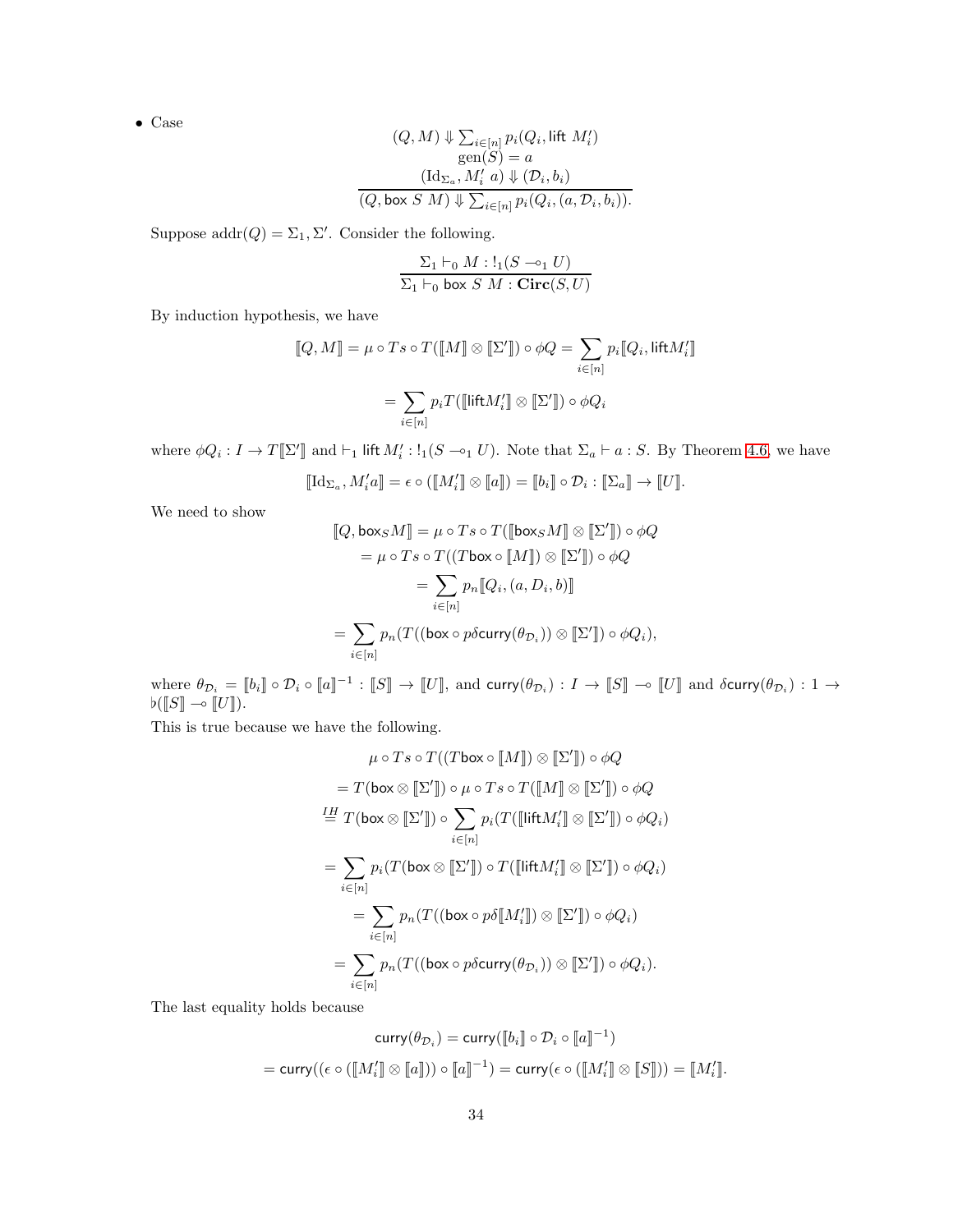$$
(Q, M) \Downarrow \sum_{i \in [n]} p_i(Q_i, \text{lift } M'_i)
$$
  
gen
$$
(S) = a
$$
  

$$
(\text{Id}_{\Sigma_a}, M'_i \ a) \Downarrow (\mathcal{D}_i, b_i)
$$
  

$$
(Q, \text{box } S \ M) \Downarrow \sum_{i \in [n]} p_i(Q_i, (a, \mathcal{D}_i, b_i)).
$$

Suppose  $\text{addr}(Q) = \Sigma_1, \Sigma'$ . Consider the following.

$$
\frac{\Sigma_1 \vdash_0 M : !_1(S \multimap_1 U)}{\Sigma_1 \vdash_0 \text{ box } S M : \text{Circ}(S, U)}
$$

By induction hypothesis, we have

$$
[\![Q,M]\!] = \mu \circ Ts \circ T([\![M]\!] \otimes [\![\Sigma']\!]) \circ \phi Q = \sum_{i \in [n]} p_i [\![Q_i,\text{lift} M_i']\!]
$$

$$
= \sum_{i \in [n]} p_i T([\![\text{lift} M_i']\!] \otimes [\![\Sigma']\!]) \circ \phi Q_i
$$

where  $\phi Q_i: I \to T[\![\Sigma']\!]$  and  $\vdash_1$  lift  $M'_i: \mathcal{L}_1(S \multimap_1 U)$ . Note that  $\Sigma_a \vdash a: S$ . By Theorem [4.6,](#page-13-1) we have

$$
[\![\mathrm{Id}_{\Sigma_a},M'_i a]\!] = \epsilon \circ ([\![M'_i]\!] \otimes [\![a]\!]) = [\![b_i]\!] \circ \mathcal{D}_i : [\![\Sigma_a]\!] \to [\![U]\!].
$$

We need to show

$$
[\![Q, \text{box}_S M]\!] = \mu \circ T s \circ T([\![\text{box}_S M]\!] \otimes [\![\Sigma']\!]) \circ \phi Q
$$

$$
= \mu \circ T s \circ T((T \text{box} \circ [\![M]\!]) \otimes [\![\Sigma']\!]) \circ \phi Q
$$

$$
= \sum_{i \in [n]} p_n [\![Q_i, (a, D_i, b)]\!]
$$

$$
= \sum_{i \in [n]} p_n (T((\text{box} \circ p \delta \text{curry}(\theta_{D_i})) \otimes [\![\Sigma']\!]) \circ \phi Q_i),
$$

where  $\theta_{\mathcal{D}_i} = [\![b_i]\!] \circ \mathcal{D}_i \circ [\![a]\!]^{-1} : [\![S]\!] \to [\![U]\!]$ , and curry $(\theta_{\mathcal{D}_i}) : I \to [\![S]\!] \to [\![U]\!]$  and  $\delta$ curry $(\theta_{\mathcal{D}_i}) : 1 \to \mathcal{D}_i$  $\flat(\llbracket S \rrbracket \multimap \llbracket U \rrbracket).$ 

This is true because we have the following.

$$
\mu \circ T s \circ T((T \text{ box} \circ [\![M]\!]) \otimes [\![\Sigma']\!]) \circ \phi Q
$$
\n
$$
= T(\text{box} \otimes [\![\Sigma']\!]) \circ \mu \circ T s \circ T([\![M]\!] \otimes [\![\Sigma']\!]) \circ \phi Q
$$
\n
$$
\stackrel{IH}{=} T(\text{box} \otimes [\![\Sigma']\!]) \circ \sum_{i \in [n]} p_i(T([\![\![\mathsf{lift} M_i']\!] \otimes [\![\Sigma']\!]) \circ \phi Q_i)
$$
\n
$$
= \sum_{i \in [n]} p_i(T(\text{box} \otimes [\![\Sigma']\!]) \circ T([\![\![\mathsf{lift} M_i']\!] \otimes [\![\Sigma']\!]) \circ \phi Q_i)
$$
\n
$$
= \sum_{i \in [n]} p_n(T((\text{box} \otimes p \delta [\![M_i']\!]) \otimes [\![\Sigma']\!]) \circ \phi Q_i)
$$
\n
$$
= \sum_{i \in [n]} p_n(T((\text{box} \otimes p \delta \text{curry}(\theta_{\mathcal{D}_i})) \otimes [\![\Sigma']\!]) \circ \phi Q_i).
$$

The last equality holds because

$$
\mathsf{curry}(\theta_{\mathcal{D}_i}) = \mathsf{curry}([\![b_i]\!]\circ \mathcal{D}_i \circ [\![a]\!]^{-1})
$$
\n
$$
= \mathsf{curry}((\epsilon \circ ([\![M'_i]\!]\otimes [\![a]\!])) \circ [\![a]\!]^{-1}) = \mathsf{curry}(\epsilon \circ ([\![M'_i]\!]\otimes [\![S]\!])) = [\![M'_i]\!].
$$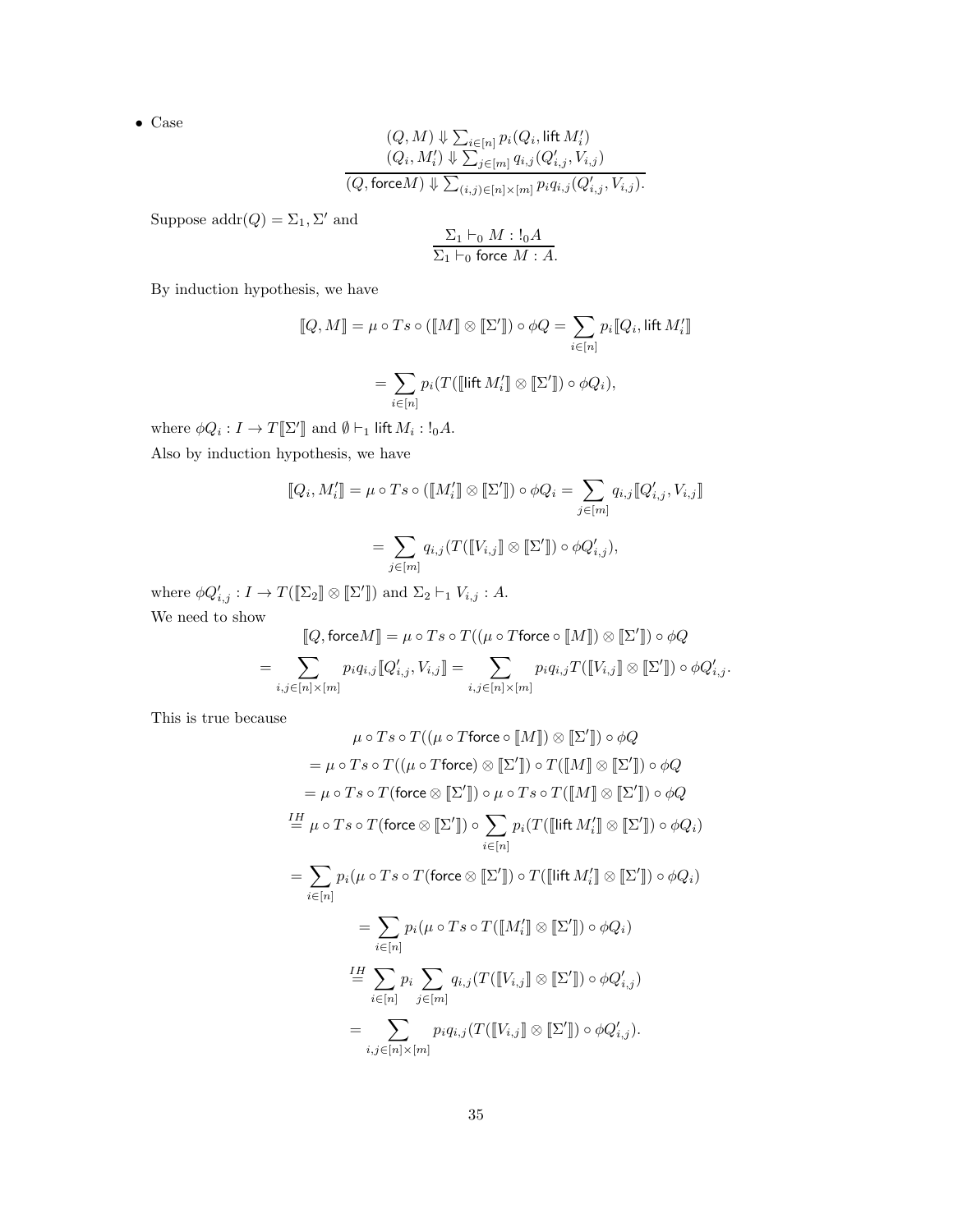$$
(Q, M) \Downarrow \sum_{i \in [n]} p_i(Q_i, \text{lift } M'_i)
$$
  

$$
(Q_i, M'_i) \Downarrow \sum_{j \in [m]} q_{i,j}(Q'_{i,j}, V_{i,j})
$$
  

$$
(Q, \text{force} M) \Downarrow \sum_{(i,j) \in [n] \times [m]} p_i q_{i,j}(Q'_{i,j}, V_{i,j}).
$$

Suppose  $\text{addr}(Q) = \Sigma_1, \Sigma'$  and

$$
\frac{\Sigma_1 \vdash_0 M : !_0 A}{\Sigma_1 \vdash_0 \text{ force } M : A}.
$$

By induction hypothesis, we have

$$
[\![Q,M]\!]=\mu\circ Ts\circ([\![M]\!]\otimes[\![\Sigma']\!])\circ\phi Q=\sum_{i\in[n]}p_i[\![Q_i,\mathsf{lift}\,M_i']\!]
$$

$$
=\sum_{i\in[n]}p_i(T([\![\mathsf{lift}\,M_i']\!]\otimes[\![\Sigma']\!])\circ\phi Q_i),
$$

where  $\phi Q_i : I \to T[\![\Sigma']\!]$  and  $\emptyset \vdash_1$  lift  $M_i : !_0A$ . Also by induction hypothesis, we have

$$
[\![Q_i, M'_i]\!] = \mu \circ Ts \circ ([\![M'_i]\!] \otimes [\![\Sigma']\!]) \circ \phi Q_i = \sum_{j \in [m]} q_{i,j} [\![Q'_{i,j}, V_{i,j}]\!]
$$

$$
= \sum_{j \in [m]} q_{i,j} (T([\![V_{i,j}]\!]\otimes [\![\Sigma']\!]) \circ \phi Q'_{i,j}),
$$

where  $\phi Q'_{i,j} : I \to T([\![\Sigma_2]\!]\otimes [\![\Sigma']\!])$  and  $\Sigma_2 \vdash_1 V_{i,j} : A$ . We need to show

$$
[\![Q, \text{force} M]\!] = \mu \circ Ts \circ T((\mu \circ T \text{force} \circ [\![M]\!]) \otimes [\![\Sigma']\!]) \circ \phi Q
$$
\n
$$
= \sum_{i,j \in [n] \times [m]} p_i q_{i,j} [\![Q'_{i,j}, V_{i,j}]\!] = \sum_{i,j \in [n] \times [m]} p_i q_{i,j} T([\![V_{i,j}]\!]) \otimes [\![\Sigma']\!]) \circ \phi Q'_{i,j}.
$$

This is true because

$$
\mu \circ T s \circ T((\mu \circ T \text{force} \circ [M]) \otimes [\Sigma']) \circ \phi Q
$$
\n
$$
= \mu \circ T s \circ T((\mu \circ T \text{force}) \otimes [\Sigma']) \circ T([M] \otimes [\Sigma']) \circ \phi Q
$$
\n
$$
= \mu \circ T s \circ T(\text{force} \otimes [\Sigma']) \circ \mu \circ T s \circ T([M] \otimes [\Sigma']) \circ \phi Q
$$
\n
$$
\stackrel{\mathit{IH}}{=} \mu \circ T s \circ T(\text{force} \otimes [\Sigma']) \circ \sum_{i \in [n]} p_i(T([\text{lift } M_i'] \otimes [\Sigma']) \circ \phi Q_i)
$$
\n
$$
= \sum_{i \in [n]} p_i(\mu \circ T s \circ T(\text{force} \otimes [\Sigma']) \circ T([\text{lift } M_i'] \otimes [\Sigma']) \circ \phi Q_i)
$$
\n
$$
= \sum_{i \in [n]} p_i(\mu \circ T s \circ T([M_i'] \otimes [\Sigma']) \circ \phi Q_i)
$$
\n
$$
\stackrel{\mathit{IH}}{=} \sum_{i \in [n]} p_i \sum_{j \in [m]} q_{i,j}(T([V_{i,j}] \otimes [\Sigma']) \circ \phi Q_{i,j}')
$$
\n
$$
= \sum_{i,j \in [n] \times [m]} p_i q_{i,j}(T([V_{i,j}] \otimes [\Sigma']) \circ \phi Q_{i,j}').
$$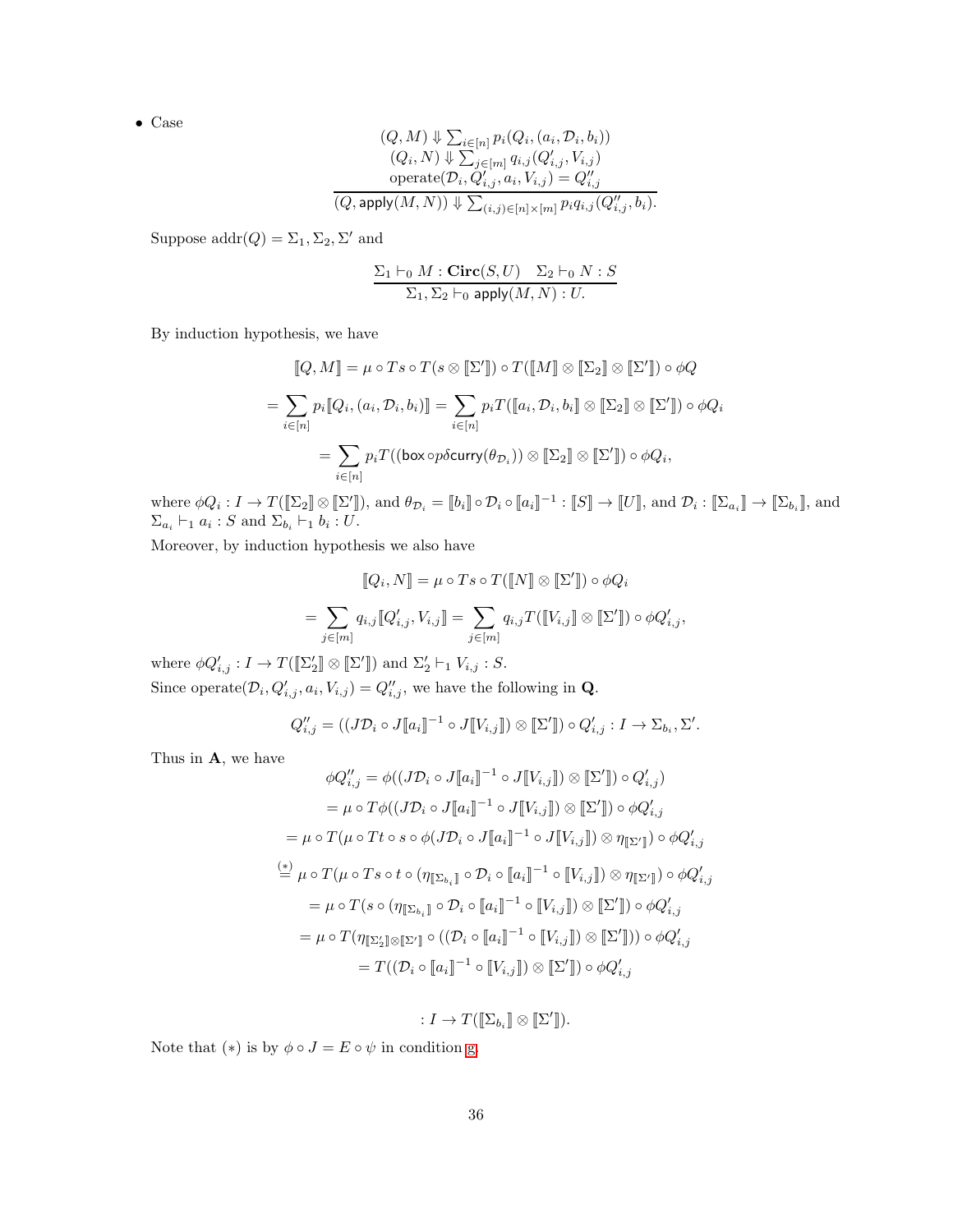$$
(Q, M) \Downarrow \sum_{i \in [n]} p_i(Q_i, (a_i, D_i, b_i))
$$
  
\n
$$
(Q_i, N) \Downarrow \sum_{j \in [m]} q_{i,j}(Q'_{i,j}, V_{i,j})
$$
  
\n
$$
\text{operate}(D_i, Q'_{i,j}, a_i, V_{i,j}) = Q''_{i,j}
$$
  
\n
$$
(Q, \text{apply}(M, N)) \Downarrow \sum_{(i,j) \in [n] \times [m]} p_i q_{i,j}(Q''_{i,j}, b_i).
$$

Suppose  $\text{addr}(Q) = \Sigma_1, \Sigma_2, \Sigma'$  and

$$
\frac{\Sigma_1 \vdash_0 M : \mathbf{Circ}(S, U) \quad \Sigma_2 \vdash_0 N : S}{\Sigma_1, \Sigma_2 \vdash_0 \mathsf{apply}(M, N) : U}.
$$

By induction hypothesis, we have

$$
[\![Q,M]\!] = \mu \circ Ts \circ T(s \otimes [\![\Sigma']\!]) \circ T([\![M]\!] \otimes [\![\Sigma_2]\!] \otimes [\![\Sigma']\!]) \circ \phi Q
$$

$$
= \sum_{i \in [n]} p_i [\![Q_i, (a_i, \mathcal{D}_i, b_i)]\!] = \sum_{i \in [n]} p_i T([\![a_i, \mathcal{D}_i, b_i]\!] \otimes [\![\Sigma_2]\!] \otimes [\![\Sigma']\!]) \circ \phi Q_i
$$

$$
= \sum_{i \in [n]} p_i T((\text{box} \text{op} \delta \text{curry}(\theta_{\mathcal{D}_i})) \otimes [\![\Sigma_2]\!] \otimes [\![\Sigma']\!]) \circ \phi Q_i,
$$

where  $\phi Q_i: I \to T(\llbracket \Sigma_2 \rrbracket \otimes \llbracket \Sigma' \rrbracket)$ , and  $\theta_{\mathcal{D}_i} = \llbracket b_i \rrbracket \circ \mathcal{D}_i \circ \llbracket a_i \rrbracket^{-1} : \llbracket S \rrbracket \to \llbracket U \rrbracket$ , and  $\mathcal{D}_i: \llbracket \Sigma_{a_i} \rrbracket \to \llbracket \Sigma_{b_i} \rrbracket$ , and  $\Sigma_{a_i} \vdash_1 a_i : S \text{ and } \Sigma_{b_i} \vdash_1 b_i : U.$ 

Moreover, by induction hypothesis we also have

$$
[\![Q_i, N]\!] = \mu \circ T s \circ T([\![N]\!] \otimes [\![\Sigma']\!]) \circ \phi Q_i
$$

$$
= \sum_{j \in [m]} q_{i,j} [\![Q'_{i,j}, V_{i,j}]\!] = \sum_{j \in [m]} q_{i,j} T([\![V_{i,j}]\!] \otimes [\![\Sigma']\!]) \circ \phi Q'_{i,j},
$$

where  $\phi Q'_{i,j} : I \to T([\![\Sigma_2']\!]\otimes [\![\Sigma']\!])$  and  $\Sigma_2' \vdash_1 V_{i,j} : S$ . Since operate $(\mathcal{D}_i, Q'_{i,j}, a_i, V_{i,j}) = Q''_{i,j}$ , we have the following in **Q**.

$$
Q''_{i,j} = ((J\mathcal{D}_i \circ J[\![a_i]\!]^{-1} \circ J[\![V_{i,j}]\!]) \otimes [\![\Sigma']\!]) \circ Q'_{i,j} : I \to \Sigma_{b_i}, \Sigma'.
$$

Thus in A, we have

$$
\phi Q''_{i,j} = \phi((J\mathcal{D}_i \circ J[\![a_i]\!]^{-1} \circ J[\![V_{i,j}]\!]) \otimes [\![\Sigma']\!]) \circ Q'_{i,j})
$$
  
\n
$$
= \mu \circ T\phi((J\mathcal{D}_i \circ J[\![a_i]\!]^{-1} \circ J[\![V_{i,j}]\!]) \otimes [\![\Sigma']\!]) \circ \phi Q'_{i,j}
$$
  
\n
$$
= \mu \circ T(\mu \circ Tt \circ s \circ \phi(J\mathcal{D}_i \circ J[\![a_i]\!]^{-1} \circ J[\![V_{i,j}]\!]) \otimes \eta_{[\![\Sigma']\!]}) \circ \phi Q'_{i,j}
$$
  
\n
$$
\stackrel{(*)}{=} \mu \circ T(\mu \circ Ts \circ t \circ (\eta_{[\![\Sigma_{b_i}]\!]} \circ \mathcal{D}_i \circ [\![a_i]\!]^{-1} \circ [\![V_{i,j}]\!]) \otimes \eta_{[\![\Sigma']\!]}) \circ \phi Q'_{i,j}
$$
  
\n
$$
= \mu \circ T(s \circ (\eta_{[\![\Sigma_{b_i}]\!]} \circ \mathcal{D}_i \circ [\![a_i]\!]^{-1} \circ [\![V_{i,j}]\!]) \otimes [\![\Sigma']\!]) \circ \phi Q'_{i,j}
$$
  
\n
$$
= \mu \circ T(\eta_{[\![\Sigma'_2]\!]} \otimes [\![\Sigma']\!]) \circ ((\mathcal{D}_i \circ [\![a_i]\!]^{-1} \circ [\![V_{i,j}]\!]) \otimes [\![\Sigma']\!]) ) \circ \phi Q'_{i,j}
$$
  
\n
$$
= T((\mathcal{D}_i \circ [\![a_i]\!]^{-1} \circ [\![V_{i,j}]\!]) \otimes [\![\Sigma']\!]) \circ \phi Q'_{i,j}
$$

$$
: I \to T([\![\Sigma_{b_i}]\!]\otimes [\![\Sigma']\!]).
$$

Note that  $(*)$  is by  $\phi \circ J = E \circ \psi$  in condition [g.](#page-7-3)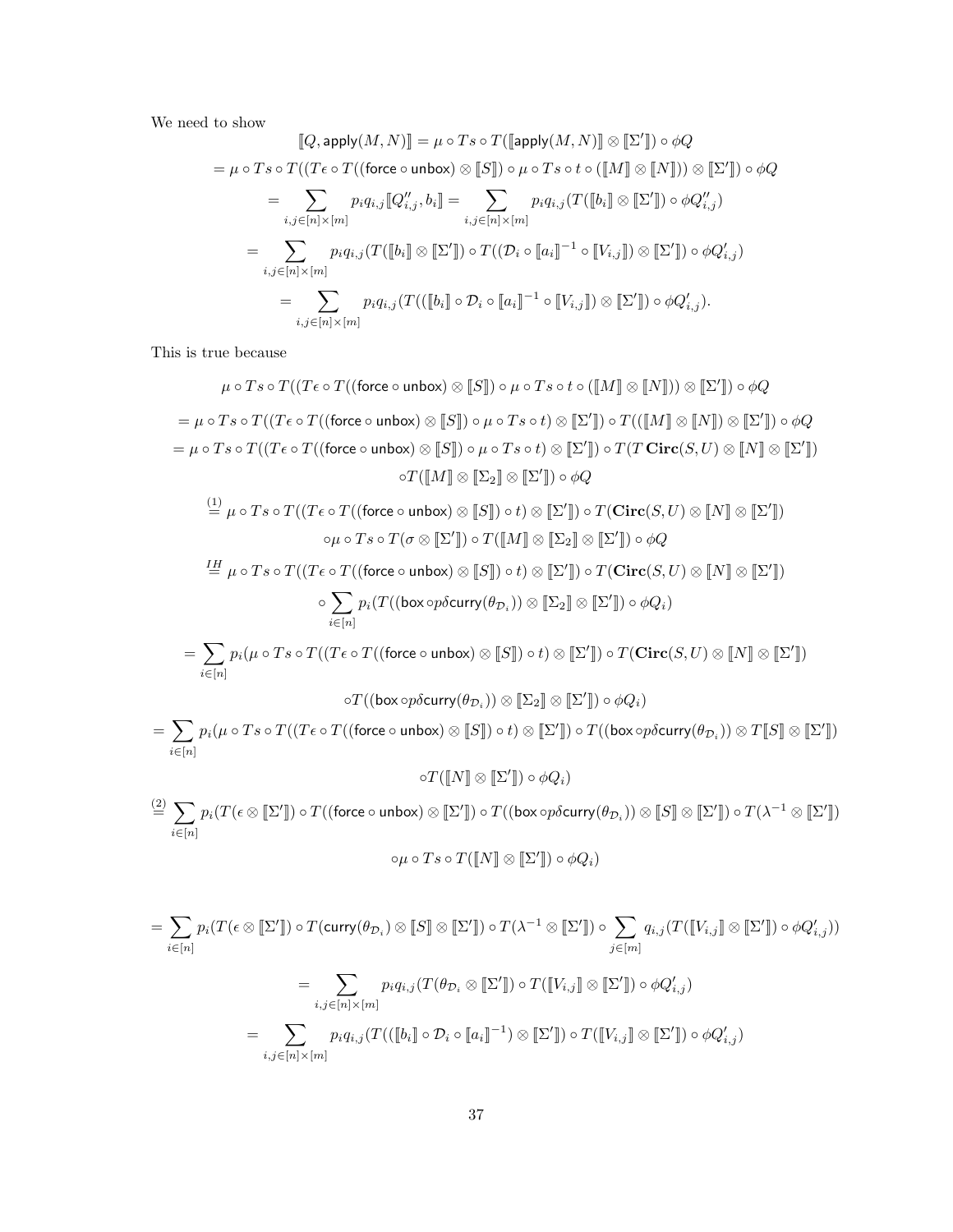We need to show

$$
[\![Q, \text{apply}(M, N)]\!] = \mu \circ Ts \circ T([\![\text{apply}(M, N)]\!] \otimes [\![\Sigma']\!] ) \circ \phi Q
$$
\n
$$
= \mu \circ Ts \circ T((T\epsilon \circ T((\text{force} \circ \text{unbox}) \otimes [\![S]\!]) \circ \mu \circ Ts \circ t \circ ([\![M]\!] \otimes [\![N]\!])) \otimes [\![\Sigma']\!]) \circ \phi Q
$$
\n
$$
= \sum_{i,j \in [n] \times [m]} p_i q_{i,j} [\![Q''_{i,j}, b_i]\!] = \sum_{i,j \in [n] \times [m]} p_i q_{i,j} (T([\![b_i]\!] \otimes [\![\Sigma']\!]) \circ \phi Q''_{i,j})
$$
\n
$$
= \sum_{i,j \in [n] \times [m]} p_i q_{i,j} (T([\![b_i]\!] \otimes [\![\Sigma']\!]) \circ T((\mathcal{D}_i \circ [\![a_i]\!]^{-1} \circ [\![V_{i,j}]\!]) \otimes [\![\Sigma']\!]) \circ \phi Q'_{i,j})
$$
\n
$$
= \sum_{i,j \in [n] \times [m]} p_i q_{i,j} (T(([\![b_i]\!] \circ \mathcal{D}_i \circ [\![a_i]\!]^{-1} \circ [\![V_{i,j}]\!]) \otimes [\![\Sigma']\!]) \circ \phi Q'_{i,j}).
$$

This is true because

$$
\mu \circ T s \circ T((T \epsilon \circ T((\text{force } \circ \text{ unbox}) \otimes [\![S]\!]) \circ \mu \circ T s \circ t \circ ([\![M]\!] \otimes [\![N]\!])) \otimes [\![\Sigma']\!]) \circ \phi Q
$$
\n
$$
= \mu \circ T s \circ T((T \epsilon \circ T((\text{force } \circ \text{ unbox}) \otimes [\![S]\!]) \circ \mu \circ T s \circ t) \otimes [\![\Sigma']\!]) \circ T(([\![M]\!] \otimes [\![N]\!]) \otimes [\![\Sigma']\!]) \circ \phi Q
$$
\n
$$
= \mu \circ T s \circ T((T \epsilon \circ T((\text{force } \circ \text{ unbox}) \otimes [\![S]\!]) \circ \mu \circ T s \circ t) \otimes [\![\Sigma']\!]) \circ T(T \text{Circ}(S, U) \otimes [\![N]\!]) \otimes [\![\Sigma']\!])
$$
\n
$$
\circ T([\![M]\!] \otimes [\![\Sigma_2]\!] \otimes [\![\Sigma']\!]) \circ \phi Q
$$
\n
$$
\tag{5.7}
$$

$$
\stackrel{(1)}{=} \mu \circ T s \circ T((T \epsilon \circ T((\text{force} \circ \text{unbox}) \otimes [\![S]\!]) \circ t) \otimes [\![\Sigma']\!]) \circ T(\text{Circ}(S, U) \otimes [\![N]\!] \otimes [\![\Sigma']\!])
$$

$$
\circ \mu \circ T s \circ T(\sigma \otimes [\![\Sigma']\!]) \circ T([\![M]\!] \otimes [\![\Sigma_2]\!] \otimes [\![\Sigma']\!]) \circ \phi Q
$$

$$
\stackrel{IH}{=} \mu \circ Ts \circ T((T\epsilon \circ T((\text{force} \circ \text{unbox}) \otimes [\![S]\!]) \circ t) \otimes [\![\Sigma']\!]) \circ T(\mathbf{Circ}(S, U) \otimes [\![N]\!] \otimes [\![\Sigma']\!])
$$

$$
\circ \sum_{i \in [n]} p_i(T((\text{box} \circ p\delta \text{curry}(\theta_{\mathcal{D}_i})) \otimes [\![\Sigma_2]\!] \otimes [\![\Sigma']\!]) \circ \phi Q_i)
$$

$$
= \sum p_i(\mu \circ Ts \circ T((T\epsilon \circ T((\text{force} \circ \text{unbox}) \otimes [\![S]\!]) \circ t) \otimes [\![\Sigma']\!]) \circ T(\mathbf{Circ}(S, U) \otimes [\![N]\!] \otimes [\![\Sigma']\!])
$$

$$
f_{\rm{max}}
$$

 $i \in [n]$ 

$$
\circ T((\textsf{box}\circ p\delta\textsf{curry}(\theta_{\mathcal{D}_i}))\otimes\llbracket\Sigma_2\rrbracket\otimes\llbracket\Sigma'\rrbracket)\circ\phi Q_i)
$$

$$
= \sum_{i \in [n]} p_i (\mu \circ Ts \circ T((T\epsilon \circ T((\text{force} \circ \text{unbox})) \otimes [\![S]\!]) \circ t) \otimes [\![\Sigma']\!]) \circ T((\text{box} \circ p \delta \text{curry}(\theta_{\mathcal{D}_i})) \otimes T[\![S]\!] \otimes [\![\Sigma']\!])
$$

 $\circ T([N] \otimes [\![\Sigma']\!]) \circ \phi Q_i)$ 

 $\stackrel{(2)}{=} \sum$  $i \in [n]$  $p_i(T(\epsilon\otimes [\![\Sigma']\!])\circ T((\mathsf{force}\circ\mathsf{unbox})\otimes [\![\Sigma']\!])\circ T((\mathsf{box}\circ p\delta\mathsf{curry}(\theta_{{\mathcal{D}}_i}))\otimes [\![S]\!] \otimes [\![\Sigma']\!])\circ T(\lambda^{-1}\otimes [\![\Sigma']\!])$ 

$$
\circ \mu \circ Ts \circ T([\![N]\!]\otimes [\![\Sigma']\!]) \circ \phi Q_i)
$$

$$
= \sum_{i \in [n]} p_i(T(\epsilon \otimes [\![\Sigma']\!]) \circ T(\text{curry}(\theta_{\mathcal{D}_i}) \otimes [\![S]\!] \otimes [\![\Sigma']\!]) \circ T(\lambda^{-1} \otimes [\![\Sigma']\!]) \circ \sum_{j \in [m]} q_{i,j}(T([\![V_{i,j}]\!]) \otimes [\![\Sigma']\!]) \circ \phi Q'_{i,j}))
$$

$$
= \sum_{i,j \in [n] \times [m]} p_i q_{i,j}(T(\theta_{\mathcal{D}_i} \otimes [\![\Sigma']\!]) \circ T([\![V_{i,j}]\!]) \otimes [\![\Sigma']\!]) \circ \phi Q'_{i,j})
$$

$$
= \sum_{i,j \in [n] \times [m]} p_i q_{i,j}(T(([\![b_i]\!]) \circ \mathcal{D}_i \circ [\![a_i]\!]^{-1}) \otimes [\![\Sigma']\!]) \circ T([\![V_{i,j}]\!]) \otimes [\![\Sigma']\!]) \circ \phi Q'_{i,j})
$$